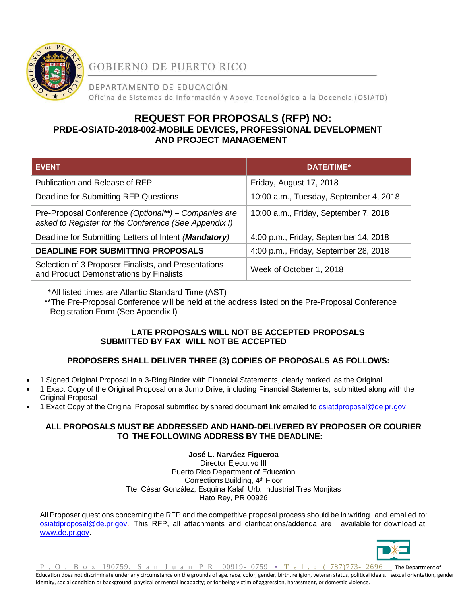

**GOBIERNO DE PUERTO RICO** 

DEPARTAMENTO DE EDUCACIÓN Oficina de Sistemas de Información y Apoyo Tecnológico a la Docencia (OSIATD)

# **REQUEST FOR PROPOSALS (RFP) NO: PRDE-OSIATD-2018-002**-**MOBILE DEVICES, PROFESSIONAL DEVELOPMENT AND PROJECT MANAGEMENT**

| <b>EVENT</b>                                                                                                  | DATE/TIME*                             |
|---------------------------------------------------------------------------------------------------------------|----------------------------------------|
| Publication and Release of RFP                                                                                | Friday, August 17, 2018                |
| Deadline for Submitting RFP Questions                                                                         | 10:00 a.m., Tuesday, September 4, 2018 |
| Pre-Proposal Conference (Optional**) – Companies are<br>asked to Register for the Conference (See Appendix I) | 10:00 a.m., Friday, September 7, 2018  |
| Deadline for Submitting Letters of Intent (Mandatory)                                                         | 4:00 p.m., Friday, September 14, 2018  |
| <b>DEADLINE FOR SUBMITTING PROPOSALS</b>                                                                      | 4:00 p.m., Friday, September 28, 2018  |
| Selection of 3 Proposer Finalists, and Presentations<br>and Product Demonstrations by Finalists               | Week of October 1, 2018                |

\*All listed times are Atlantic Standard Time (AST)

 \*\*The Pre-Proposal Conference will be held at the address listed on the Pre-Proposal Conference Registration Form (See Appendix I)

# **LATE PROPOSALS WILL NOT BE ACCEPTED PROPOSALS SUBMITTED BY FAX WILL NOT BE ACCEPTED**

# **PROPOSERS SHALL DELIVER THREE (3) COPIES OF PROPOSALS AS FOLLOWS:**

- 1 Signed Original Proposal in a 3-Ring Binder with Financial Statements, clearly marked as the Original
- 1 Exact Copy of the Original Proposal on a Jump Drive, including Financial Statements, submitted along with the Original Proposal
- 1 Exact Copy of the Original Proposal submitted by shared document link emailed to [osiatdproposal@de.pr.gov](mailto:osiatdproposal@de.pr.gov)

# **ALL PROPOSALS MUST BE ADDRESSED AND HAND-DELIVERED BY PROPOSER OR COURIER TO THE FOLLOWING ADDRESS BY THE DEADLINE:**

# **José L. Narváez Figueroa**

Director Ejecutivo III Puerto Rico Department of Education Corrections Building, 4<sup>th</sup> Floor Tte. César González, Esquina Kalaf Urb. Industrial Tres Monjitas Hato Rey, PR 00926

All Proposer questions concerning the RFP and the competitive proposal process should be in writing and emailed to: [osiatdproposal@de.pr.gov.](mailto:osiatdproposal@de.pr.gov) This RFP, all attachments and clarifications/addenda are available for download at: [www.de.pr.gov.](http://www.de.pr.gov/)



P . O . B o x 190759, S a n J u a n P R 00919-0759 • T e 1 . : (787)773-2696 The Department of Education does not discriminate under any circumstance on the grounds of age, race, color, gender, birth, religion, veteran status, political ideals, sexual orientation, gender identity, social condition or background, physical or mental incapacity; or for being victim of aggression, harassment, or domestic violence.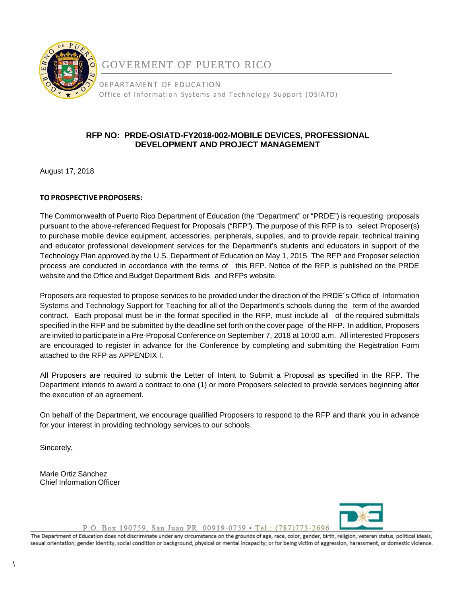

GOVERMENT OF PUERTO RICO

DEPARTAMENT OF EDUCATION Office of Information Systems and Technology Support (OSIATD)

# **RFP NO: PRDE-OSIATD-FY2018-002-MOBILE DEVICES, PROFESSIONAL DEVELOPMENT AND PROJECT MANAGEMENT**

August 17, 2018

# **TOPROSPECTIVE PROPOSERS:**

The Commonwealth of Puerto Rico Department of Education (the "Department" or "PRDE") is requesting proposals pursuant to the above-referenced Request for Proposals ("RFP"). The purpose of this RFP is to select Proposer(s) to purchase mobile device equipment, accessories, peripherals, supplies, and to provide repair, technical training and educator professional development services for the Department's students and educators in support of the Technology Plan approved by the U.S. Department of Education on May 1, 2015. The RFP and Proposer selection process are conducted in accordance with the terms of this RFP. Notice of the RFP is published on the PRDE website and the Office and Budget Department Bids and RFPs website.

Proposers are requested to propose services to be provided under the direction of the PRDE´s Office of Information Systems and Technology Support for Teaching for all of the Department's schools during the term of the awarded contract. Each proposal must be in the format specified in the RFP, must include all of the required submittals specified in the RFP and be submitted by the deadline set forth on the cover page of the RFP. In addition, Proposers are invited to participate in a Pre-Proposal Conference on September 7, 2018 at 10:00 a.m. All interested Proposers are encouraged to register in advance for the Conference by completing and submitting the Registration Form attached to the RFP as APPENDIX I.

All Proposers are required to submit the Letter of Intent to Submit a Proposal as specified in the RFP. The Department intends to award a contract to one (1) or more Proposers selected to provide services beginning after the execution of an agreement.

On behalf of the Department, we encourage qualified Proposers to respond to the RFP and thank you in advance for your interest in providing technology services to our schools.

Sincerely,

Marie Ortiz Sánchez Chief Information Officer



P.O. Box 190759, San Juan PR 00919-0759 · Tel.: (787)773-2696

The Department of Education does not discriminate under any circumstance on the grounds of age, race, color, gender, birth, religion, veteran status, political ideals, sexual orientation, gender identity, social condition or background, physical or mental incapacity; or for being victim of aggression, harassment, or domestic violence.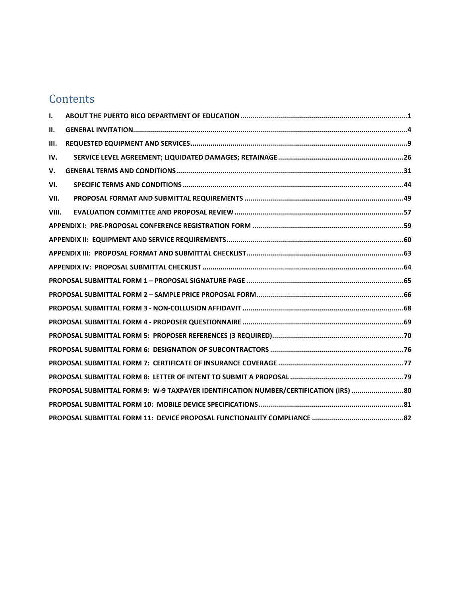# **Contents**

| ı.          |                                                                                      |  |
|-------------|--------------------------------------------------------------------------------------|--|
| н.          |                                                                                      |  |
| Ш.          |                                                                                      |  |
| IV.         |                                                                                      |  |
| $V_{\cdot}$ |                                                                                      |  |
| VI.         |                                                                                      |  |
| VII.        |                                                                                      |  |
| VIII.       |                                                                                      |  |
|             |                                                                                      |  |
|             |                                                                                      |  |
|             |                                                                                      |  |
|             |                                                                                      |  |
|             |                                                                                      |  |
|             |                                                                                      |  |
|             |                                                                                      |  |
|             |                                                                                      |  |
|             |                                                                                      |  |
|             |                                                                                      |  |
|             |                                                                                      |  |
|             |                                                                                      |  |
|             | PROPOSAL SUBMITTAL FORM 9: W-9 TAXPAYER IDENTIFICATION NUMBER/CERTIFICATION (IRS) 80 |  |
|             |                                                                                      |  |
|             |                                                                                      |  |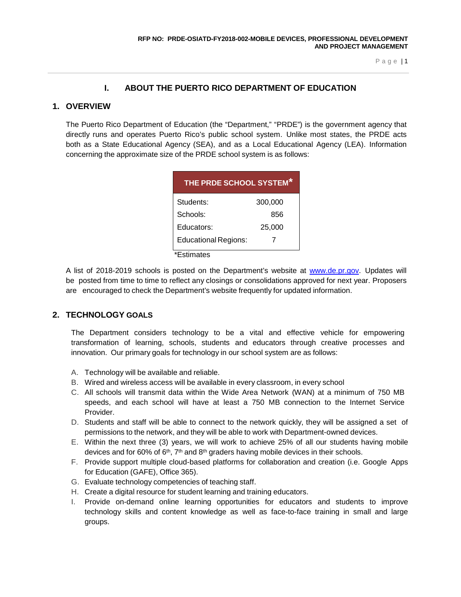# **I. ABOUT THE PUERTO RICO DEPARTMENT OF EDUCATION**

### <span id="page-3-0"></span>**1. OVERVIEW**

The Puerto Rico Department of Education (the "Department," "PRDE") is the government agency that directly runs and operates Puerto Rico's public school system. Unlike most states, the PRDE acts both as a State Educational Agency (SEA), and as a Local Educational Agency (LEA). Information concerning the approximate size of the PRDE school system is as follows:

| THE PRDE SCHOOL SYSTEM*     |         |  |
|-----------------------------|---------|--|
| Students:                   | 300,000 |  |
| Schools:                    | 856     |  |
| Educators:                  | 25,000  |  |
| <b>Educational Regions:</b> | 7       |  |

\*Estimates

A list of 2018-2019 schools is posted on the Department's website at [www.de.pr.gov.](http://www.de.pr.gov/) Updates will be posted from time to time to reflect any closings or consolidations approved for next year. Proposers are encouraged to check the Department's website frequently for updated information.

### **2. TECHNOLOGY GOALS**

The Department considers technology to be a vital and effective vehicle for empowering transformation of learning, schools, students and educators through creative processes and innovation. Our primary goals for technology in our school system are as follows:

- A. Technology will be available and reliable.
- B. Wired and wireless access will be available in every classroom, in every school
- C. All schools will transmit data within the Wide Area Network (WAN) at a minimum of 750 MB speeds, and each school will have at least a 750 MB connection to the Internet Service Provider.
- D. Students and staff will be able to connect to the network quickly, they will be assigned a set of permissions to the network, and they will be able to work with Department-owned devices.
- E. Within the next three (3) years, we will work to achieve 25% of all our students having mobile devices and for 60% of  $6<sup>th</sup>$ ,  $7<sup>th</sup>$  and  $8<sup>th</sup>$  graders having mobile devices in their schools.
- F. Provide support multiple cloud-based platforms for collaboration and creation (i.e. Google Apps for Education (GAFE), Office 365).
- G. Evaluate technology competencies of teaching staff.
- H. Create a digital resource for student learning and training educators.
- I. Provide on-demand online learning opportunities for educators and students to improve technology skills and content knowledge as well as face-to-face training in small and large groups.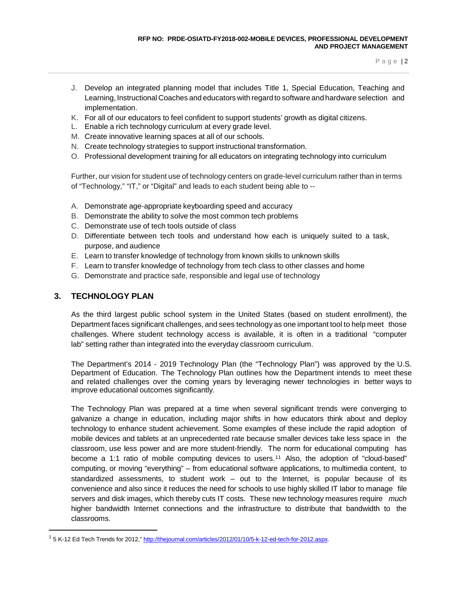- J. Develop an integrated planning model that includes Title 1, Special Education, Teaching and Learning, Instructional Coaches and educators with regard to software and hardware selection and implementation.
- K. For all of our educators to feel confident to support students' growth as digital citizens.
- L. Enable a rich technology curriculum at every grade level.
- M. Create innovative learning spaces at all of our schools.
- N. Create technology strategies to support instructional transformation.
- O. Professional development training for all educators on integrating technology into curriculum

Further, our vision for student use of technology centers on grade-level curriculum rather than in terms of "Technology," "IT," or "Digital" and leads to each student being able to --

- A. Demonstrate age-appropriate keyboarding speed and accuracy
- B. Demonstrate the ability to solve the most common tech problems
- C. Demonstrate use of tech tools outside of class
- D. Differentiate between tech tools and understand how each is uniquely suited to a task, purpose, and audience
- E. Learn to transfer knowledge of technology from known skills to unknown skills
- F. Learn to transfer knowledge of technology from tech class to other classes and home
- G. Demonstrate and practice safe, responsible and legal use of technology

# **3. TECHNOLOGY PLAN**

As the third largest public school system in the United States (based on student enrollment), the Department faces significant challenges, and sees technology as one important tool to help meet those challenges. Where student technology access is available, it is often in a traditional "computer lab" setting rather than integrated into the everyday classroom curriculum.

The Department's 2014 - 2019 Technology Plan (the "Technology Plan") was approved by the U.S. Department of Education. The Technology Plan outlines how the Department intends to meet these and related challenges over the coming years by leveraging newer technologies in better ways to improve educational outcomes significantly.

The Technology Plan was prepared at a time when several significant trends were converging to galvanize a change in education, including major shifts in how educators think about and deploy technology to enhance student achievement. Some examples of these include the rapid adoption of mobile devices and tablets at an unprecedented rate because smaller devices take less space in the classroom, use less power and are more student-friendly. The norm for educational computing has become a [1](#page-4-0):1 ratio of mobile computing devices to users.<sup>11</sup> Also, the adoption of "cloud-based" computing, or moving "everything" – from educational software applications, to multimedia content, to standardized assessments, to student work – out to the Internet, is popular because of its convenience and also since it reduces the need for schools to use highly skilled IT labor to manage file servers and disk images, which thereby cuts IT costs. These new technology measures require *much* higher bandwidth Internet connections and the infrastructure to distribute that bandwidth to the classrooms.

<span id="page-4-0"></span><sup>&</sup>lt;sup>1</sup> 5 K-12 Ed Tech Trends for 2012," [http://thejournal.com/articles/2012/01/10/5-k-12-ed-tech-for-2012.aspx.](http://thejournal.com/articles/2012/01/10/5-k-12-ed-tech-for-2012.aspx)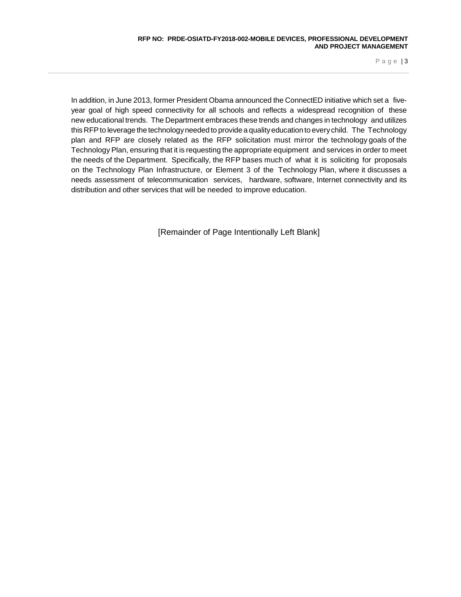In addition, in June 2013, former President Obama announced the ConnectED initiative which set a fiveyear goal of high speed connectivity for all schools and reflects a widespread recognition of these new educational trends. The Department embraces these trends and changes in technology and utilizes this RFPto leverage the technologyneeded to provide a qualityeducation to everychild. The Technology plan and RFP are closely related as the RFP solicitation must mirror the technology goals of the Technology Plan, ensuring that it is requesting the appropriate equipment and services in order to meet the needs of the Department. Specifically, the RFP bases much of what it is soliciting for proposals on the Technology Plan Infrastructure, or Element 3 of the Technology Plan, where it discusses a needs assessment of telecommunication services, hardware, software, Internet connectivity and its distribution and other services that will be needed to improve education.

[Remainder of Page Intentionally Left Blank]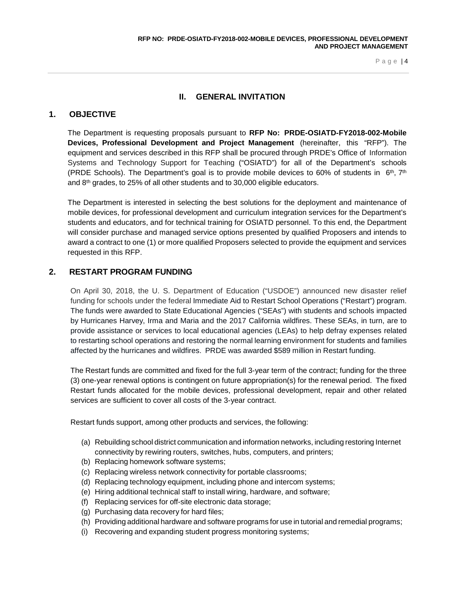# **II. GENERAL INVITATION**

### <span id="page-6-0"></span>**1. OBJECTIVE**

The Department is requesting proposals pursuant to **RFP No: PRDE-OSIATD-FY2018-002-Mobile Devices, Professional Development and Project Management** (hereinafter, this "RFP"). The equipment and services described in this RFP shall be procured through PRDE's Office of Information Systems and Technology Support for Teaching ("OSIATD") for all of the Department's schools (PRDE Schools). The Department's goal is to provide mobile devices to 60% of students in  $6<sup>th</sup>$ ,  $7<sup>th</sup>$ and 8th grades, to 25% of all other students and to 30,000 eligible educators.

The Department is interested in selecting the best solutions for the deployment and maintenance of mobile devices, for professional development and curriculum integration services for the Department's students and educators, and for technical training for OSIATD personnel. To this end, the Department will consider purchase and managed service options presented by qualified Proposers and intends to award a contract to one (1) or more qualified Proposers selected to provide the equipment and services requested in this RFP.

### **2. RESTART PROGRAM FUNDING**

On April 30, 2018, the U. S. Department of Education ("USDOE") announced new disaster relief funding for schools under the federal Immediate Aid to Restart School Operations ("Restart") program. The funds were awarded to State Educational Agencies ("SEAs") with students and schools impacted by Hurricanes Harvey, Irma and Maria and the 2017 California wildfires. These SEAs, in turn, are to provide assistance or services to local educational agencies (LEAs) to help defray expenses related to restarting school operations and restoring the normal learning environment for students and families affected by the hurricanes and wildfires. PRDE was awarded \$589 million in Restart funding.

The Restart funds are committed and fixed for the full 3-year term of the contract; funding for the three (3) one-year renewal options is contingent on future appropriation(s) for the renewal period. The fixed Restart funds allocated for the mobile devices, professional development, repair and other related services are sufficient to cover all costs of the 3-year contract.

Restart funds support, among other products and services, the following:

- (a) Rebuilding school district communication and information networks, including restoring Internet connectivity by rewiring routers, switches, hubs, computers, and printers;
- (b) Replacing homework software systems;
- (c) Replacing wireless network connectivity for portable classrooms;
- (d) Replacing technology equipment, including phone and intercom systems;
- (e) Hiring additional technical staff to install wiring, hardware, and software;
- (f) Replacing services for off-site electronic data storage;
- (g) Purchasing data recovery for hard files;
- (h) Providing additional hardware and software programs for use in tutorial and remedial programs;
- (i) Recovering and expanding student progress monitoring systems;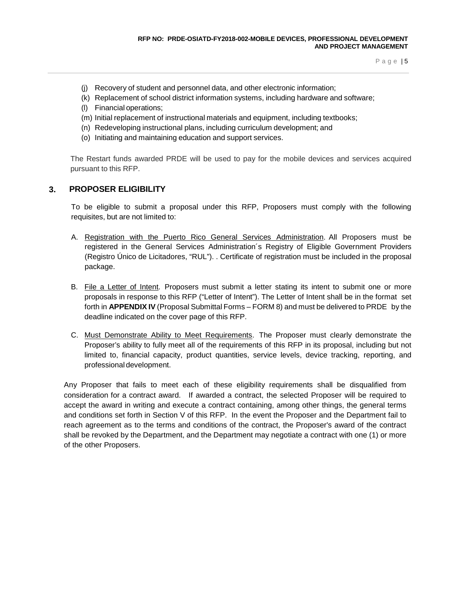- (j) Recovery of student and personnel data, and other electronic information;
- (k) Replacement of school district information systems, including hardware and software;
- (l) Financial operations;
- (m) Initial replacement of instructional materials and equipment, including textbooks;
- (n) Redeveloping instructional plans, including curriculum development; and
- (o) Initiating and maintaining education and support services.

The Restart funds awarded PRDE will be used to pay for the mobile devices and services acquired pursuant to this RFP.

### **3. PROPOSER ELIGIBILITY**

To be eligible to submit a proposal under this RFP, Proposers must comply with the following requisites, but are not limited to:

- A. Registration with the Puerto Rico General Services Administration. All Proposers must be registered in the General Services Administration´s Registry of Eligible Government Providers (Registro Único de Licitadores, "RUL"). . Certificate of registration must be included in the proposal package.
- B. File a Letter of Intent. Proposers must submit a letter stating its intent to submit one or more proposals in response to this RFP ("Letter of Intent"). The Letter of Intent shall be in the format set forth in **APPENDIX IV** (Proposal Submittal Forms – FORM 8) and must be delivered to PRDE by the deadline indicated on the cover page of this RFP.
- C. Must Demonstrate Ability to Meet Requirements. The Proposer must clearly demonstrate the Proposer's ability to fully meet all of the requirements of this RFP in its proposal, including but not limited to, financial capacity, product quantities, service levels, device tracking, reporting, and professional development.

Any Proposer that fails to meet each of these eligibility requirements shall be disqualified from consideration for a contract award. If awarded a contract, the selected Proposer will be required to accept the award in writing and execute a contract containing, among other things, the general terms and conditions set forth in Section V of this RFP. In the event the Proposer and the Department fail to reach agreement as to the terms and conditions of the contract, the Proposer's award of the contract shall be revoked by the Department, and the Department may negotiate a contract with one (1) or more of the other Proposers.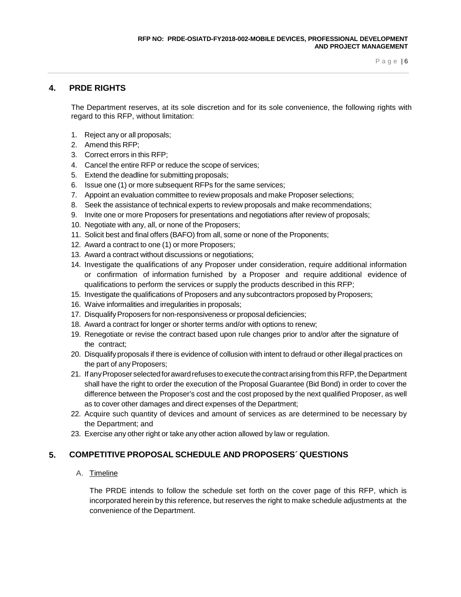# **4. PRDE RIGHTS**

The Department reserves, at its sole discretion and for its sole convenience, the following rights with regard to this RFP, without limitation:

- 1. Reject any or all proposals;
- 2. Amend this RFP;
- 3. Correct errors in this RFP;
- 4. Cancel the entire RFP or reduce the scope of services;
- 5. Extend the deadline for submitting proposals;
- 6. Issue one (1) or more subsequent RFPs for the same services;
- 7. Appoint an evaluation committee to review proposals and make Proposer selections;
- 8. Seek the assistance of technical experts to review proposals and make recommendations;
- 9. Invite one or more Proposers for presentations and negotiations after review of proposals;
- 10. Negotiate with any, all, or none of the Proposers;
- 11. Solicit best and final offers (BAFO) from all, some or none of the Proponents;
- 12. Award a contract to one (1) or more Proposers;
- 13. Award a contract without discussions or negotiations;
- 14. Investigate the qualifications of any Proposer under consideration, require additional information or confirmation of information furnished by a Proposer and require additional evidence of qualifications to perform the services or supply the products described in this RFP;
- 15. Investigate the qualifications of Proposers and any subcontractors proposed by Proposers;
- 16. Waive informalities and irregularities in proposals;
- 17. Disqualify Proposers for non-responsiveness or proposal deficiencies;
- 18. Award a contract for longer or shorter terms and/or with options to renew;
- 19. Renegotiate or revise the contract based upon rule changes prior to and/or after the signature of the contract;
- 20. Disqualifyproposals if there is evidence of collusion with intent to defraud or other illegal practices on the part of any Proposers;
- 21. If any Proposer selected for award refuses to execute the contract arising from this RFP, the Department shall have the right to order the execution of the Proposal Guarantee (Bid Bond) in order to cover the difference between the Proposer's cost and the cost proposed by the next qualified Proposer, as well as to cover other damages and direct expenses of the Department;
- 22. Acquire such quantity of devices and amount of services as are determined to be necessary by the Department; and
- 23. Exercise any other right or take any other action allowed by law or regulation.

# **5. COMPETITIVE PROPOSAL SCHEDULE AND PROPOSERS´ QUESTIONS**

A. Timeline

The PRDE intends to follow the schedule set forth on the cover page of this RFP, which is incorporated herein by this reference, but reserves the right to make schedule adjustments at the convenience of the Department.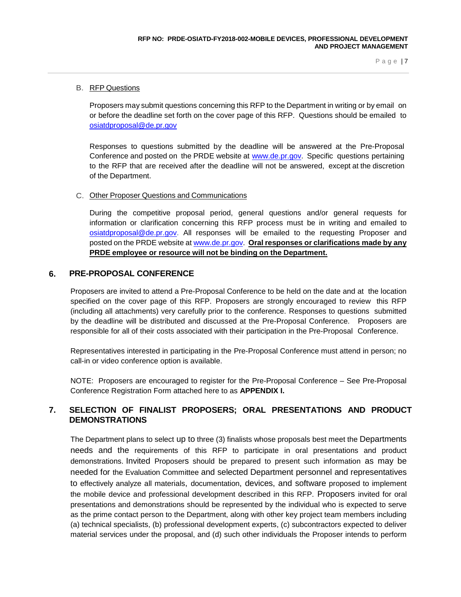### B. RFP Questions

Proposers may submit questions concerning this RFP to the Department in writing or by email on or before the deadline set forth on the cover page of this RFP. Questions should be emailed to [osiatdproposal@de.pr.gov](mailto:osiatdproposal@de.pr.gov)

Responses to questions submitted by the deadline will be answered at the Pre-Proposal Conference and posted on the PRDE website at [www.de.pr.gov.](http://www.de.pr.gov/) Specific questions pertaining to the RFP that are received after the deadline will not be answered, except at the discretion of the Department.

#### C. Other Proposer Questions and Communications

During the competitive proposal period, general questions and/or general requests for information or clarification concerning this RFP process must be in writing and emailed to [osiatdproposal@de.pr.gov.](mailto:osiatdproposal@de.pr.gov) All responses will be emailed to the requesting Proposer and posted on the PRDE website at [www.de.pr.gov.](http://www.de.pr.gov/) **Oral responses or clarifications made by any PRDE employee or resource will not be binding on the Department.**

### **6. PRE-PROPOSAL CONFERENCE**

Proposers are invited to attend a Pre-Proposal Conference to be held on the date and at the location specified on the cover page of this RFP. Proposers are strongly encouraged to review this RFP (including all attachments) very carefully prior to the conference. Responses to questions submitted by the deadline will be distributed and discussed at the Pre-Proposal Conference. Proposers are responsible for all of their costs associated with their participation in the Pre-Proposal Conference.

Representatives interested in participating in the Pre-Proposal Conference must attend in person; no call-in or video conference option is available.

NOTE: Proposers are encouraged to register for the Pre-Proposal Conference – See Pre-Proposal Conference Registration Form attached here to as **APPENDIX I.**

# **7. SELECTION OF FINALIST PROPOSERS; ORAL PRESENTATIONS AND PRODUCT DEMONSTRATIONS**

The Department plans to select up to three (3) finalists whose proposals best meet the Departments needs and the requirements of this RFP to participate in oral presentations and product demonstrations. Invited Proposers should be prepared to present such information as may be needed for the Evaluation Committee and selected Department personnel and representatives to effectively analyze all materials, documentation, devices, and software proposed to implement the mobile device and professional development described in this RFP. Proposers invited for oral presentations and demonstrations should be represented by the individual who is expected to serve as the prime contact person to the Department, along with other key project team members including (a) technical specialists, (b) professional development experts, (c) subcontractors expected to deliver material services under the proposal, and (d) such other individuals the Proposer intends to perform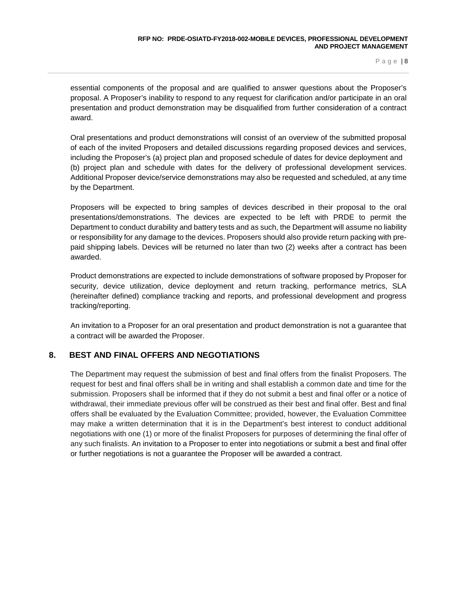essential components of the proposal and are qualified to answer questions about the Proposer's proposal. A Proposer's inability to respond to any request for clarification and/or participate in an oral presentation and product demonstration may be disqualified from further consideration of a contract award.

Oral presentations and product demonstrations will consist of an overview of the submitted proposal of each of the invited Proposers and detailed discussions regarding proposed devices and services, including the Proposer's (a) project plan and proposed schedule of dates for device deployment and (b) project plan and schedule with dates for the delivery of professional development services. Additional Proposer device/service demonstrations may also be requested and scheduled, at any time by the Department.

Proposers will be expected to bring samples of devices described in their proposal to the oral presentations/demonstrations. The devices are expected to be left with PRDE to permit the Department to conduct durability and battery tests and as such, the Department will assume no liability or responsibility for any damage to the devices. Proposers should also provide return packing with prepaid shipping labels. Devices will be returned no later than two (2) weeks after a contract has been awarded.

Product demonstrations are expected to include demonstrations of software proposed by Proposer for security, device utilization, device deployment and return tracking, performance metrics, SLA (hereinafter defined) compliance tracking and reports, and professional development and progress tracking/reporting.

An invitation to a Proposer for an oral presentation and product demonstration is not a guarantee that a contract will be awarded the Proposer.

# **8. BEST AND FINAL OFFERS AND NEGOTIATIONS**

The Department may request the submission of best and final offers from the finalist Proposers. The request for best and final offers shall be in writing and shall establish a common date and time for the submission. Proposers shall be informed that if they do not submit a best and final offer or a notice of withdrawal, their immediate previous offer will be construed as their best and final offer. Best and final offers shall be evaluated by the Evaluation Committee; provided, however, the Evaluation Committee may make a written determination that it is in the Department's best interest to conduct additional negotiations with one (1) or more of the finalist Proposers for purposes of determining the final offer of any such finalists. An invitation to a Proposer to enter into negotiations or submit a best and final offer or further negotiations is not a guarantee the Proposer will be awarded a contract.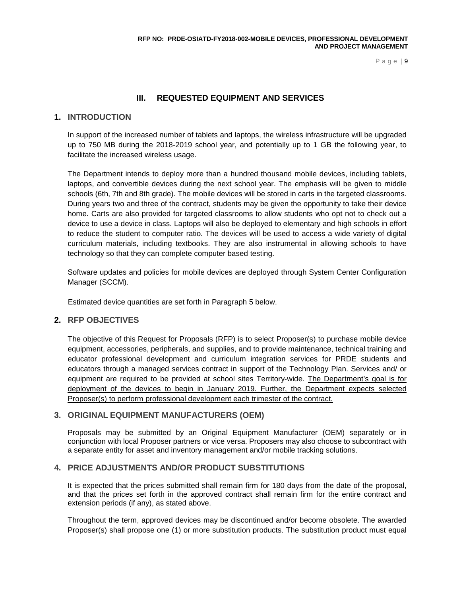# **III. REQUESTED EQUIPMENT AND SERVICES**

### <span id="page-11-0"></span>**1. INTRODUCTION**

In support of the increased number of tablets and laptops, the wireless infrastructure will be upgraded up to 750 MB during the 2018-2019 school year, and potentially up to 1 GB the following year, to facilitate the increased wireless usage.

The Department intends to deploy more than a hundred thousand mobile devices, including tablets, laptops, and convertible devices during the next school year. The emphasis will be given to middle schools (6th, 7th and 8th grade). The mobile devices will be stored in carts in the targeted classrooms. During years two and three of the contract, students may be given the opportunity to take their device home. Carts are also provided for targeted classrooms to allow students who opt not to check out a device to use a device in class. Laptops will also be deployed to elementary and high schools in effort to reduce the student to computer ratio. The devices will be used to access a wide variety of digital curriculum materials, including textbooks. They are also instrumental in allowing schools to have technology so that they can complete computer based testing.

Software updates and policies for mobile devices are deployed through System Center Configuration Manager (SCCM).

Estimated device quantities are set forth in Paragraph 5 below.

### **2. RFP OBJECTIVES**

The objective of this Request for Proposals (RFP) is to select Proposer(s) to purchase mobile device equipment, accessories, peripherals, and supplies, and to provide maintenance, technical training and educator professional development and curriculum integration services for PRDE students and educators through a managed services contract in support of the Technology Plan. Services and/ or equipment are required to be provided at school sites Territory-wide. The Department's goal is for deployment of the devices to begin in January 2019. Further, the Department expects selected Proposer(s) to perform professional development each trimester of the contract.

### **3. ORIGINAL EQUIPMENT MANUFACTURERS (OEM)**

Proposals may be submitted by an Original Equipment Manufacturer (OEM) separately or in conjunction with local Proposer partners or vice versa. Proposers may also choose to subcontract with a separate entity for asset and inventory management and/or mobile tracking solutions.

### **4. PRICE ADJUSTMENTS AND/OR PRODUCT SUBSTITUTIONS**

It is expected that the prices submitted shall remain firm for 180 days from the date of the proposal, and that the prices set forth in the approved contract shall remain firm for the entire contract and extension periods (if any), as stated above.

Throughout the term, approved devices may be discontinued and/or become obsolete. The awarded Proposer(s) shall propose one (1) or more substitution products. The substitution product must equal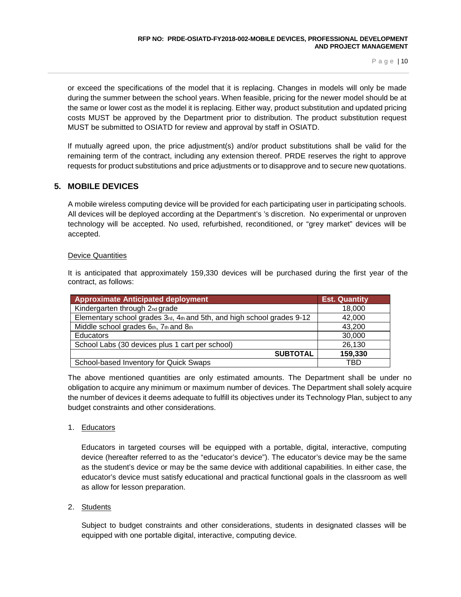or exceed the specifications of the model that it is replacing. Changes in models will only be made during the summer between the school years. When feasible, pricing for the newer model should be at the same or lower cost as the model it is replacing. Either way, product substitution and updated pricing costs MUST be approved by the Department prior to distribution. The product substitution request MUST be submitted to OSIATD for review and approval by staff in OSIATD.

If mutually agreed upon, the price adjustment(s) and/or product substitutions shall be valid for the remaining term of the contract, including any extension thereof. PRDE reserves the right to approve requests for product substitutions and price adjustments or to disapprove and to secure new quotations.

# **5. MOBILE DEVICES**

A mobile wireless computing device will be provided for each participating user in participating schools. All devices will be deployed according at the Department's 's discretion. No experimental or unproven technology will be accepted. No used, refurbished, reconditioned, or "grey market" devices will be accepted.

### Device Quantities

It is anticipated that approximately 159,330 devices will be purchased during the first year of the contract, as follows:

| <b>Approximate Anticipated deployment</b>                              | <b>Est. Quantity</b> |
|------------------------------------------------------------------------|----------------------|
| Kindergarten through 2nd grade                                         | 18,000               |
| Elementary school grades 3rd, 4th and 5th, and high school grades 9-12 | 42,000               |
| Middle school grades 6th, 7th and 8th                                  | 43,200               |
| <b>Educators</b>                                                       | 30,000               |
| School Labs (30 devices plus 1 cart per school)                        | 26,130               |
| <b>SUBTOTAL</b>                                                        | 159,330              |
| School-based Inventory for Quick Swaps                                 | TBD                  |

The above mentioned quantities are only estimated amounts. The Department shall be under no obligation to acquire any minimum or maximum number of devices. The Department shall solely acquire the number of devices it deems adequate to fulfill its objectives under its Technology Plan, subject to any budget constraints and other considerations.

### 1. Educators

Educators in targeted courses will be equipped with a portable, digital, interactive, computing device (hereafter referred to as the "educator's device"). The educator's device may be the same as the student's device or may be the same device with additional capabilities. In either case, the educator's device must satisfy educational and practical functional goals in the classroom as well as allow for lesson preparation.

### 2. Students

Subject to budget constraints and other considerations, students in designated classes will be equipped with one portable digital, interactive, computing device.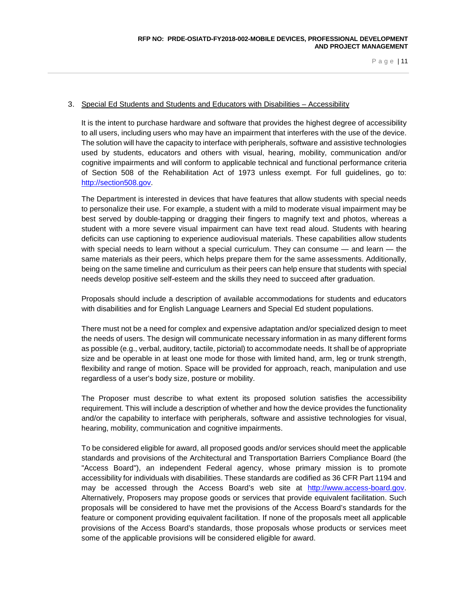#### 3. Special Ed Students and Students and Educators with Disabilities – Accessibility

It is the intent to purchase hardware and software that provides the highest degree of accessibility to all users, including users who may have an impairment that interferes with the use of the device. The solution will have the capacity to interface with peripherals, software and assistive technologies used by students, educators and others with visual, hearing, mobility, communication and/or cognitive impairments and will conform to applicable technical and functional performance criteria of Section 508 of the Rehabilitation Act of 1973 unless exempt. For full guidelines, go to: [http://section508.gov.](http://section508.gov/)

The Department is interested in devices that have features that allow students with special needs to personalize their use. For example, a student with a mild to moderate visual impairment may be best served by double-tapping or dragging their fingers to magnify text and photos, whereas a student with a more severe visual impairment can have text read aloud. Students with hearing deficits can use captioning to experience audiovisual materials. These capabilities allow students with special needs to learn without a special curriculum. They can consume — and learn — the same materials as their peers, which helps prepare them for the same assessments. Additionally, being on the same timeline and curriculum as their peers can help ensure that students with special needs develop positive self-esteem and the skills they need to succeed after graduation.

Proposals should include a description of available accommodations for students and educators with disabilities and for English Language Learners and Special Ed student populations.

There must not be a need for complex and expensive adaptation and/or specialized design to meet the needs of users. The design will communicate necessary information in as many different forms as possible (e.g., verbal, auditory, tactile, pictorial) to accommodate needs. It shall be of appropriate size and be operable in at least one mode for those with limited hand, arm, leg or trunk strength, flexibility and range of motion. Space will be provided for approach, reach, manipulation and use regardless of a user's body size, posture or mobility.

The Proposer must describe to what extent its proposed solution satisfies the accessibility requirement. This will include a description of whether and how the device provides the functionality and/or the capability to interface with peripherals, software and assistive technologies for visual, hearing, mobility, communication and cognitive impairments.

To be considered eligible for award, all proposed goods and/or services should meet the applicable standards and provisions of the Architectural and Transportation Barriers Compliance Board (the "Access Board"), an independent Federal agency, whose primary mission is to promote accessibility for individuals with disabilities. These standards are codified as 36 CFR Part 1194 and may be accessed through the Access Board's web site at [http://www.access-board.gov.](http://www.access-board.gov/) Alternatively, Proposers may propose goods or services that provide equivalent facilitation. Such proposals will be considered to have met the provisions of the Access Board's standards for the feature or component providing equivalent facilitation. If none of the proposals meet all applicable provisions of the Access Board's standards, those proposals whose products or services meet some of the applicable provisions will be considered eligible for award.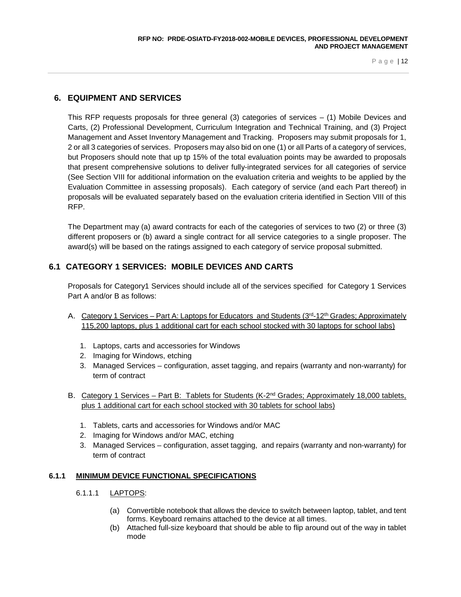# **6. EQUIPMENT AND SERVICES**

This RFP requests proposals for three general (3) categories of services – (1) Mobile Devices and Carts, (2) Professional Development, Curriculum Integration and Technical Training, and (3) Project Management and Asset Inventory Management and Tracking. Proposers may submit proposals for 1, 2 or all 3 categories of services. Proposers may also bid on one (1) or all Parts of a category of services, but Proposers should note that up tp 15% of the total evaluation points may be awarded to proposals that present comprehensive solutions to deliver fully-integrated services for all categories of service (See Section VIII for additional information on the evaluation criteria and weights to be applied by the Evaluation Committee in assessing proposals). Each category of service (and each Part thereof) in proposals will be evaluated separately based on the evaluation criteria identified in Section VIII of this RFP.

The Department may (a) award contracts for each of the categories of services to two (2) or three (3) different proposers or (b) award a single contract for all service categories to a single proposer. The award(s) will be based on the ratings assigned to each category of service proposal submitted.

# **6.1 CATEGORY 1 SERVICES: MOBILE DEVICES AND CARTS**

Proposals for Category1 Services should include all of the services specified for Category 1 Services Part A and/or B as follows:

- A. Category 1 Services Part A: Laptops for Educators and Students (3rd-12th Grades; Approximately 115,200 laptops, plus 1 additional cart for each school stocked with 30 laptops for school labs)
	- 1. Laptops, carts and accessories for Windows
	- 2. Imaging for Windows, etching
	- 3. Managed Services configuration, asset tagging, and repairs (warranty and non-warranty) for term of contract
- B. Category 1 Services Part B: Tablets for Students (K-2<sup>nd</sup> Grades; Approximately 18,000 tablets, plus 1 additional cart for each school stocked with 30 tablets for school labs)
	- 1. Tablets, carts and accessories for Windows and/or MAC
	- 2. Imaging for Windows and/or MAC, etching
	- 3. Managed Services configuration, asset tagging, and repairs (warranty and non-warranty) for term of contract

### **6.1.1 MINIMUM DEVICE FUNCTIONAL SPECIFICATIONS**

### 6.1.1.1 LAPTOPS:

- (a) Convertible notebook that allows the device to switch between laptop, tablet, and tent forms. Keyboard remains attached to the device at all times.
- (b) Attached full-size keyboard that should be able to flip around out of the way in tablet mode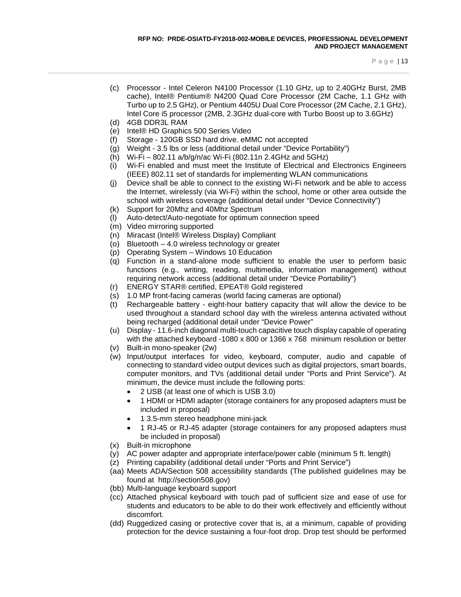- (c) Processor Intel Celeron N4100 Processor (1.10 GHz, up to 2.40GHz Burst, 2MB cache), Intel® Pentium® N4200 Quad Core Processor (2M Cache, 1.1 GHz with Turbo up to 2.5 GHz), or Pentium 4405U Dual Core Processor (2M Cache, 2.1 GHz), Intel Core i5 processor (2MB, 2.3GHz dual-core with Turbo Boost up to 3.6GHz)
- (d) 4GB DDR3L RAM
- (e) Intel® HD Graphics 500 Series Video
- (f) Storage 120GB SSD hard drive. eMMC not accepted
- (g) Weight 3.5 lbs or less (additional detail under "Device Portability")
- (h) Wi-Fi 802.11 a/b/g/n/ac Wi-Fi (802.11n 2.4GHz and 5GHz)
- (i) Wi-Fi enabled and must meet the Institute of Electrical and Electronics Engineers (IEEE) 802.11 set of standards for implementing WLAN communications
- (j) Device shall be able to connect to the existing Wi-Fi network and be able to access the Internet, wirelessly (via Wi-Fi) within the school, home or other area outside the school with wireless coverage (additional detail under "Device Connectivity")
- (k) Support for 20Mhz and 40Mhz Spectrum
- (l) Auto-detect/Auto-negotiate for optimum connection speed
- (m) Video mirroring supported
- (n) Miracast (Intel® Wireless Display) Compliant
- (o) Bluetooth 4.0 wireless technology or greater
- (p) Operating System Windows 10 Education
- (q) Function in a stand-alone mode sufficient to enable the user to perform basic functions (e.g., writing, reading, multimedia, information management) without requiring network access (additional detail under "Device Portability")
- (r) ENERGY STAR® certified, EPEAT® Gold registered
- (s) 1.0 MP front-facing cameras (world facing cameras are optional)
- (t) Rechargeable battery eight-hour battery capacity that will allow the device to be used throughout a standard school day with the wireless antenna activated without being recharged (additional detail under "Device Power"
- (u) Display 11.6-inch diagonal multi-touch capacitive touch display capable of operating with the attached keyboard -1080 x 800 or 1366 x 768 minimum resolution or better
- (v) Built-in mono-speaker (2w)
- (w) Input/output interfaces for video, keyboard, computer, audio and capable of connecting to standard video output devices such as digital projectors, smart boards, computer monitors, and TVs (additional detail under "Ports and Print Service"). At minimum, the device must include the following ports:
	- 2 USB (at least one of which is USB 3.0)
	- 1 HDMI or HDMI adapter (storage containers for any proposed adapters must be included in proposal)
	- 1 3.5-mm stereo headphone mini-jack
	- 1 RJ-45 or RJ-45 adapter (storage containers for any proposed adapters must be included in proposal)
- (x) Built-in microphone
- (y) AC power adapter and appropriate interface/power cable (minimum 5 ft. length)
- (z) Printing capability (additional detail under "Ports and Print Service")
- (aa) Meets ADA/Section 508 accessibility standards (The published guidelines may be found at [http://section508.gov\)](http://section508.gov/)
- (bb) Multi-language keyboard support
- (cc) Attached physical keyboard with touch pad of sufficient size and ease of use for students and educators to be able to do their work effectively and efficiently without discomfort.
- (dd) Ruggedized casing or protective cover that is, at a minimum, capable of providing protection for the device sustaining a four-foot drop. Drop test should be performed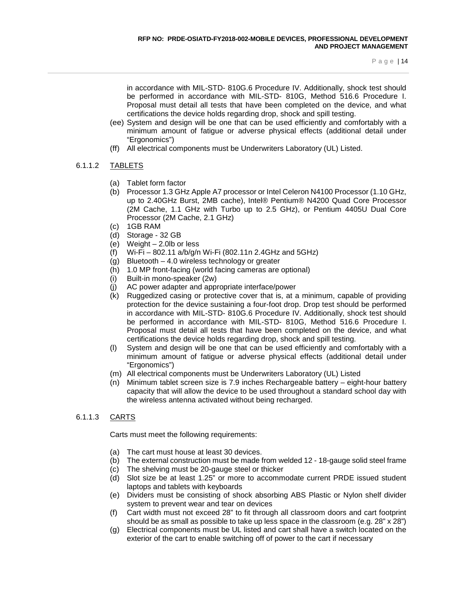in accordance with MIL-STD- 810G.6 Procedure IV. Additionally, shock test should be performed in accordance with MIL-STD- 810G, Method 516.6 Procedure I. Proposal must detail all tests that have been completed on the device, and what certifications the device holds regarding drop, shock and spill testing.

- (ee) System and design will be one that can be used efficiently and comfortably with a minimum amount of fatigue or adverse physical effects (additional detail under "Ergonomics")
- (ff) All electrical components must be Underwriters Laboratory (UL) Listed.

### 6.1.1.2 TABLETS

- (a) Tablet form factor
- (b) Processor 1.3 GHz Apple A7 processor or Intel Celeron N4100 Processor (1.10 GHz, up to 2.40GHz Burst, 2MB cache), Intel® Pentium® N4200 Quad Core Processor (2M Cache, 1.1 GHz with Turbo up to 2.5 GHz), or Pentium 4405U Dual Core Processor (2M Cache, 2.1 GHz)
- (c) 1GB RAM
- (d) Storage 32 GB
- (e) Weight 2.0lb or less
- (f) Wi-Fi 802.11 a/b/g/n Wi-Fi (802.11n 2.4GHz and 5GHz)
- (g) Bluetooth 4.0 wireless technology or greater
- (h) 1.0 MP front-facing (world facing cameras are optional)
- (i) Built-in mono-speaker (2w)
- (j) AC power adapter and appropriate interface/power
- (k) Ruggedized casing or protective cover that is, at a minimum, capable of providing protection for the device sustaining a four-foot drop. Drop test should be performed in accordance with MIL-STD- 810G.6 Procedure IV. Additionally, shock test should be performed in accordance with MIL-STD- 810G, Method 516.6 Procedure I. Proposal must detail all tests that have been completed on the device, and what certifications the device holds regarding drop, shock and spill testing.
- (l) System and design will be one that can be used efficiently and comfortably with a minimum amount of fatigue or adverse physical effects (additional detail under "Ergonomics")
- (m) All electrical components must be Underwriters Laboratory (UL) Listed
- (n) Minimum tablet screen size is 7.9 inches Rechargeable battery eight-hour battery capacity that will allow the device to be used throughout a standard school day with the wireless antenna activated without being recharged.

### 6.1.1.3 CARTS

Carts must meet the following requirements:

- (a) The cart must house at least 30 devices.
- (b) The external construction must be made from welded 12 18-gauge solid steel frame
- (c) The shelving must be 20-gauge steel or thicker
- (d) Slot size be at least 1.25" or more to accommodate current PRDE issued student laptops and tablets with keyboards
- (e) Dividers must be consisting of shock absorbing ABS Plastic or Nylon shelf divider system to prevent wear and tear on devices
- (f) Cart width must not exceed 28" to fit through all classroom doors and cart footprint should be as small as possible to take up less space in the classroom (e.g.  $28" \times 28"$ )
- (g) Electrical components must be UL listed and cart shall have a switch located on the exterior of the cart to enable switching off of power to the cart if necessary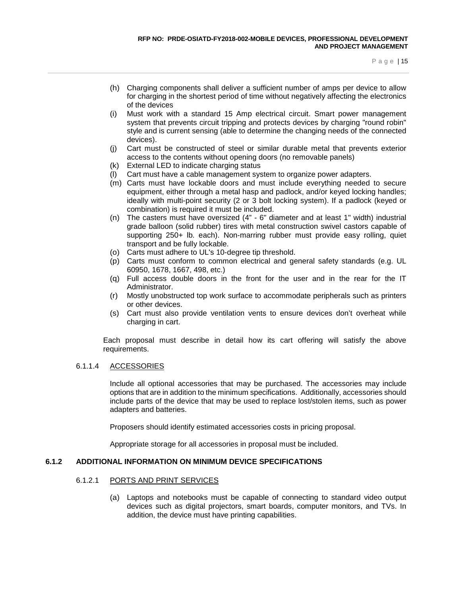- (h) Charging components shall deliver a sufficient number of amps per device to allow for charging in the shortest period of time without negatively affecting the electronics of the devices
- (i) Must work with a standard 15 Amp electrical circuit. Smart power management system that prevents circuit tripping and protects devices by charging "round robin" style and is current sensing (able to determine the changing needs of the connected devices).
- (j) Cart must be constructed of steel or similar durable metal that prevents exterior access to the contents without opening doors (no removable panels)
- (k) External LED to indicate charging status
- Cart must have a cable management system to organize power adapters.
- (m) Carts must have lockable doors and must include everything needed to secure equipment, either through a metal hasp and padlock, and/or keyed locking handles; ideally with multi-point security (2 or 3 bolt locking system). If a padlock (keyed or combination) is required it must be included.
- (n) The casters must have oversized (4" 6" diameter and at least 1" width) industrial grade balloon (solid rubber) tires with metal construction swivel castors capable of supporting 250+ lb. each). Non-marring rubber must provide easy rolling, quiet transport and be fully lockable.
- (o) Carts must adhere to UL's 10-degree tip threshold.
- (p) Carts must conform to common electrical and general safety standards (e.g. UL 60950, 1678, 1667, 498, etc.)
- (q) Full access double doors in the front for the user and in the rear for the IT Administrator.
- (r) Mostly unobstructed top work surface to accommodate peripherals such as printers or other devices.
- (s) Cart must also provide ventilation vents to ensure devices don't overheat while charging in cart.

Each proposal must describe in detail how its cart offering will satisfy the above requirements.

#### 6.1.1.4 ACCESSORIES

Include all optional accessories that may be purchased. The accessories may include options that are in addition to the minimum specifications. Additionally, accessories should include parts of the device that may be used to replace lost/stolen items, such as power adapters and batteries.

Proposers should identify estimated accessories costs in pricing proposal.

Appropriate storage for all accessories in proposal must be included.

#### **6.1.2 ADDITIONAL INFORMATION ON MINIMUM DEVICE SPECIFICATIONS**

#### 6.1.2.1 PORTS AND PRINT SERVICES

(a) Laptops and notebooks must be capable of connecting to standard video output devices such as digital projectors, smart boards, computer monitors, and TVs. In addition, the device must have printing capabilities.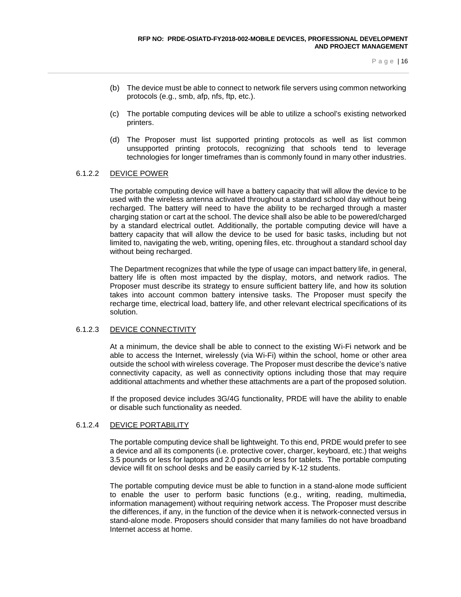- (b) The device must be able to connect to network file servers using common networking protocols (e.g., smb, afp, nfs, ftp, etc.).
- (c) The portable computing devices will be able to utilize a school's existing networked printers.
- (d) The Proposer must list supported printing protocols as well as list common unsupported printing protocols, recognizing that schools tend to leverage technologies for longer timeframes than is commonly found in many other industries.

### 6.1.2.2 DEVICE POWER

The portable computing device will have a battery capacity that will allow the device to be used with the wireless antenna activated throughout a standard school day without being recharged. The battery will need to have the ability to be recharged through a master charging station or cart at the school. The device shall also be able to be powered/charged by a standard electrical outlet. Additionally, the portable computing device will have a battery capacity that will allow the device to be used for basic tasks, including but not limited to, navigating the web, writing, opening files, etc. throughout a standard school day without being recharged.

The Department recognizes that while the type of usage can impact battery life, in general, battery life is often most impacted by the display, motors, and network radios. The Proposer must describe its strategy to ensure sufficient battery life, and how its solution takes into account common battery intensive tasks. The Proposer must specify the recharge time, electrical load, battery life, and other relevant electrical specifications of its solution.

#### 6.1.2.3 DEVICE CONNECTIVITY

At a minimum, the device shall be able to connect to the existing Wi-Fi network and be able to access the Internet, wirelessly (via Wi-Fi) within the school, home or other area outside the school with wireless coverage. The Proposer must describe the device's native connectivity capacity, as well as connectivity options including those that may require additional attachments and whether these attachments are a part of the proposed solution.

If the proposed device includes 3G/4G functionality, PRDE will have the ability to enable or disable such functionality as needed.

### 6.1.2.4 DEVICE PORTABILITY

The portable computing device shall be lightweight. To this end, PRDE would prefer to see a device and all its components (i.e. protective cover, charger, keyboard, etc.) that weighs 3.5 pounds or less for laptops and 2.0 pounds or less for tablets. The portable computing device will fit on school desks and be easily carried by K-12 students.

The portable computing device must be able to function in a stand-alone mode sufficient to enable the user to perform basic functions (e.g., writing, reading, multimedia, information management) without requiring network access. The Proposer must describe the differences, if any, in the function of the device when it is network-connected versus in stand-alone mode. Proposers should consider that many families do not have broadband Internet access at home.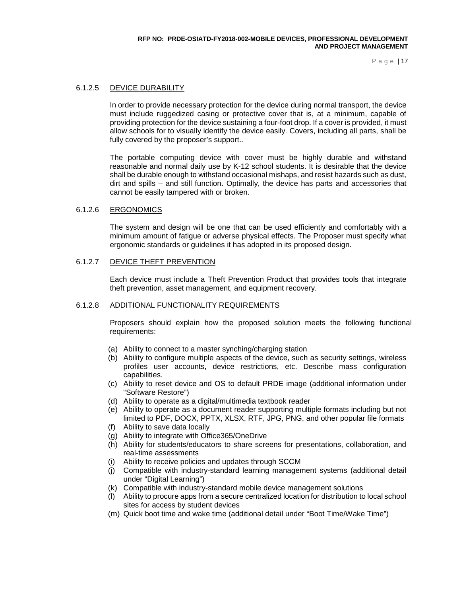#### 6.1.2.5 DEVICE DURABILITY

In order to provide necessary protection for the device during normal transport, the device must include ruggedized casing or protective cover that is, at a minimum, capable of providing protection for the device sustaining a four-foot drop. If a cover is provided, it must allow schools for to visually identify the device easily. Covers, including all parts, shall be fully covered by the proposer's support..

The portable computing device with cover must be highly durable and withstand reasonable and normal daily use by K-12 school students. It is desirable that the device shall be durable enough to withstand occasional mishaps, and resist hazards such as dust, dirt and spills – and still function. Optimally, the device has parts and accessories that cannot be easily tampered with or broken.

#### 6.1.2.6 ERGONOMICS

The system and design will be one that can be used efficiently and comfortably with a minimum amount of fatigue or adverse physical effects. The Proposer must specify what ergonomic standards or guidelines it has adopted in its proposed design.

#### 6.1.2.7 DEVICE THEFT PREVENTION

Each device must include a Theft Prevention Product that provides tools that integrate theft prevention, asset management, and equipment recovery.

#### 6.1.2.8 ADDITIONAL FUNCTIONALITY REQUIREMENTS

Proposers should explain how the proposed solution meets the following functional requirements:

- (a) Ability to connect to a master synching/charging station
- (b) Ability to configure multiple aspects of the device, such as security settings, wireless profiles user accounts, device restrictions, etc. Describe mass configuration capabilities.
- (c) Ability to reset device and OS to default PRDE image (additional information under "Software Restore")
- (d) Ability to operate as a digital/multimedia textbook reader
- (e) Ability to operate as a document reader supporting multiple formats including but not limited to PDF, DOCX, PPTX, XLSX, RTF, JPG, PNG, and other popular file formats
- (f) Ability to save data locally
- (g) Ability to integrate with Office365/OneDrive
- (h) Ability for students/educators to share screens for presentations, collaboration, and real-time assessments
- (i) Ability to receive policies and updates through SCCM
- (j) Compatible with industry-standard learning management systems (additional detail under "Digital Learning")
- (k) Compatible with industry-standard mobile device management solutions
- (l) Ability to procure apps from a secure centralized location for distribution to local school sites for access by student devices
- (m) Quick boot time and wake time (additional detail under "Boot Time/Wake Time")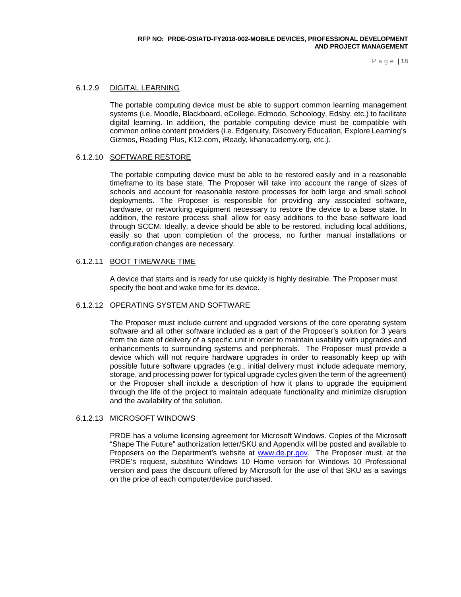#### 6.1.2.9 DIGITAL LEARNING

The portable computing device must be able to support common learning management systems (i.e. Moodle, Blackboard, eCollege, Edmodo, Schoology, Edsby, etc.) to facilitate digital learning. In addition, the portable computing device must be compatible with common online content providers (i.e. Edgenuity, Discovery Education, Explore Learning's Gizmos, Reading Plus, K12.com, iReady, khanacademy.org, etc.).

#### 6.1.2.10 SOFTWARE RESTORE

The portable computing device must be able to be restored easily and in a reasonable timeframe to its base state. The Proposer will take into account the range of sizes of schools and account for reasonable restore processes for both large and small school deployments. The Proposer is responsible for providing any associated software, hardware, or networking equipment necessary to restore the device to a base state. In addition, the restore process shall allow for easy additions to the base software load through SCCM. Ideally, a device should be able to be restored, including local additions, easily so that upon completion of the process, no further manual installations or configuration changes are necessary.

#### 6.1.2.11 BOOT TIME/WAKE TIME

A device that starts and is ready for use quickly is highly desirable. The Proposer must specify the boot and wake time for its device.

#### 6.1.2.12 OPERATING SYSTEM AND SOFTWARE

The Proposer must include current and upgraded versions of the core operating system software and all other software included as a part of the Proposer's solution for 3 years from the date of delivery of a specific unit in order to maintain usability with upgrades and enhancements to surrounding systems and peripherals. The Proposer must provide a device which will not require hardware upgrades in order to reasonably keep up with possible future software upgrades (e.g., initial delivery must include adequate memory, storage, and processing power for typical upgrade cycles given the term of the agreement) or the Proposer shall include a description of how it plans to upgrade the equipment through the life of the project to maintain adequate functionality and minimize disruption and the availability of the solution.

#### 6.1.2.13 MICROSOFT WINDOWS

PRDE has a volume licensing agreement for Microsoft Windows. Copies of the Microsoft "Shape The Future" authorization letter/SKU and Appendix will be posted and available to Proposers on the Department's website at [www.de.pr.gov.](http://www.de.pr.gov/) The Proposer must, at the PRDE's request, substitute Windows 10 Home version for Windows 10 Professional version and pass the discount offered by Microsoft for the use of that SKU as a savings on the price of each computer/device purchased.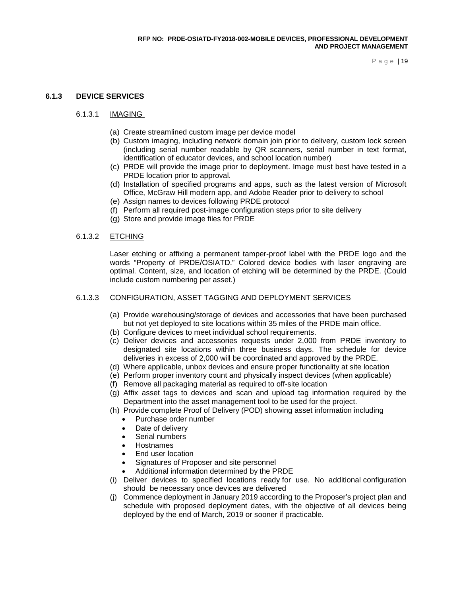### **6.1.3 DEVICE SERVICES**

#### 6.1.3.1 IMAGING

- (a) Create streamlined custom image per device model
- (b) Custom imaging, including network domain join prior to delivery, custom lock screen (including serial number readable by QR scanners, serial number in text format, identification of educator devices, and school location number)
- (c) PRDE will provide the image prior to deployment. Image must best have tested in a PRDE location prior to approval.
- (d) Installation of specified programs and apps, such as the latest version of Microsoft Office, McGraw Hill modern app, and Adobe Reader prior to delivery to school
- (e) Assign names to devices following PRDE protocol
- (f) Perform all required post-image configuration steps prior to site delivery
- (g) Store and provide image files for PRDE

#### 6.1.3.2 ETCHING

Laser etching or affixing a permanent tamper-proof label with the PRDE logo and the words "Property of PRDE/OSIATD." Colored device bodies with laser engraving are optimal. Content, size, and location of etching will be determined by the PRDE. (Could include custom numbering per asset.)

#### 6.1.3.3 CONFIGURATION, ASSET TAGGING AND DEPLOYMENT SERVICES

- (a) Provide warehousing/storage of devices and accessories that have been purchased but not yet deployed to site locations within 35 miles of the PRDE main office.
- (b) Configure devices to meet individual school requirements.
- (c) Deliver devices and accessories requests under 2,000 from PRDE inventory to designated site locations within three business days. The schedule for device deliveries in excess of 2,000 will be coordinated and approved by the PRDE.
- (d) Where applicable, unbox devices and ensure proper functionality at site location
- (e) Perform proper inventory count and physically inspect devices (when applicable)
- (f) Remove all packaging material as required to off-site location
- (g) Affix asset tags to devices and scan and upload tag information required by the Department into the asset management tool to be used for the project.
- (h) Provide complete Proof of Delivery (POD) showing asset information including
	- Purchase order number
	- Date of delivery
	- Serial numbers
	- Hostnames
	- End user location
	- Signatures of Proposer and site personnel
	- Additional information determined by the PRDE
- (i) Deliver devices to specified locations ready for use. No additional configuration should be necessary once devices are delivered
- (j) Commence deployment in January 2019 according to the Proposer's project plan and schedule with proposed deployment dates, with the objective of all devices being deployed by the end of March, 2019 or sooner if practicable.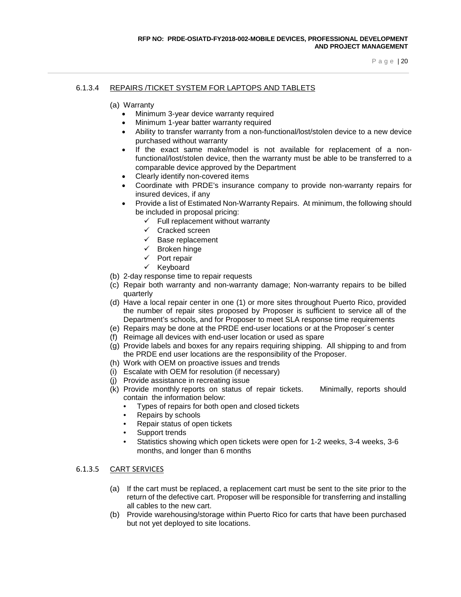#### 6.1.3.4 REPAIRS /TICKET SYSTEM FOR LAPTOPS AND TABLETS

- (a) Warranty
	- Minimum 3-year device warranty required
	- Minimum 1-year batter warranty required
	- Ability to transfer warranty from a non-functional/lost/stolen device to a new device purchased without warranty
	- If the exact same make/model is not available for replacement of a nonfunctional/lost/stolen device, then the warranty must be able to be transferred to a comparable device approved by the Department
	- Clearly identify non-covered items
	- Coordinate with PRDE's insurance company to provide non-warranty repairs for insured devices, if any
	- Provide a list of Estimated Non-Warranty Repairs. At minimum, the following should be included in proposal pricing:
		- $\checkmark$  Full replacement without warranty
		- $\checkmark$  Cracked screen
		- $\checkmark$  Base replacement
		- $\checkmark$  Broken hinge
		- $\checkmark$  Port repair
		- $\checkmark$  Keyboard
- (b) 2-day response time to repair requests
- (c) Repair both warranty and non-warranty damage; Non-warranty repairs to be billed quarterly
- (d) Have a local repair center in one (1) or more sites throughout Puerto Rico, provided the number of repair sites proposed by Proposer is sufficient to service all of the Department's schools, and for Proposer to meet SLA response time requirements
- (e) Repairs may be done at the PRDE end-user locations or at the Proposer´s center
- (f) Reimage all devices with end-user location or used as spare
- (g) Provide labels and boxes for any repairs requiring shipping. All shipping to and from the PRDE end user locations are the responsibility of the Proposer.
- (h) Work with OEM on proactive issues and trends
- (i) Escalate with OEM for resolution (if necessary)
- (j) Provide assistance in recreating issue
- (k) Provide monthly reports on status of repair tickets. Minimally, reports should contain the information below:
	- Types of repairs for both open and closed tickets
	- Repairs by schools
	- Repair status of open tickets
	- Support trends
	- Statistics showing which open tickets were open for 1-2 weeks, 3-4 weeks, 3-6 months, and longer than 6 months

#### 6.1.3.5 CART SERVICES

- (a) If the cart must be replaced, a replacement cart must be sent to the site prior to the return of the defective cart. Proposer will be responsible for transferring and installing all cables to the new cart.
- (b) Provide warehousing/storage within Puerto Rico for carts that have been purchased but not yet deployed to site locations.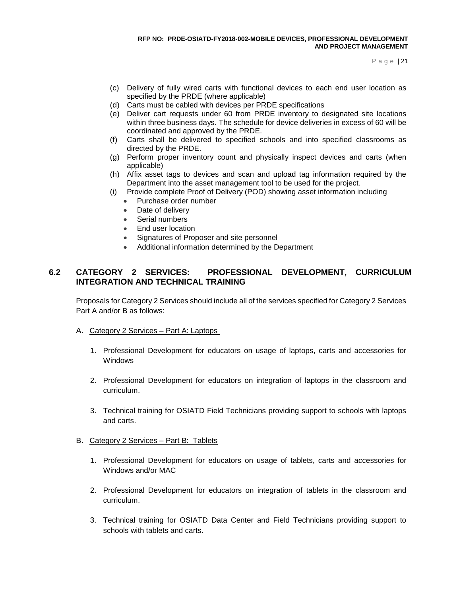- (c) Delivery of fully wired carts with functional devices to each end user location as specified by the PRDE (where applicable)
- (d) Carts must be cabled with devices per PRDE specifications
- (e) Deliver cart requests under 60 from PRDE inventory to designated site locations within three business days. The schedule for device deliveries in excess of 60 will be coordinated and approved by the PRDE.
- (f) Carts shall be delivered to specified schools and into specified classrooms as directed by the PRDE.
- (g) Perform proper inventory count and physically inspect devices and carts (when applicable)
- (h) Affix asset tags to devices and scan and upload tag information required by the Department into the asset management tool to be used for the project.
- (i) Provide complete Proof of Delivery (POD) showing asset information including
	- Purchase order number
	- Date of delivery
	- Serial numbers
	- End user location
	- Signatures of Proposer and site personnel
	- Additional information determined by the Department

# **6.2 CATEGORY 2 SERVICES: PROFESSIONAL DEVELOPMENT, CURRICULUM INTEGRATION AND TECHNICAL TRAINING**

Proposals for Category 2 Services should include all of the services specified for Category 2 Services Part A and/or B as follows:

- A. Category 2 Services Part A: Laptops
	- 1. Professional Development for educators on usage of laptops, carts and accessories for **Windows**
	- 2. Professional Development for educators on integration of laptops in the classroom and curriculum.
	- 3. Technical training for OSIATD Field Technicians providing support to schools with laptops and carts.
- B. Category 2 Services Part B: Tablets
	- 1. Professional Development for educators on usage of tablets, carts and accessories for Windows and/or MAC
	- 2. Professional Development for educators on integration of tablets in the classroom and curriculum.
	- 3. Technical training for OSIATD Data Center and Field Technicians providing support to schools with tablets and carts.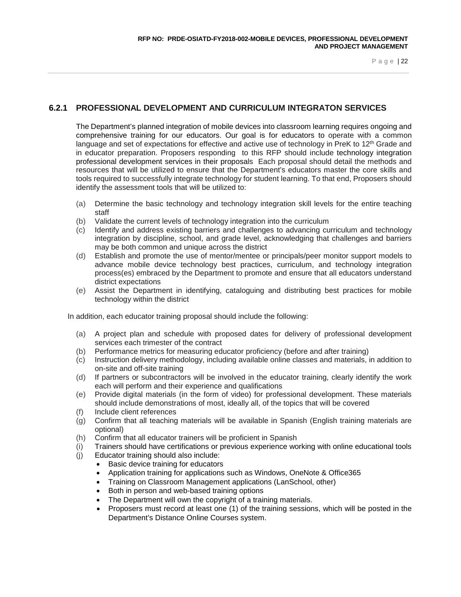# **6.2.1 PROFESSIONAL DEVELOPMENT AND CURRICULUM INTEGRATON SERVICES**

The Department's planned integration of mobile devices into classroom learning requires ongoing and comprehensive training for our educators. Our goal is for educators to operate with a common language and set of expectations for effective and active use of technology in PreK to 12<sup>th</sup> Grade and in educator preparation. Proposers responding to this RFP should include technology integration professional development services in their proposals Each proposal should detail the methods and resources that will be utilized to ensure that the Department's educators master the core skills and tools required to successfully integrate technology for student learning. To that end, Proposers should identify the assessment tools that will be utilized to:

- (a) Determine the basic technology and technology integration skill levels for the entire teaching staff
- 
- (b) Validate the current levels of technology integration into the curriculum (c) Identify and address existing barriers and challenges to advancing cu Identify and address existing barriers and challenges to advancing curriculum and technology integration by discipline, school, and grade level, acknowledging that challenges and barriers may be both common and unique across the district
- (d) Establish and promote the use of mentor/mentee or principals/peer monitor support models to advance mobile device technology best practices, curriculum, and technology integration process(es) embraced by the Department to promote and ensure that all educators understand district expectations
- (e) Assist the Department in identifying, cataloguing and distributing best practices for mobile technology within the district

In addition, each educator training proposal should include the following:

- (a) A project plan and schedule with proposed dates for delivery of professional development services each trimester of the contract
- (b) Performance metrics for measuring educator proficiency (before and after training)
- (c) Instruction delivery methodology, including available online classes and materials, in addition to on-site and off-site training
- (d) If partners or subcontractors will be involved in the educator training, clearly identify the work each will perform and their experience and qualifications
- (e) Provide digital materials (in the form of video) for professional development. These materials should include demonstrations of most, ideally all, of the topics that will be covered
- (f) Include client references
- (g) Confirm that all teaching materials will be available in Spanish (English training materials are optional)
- (h) Confirm that all educator trainers will be proficient in Spanish
- (i) Trainers should have certifications or previous experience working with online educational tools
- (j) Educator training should also include:
	- Basic device training for educators
	- Application training for applications such as Windows, OneNote & Office365
	- Training on Classroom Management applications (LanSchool, other)
	- Both in person and web-based training options
	- The Department will own the copyright of a training materials.
	- Proposers must record at least one (1) of the training sessions, which will be posted in the Department's Distance Online Courses system.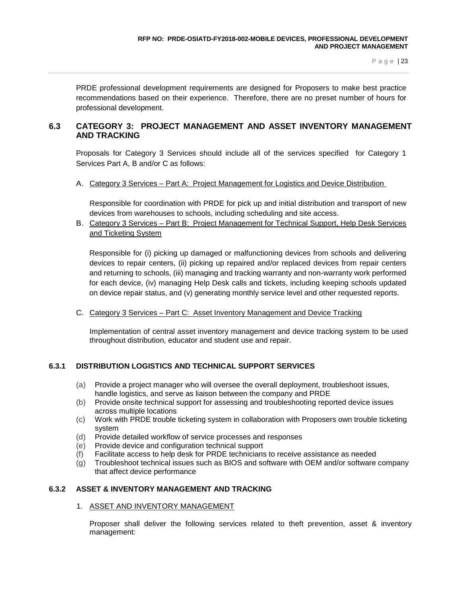PRDE professional development requirements are designed for Proposers to make best practice recommendations based on their experience. Therefore, there are no preset number of hours for professional development.

# **6.3 CATEGORY 3: PROJECT MANAGEMENT AND ASSET INVENTORY MANAGEMENT AND TRACKING**

Proposals for Category 3 Services should include all of the services specified for Category 1 Services Part A, B and/or C as follows:

A. Category 3 Services – Part A: Project Management for Logistics and Device Distribution

Responsible for coordination with PRDE for pick up and initial distribution and transport of new devices from warehouses to schools, including scheduling and site access.

B. Category 3 Services – Part B: Project Management for Technical Support, Help Desk Services and Ticketing System

Responsible for (i) picking up damaged or malfunctioning devices from schools and delivering devices to repair centers, (ii) picking up repaired and/or replaced devices from repair centers and returning to schools, (iii) managing and tracking warranty and non-warranty work performed for each device, (iv) managing Help Desk calls and tickets, including keeping schools updated on device repair status, and (v) generating monthly service level and other requested reports.

C. Category 3 Services – Part C: Asset Inventory Management and Device Tracking

Implementation of central asset inventory management and device tracking system to be used throughout distribution, educator and student use and repair.

### **6.3.1 DISTRIBUTION LOGISTICS AND TECHNICAL SUPPORT SERVICES**

- (a) Provide a project manager who will oversee the overall deployment, troubleshoot issues, handle logistics, and serve as liaison between the company and PRDE
- (b) Provide onsite technical support for assessing and troubleshooting reported device issues across multiple locations
- (c) Work with PRDE trouble ticketing system in collaboration with Proposers own trouble ticketing system
- (d) Provide detailed workflow of service processes and responses
- (e) Provide device and configuration technical support
- (f) Facilitate access to help desk for PRDE technicians to receive assistance as needed
- (g) Troubleshoot technical issues such as BIOS and software with OEM and/or software company that affect device performance

### **6.3.2 ASSET & INVENTORY MANAGEMENT AND TRACKING**

### 1. ASSET AND INVENTORY MANAGEMENT

Proposer shall deliver the following services related to theft prevention, asset & inventory management: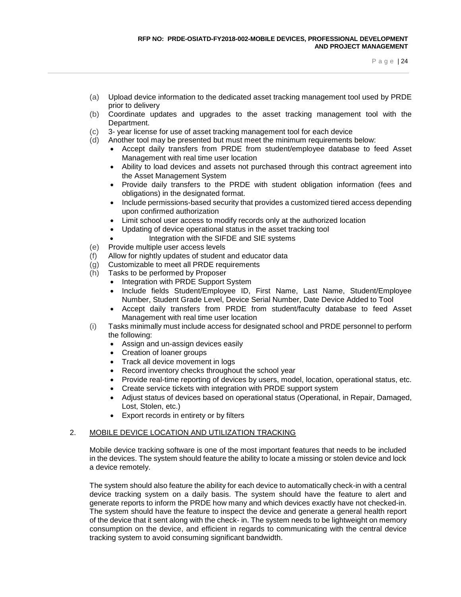- (a) Upload device information to the dedicated asset tracking management tool used by PRDE prior to delivery
- (b) Coordinate updates and upgrades to the asset tracking management tool with the Department.
- (c) 3- year license for use of asset tracking management tool for each device
- (d) Another tool may be presented but must meet the minimum requirements below:
	- Accept daily transfers from PRDE from student/employee database to feed Asset Management with real time user location
	- Ability to load devices and assets not purchased through this contract agreement into the Asset Management System
	- Provide daily transfers to the PRDE with student obligation information (fees and obligations) in the designated format.
	- Include permissions-based security that provides a customized tiered access depending upon confirmed authorization
	- Limit school user access to modify records only at the authorized location
	- Updating of device operational status in the asset tracking tool
		- Integration with the SIFDE and SIE systems
- (e) Provide multiple user access levels
- (f) Allow for nightly updates of student and educator data
- (g) Customizable to meet all PRDE requirements
- (h) Tasks to be performed by Proposer
	- Integration with PRDE Support System
	- Include fields Student/Employee ID, First Name, Last Name, Student/Employee Number, Student Grade Level, Device Serial Number, Date Device Added to Tool
	- Accept daily transfers from PRDE from student/faculty database to feed Asset Management with real time user location
- (i) Tasks minimally must include access for designated school and PRDE personnel to perform the following:
	- Assign and un-assign devices easily
	- Creation of loaner groups
	- Track all device movement in logs
	- Record inventory checks throughout the school year
	- Provide real-time reporting of devices by users, model, location, operational status, etc.
	- Create service tickets with integration with PRDE support system
	- Adjust status of devices based on operational status (Operational, in Repair, Damaged, Lost, Stolen, etc.)
	- Export records in entirety or by filters

#### 2. MOBILE DEVICE LOCATION AND UTILIZATION TRACKING

Mobile device tracking software is one of the most important features that needs to be included in the devices. The system should feature the ability to locate a missing or stolen device and lock a device remotely.

The system should also feature the ability for each device to automatically check-in with a central device tracking system on a daily basis. The system should have the feature to alert and generate reports to inform the PRDE how many and which devices exactly have not checked-in. The system should have the feature to inspect the device and generate a general health report of the device that it sent along with the check- in. The system needs to be lightweight on memory consumption on the device, and efficient in regards to communicating with the central device tracking system to avoid consuming significant bandwidth.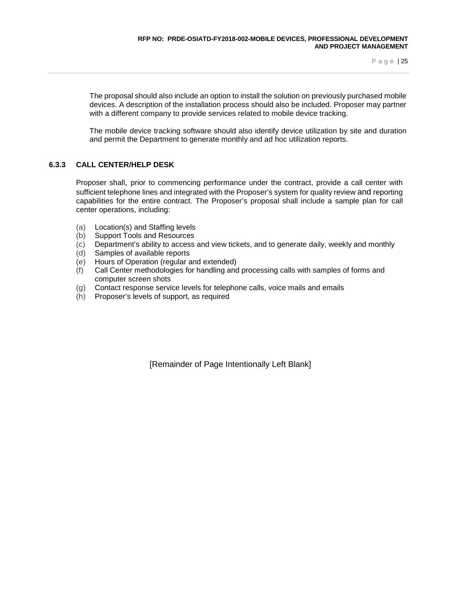The proposal should also include an option to install the solution on previously purchased mobile devices. A description of the installation process should also be included. Proposer may partner with a different company to provide services related to mobile device tracking.

The mobile device tracking software should also identify device utilization by site and duration and permit the Department to generate monthly and ad hoc utilization reports.

### **6.3.3 CALL CENTER/HELP DESK**

Proposer shall, prior to commencing performance under the contract, provide a call center with sufficient telephone lines and integrated with the Proposer's system for quality review and reporting capabilities for the entire contract. The Proposer's proposal shall include a sample plan for call center operations, including:

- (a) Location(s) and Staffing levels
- (b) Support Tools and Resources
- (c) Department's ability to access and view tickets, and to generate daily, weekly and monthly
- (d) Samples of available reports
- (e) Hours of Operation (regular and extended)
- (f) Call Center methodologies for handling and processing calls with samples of forms and computer screen shots
- (g) Contact response service levels for telephone calls, voice mails and emails
- (h) Proposer's levels of support, as required

[Remainder of Page Intentionally Left Blank]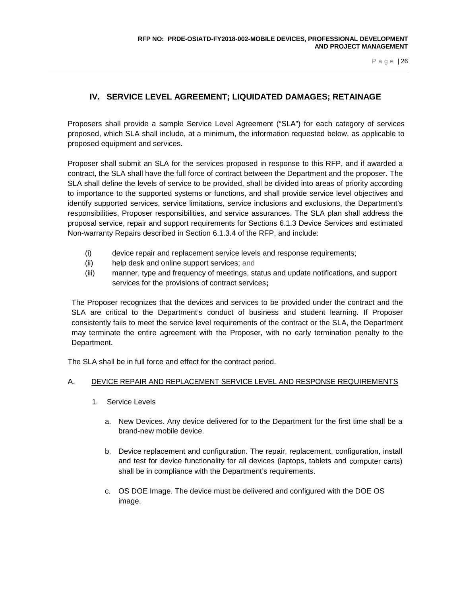# **IV. SERVICE LEVEL AGREEMENT; LIQUIDATED DAMAGES; RETAINAGE**

<span id="page-28-0"></span>Proposers shall provide a sample Service Level Agreement ("SLA") for each category of services proposed, which SLA shall include, at a minimum, the information requested below, as applicable to proposed equipment and services.

Proposer shall submit an SLA for the services proposed in response to this RFP, and if awarded a contract, the SLA shall have the full force of contract between the Department and the proposer. The SLA shall define the levels of service to be provided, shall be divided into areas of priority according to importance to the supported systems or functions, and shall provide service level objectives and identify supported services, service limitations, service inclusions and exclusions, the Department's responsibilities, Proposer responsibilities, and service assurances. The SLA plan shall address the proposal service, repair and support requirements for Sections 6.1.3 Device Services and estimated Non-warranty Repairs described in Section 6.1.3.4 of the RFP, and include:

- (i) device repair and replacement service levels and response requirements;
- (ii) help desk and online support services; and
- (iii) manner, type and frequency of meetings, status and update notifications, and support services for the provisions of contract services**;**

The Proposer recognizes that the devices and services to be provided under the contract and the SLA are critical to the Department's conduct of business and student learning. If Proposer consistently fails to meet the service level requirements of the contract or the SLA, the Department may terminate the entire agreement with the Proposer, with no early termination penalty to the Department.

The SLA shall be in full force and effect for the contract period.

### A. DEVICE REPAIR AND REPLACEMENT SERVICE LEVEL AND RESPONSE REQUIREMENTS

- 1. Service Levels
	- a. New Devices. Any device delivered for to the Department for the first time shall be a brand-new mobile device.
	- b. Device replacement and configuration. The repair, replacement, configuration, install and test for device functionality for all devices (laptops, tablets and computer carts) shall be in compliance with the Department's requirements.
	- c. OS DOE Image. The device must be delivered and configured with the DOE OS image.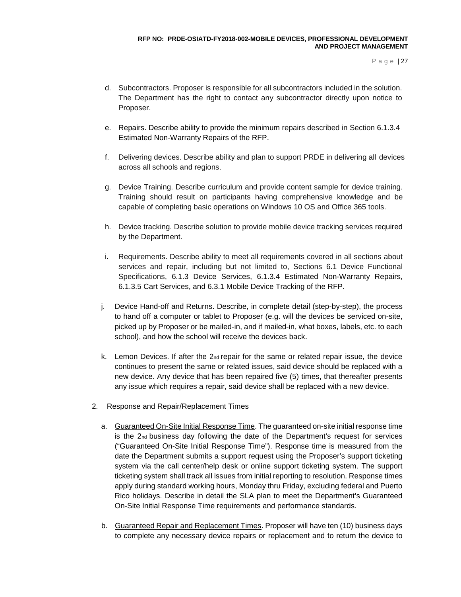- d. Subcontractors. Proposer is responsible for all subcontractors included in the solution. The Department has the right to contact any subcontractor directly upon notice to Proposer.
- e. Repairs. Describe ability to provide the minimum repairs described in Section 6.1.3.4 Estimated Non-Warranty Repairs of the RFP.
- f. Delivering devices. Describe ability and plan to support PRDE in delivering all devices across all schools and regions.
- g. Device Training. Describe curriculum and provide content sample for device training. Training should result on participants having comprehensive knowledge and be capable of completing basic operations on Windows 10 OS and Office 365 tools.
- h. Device tracking. Describe solution to provide mobile device tracking services required by the Department.
- i. Requirements. Describe ability to meet all requirements covered in all sections about services and repair, including but not limited to, Sections 6.1 Device Functional Specifications, 6.1.3 Device Services, 6.1.3.4 Estimated Non-Warranty Repairs, 6.1.3.5 Cart Services, and 6.3.1 Mobile Device Tracking of the RFP.
- j. Device Hand-off and Returns. Describe, in complete detail (step-by-step), the process to hand off a computer or tablet to Proposer (e.g. will the devices be serviced on-site, picked up by Proposer or be mailed-in, and if mailed-in, what boxes, labels, etc. to each school), and how the school will receive the devices back.
- k. Lemon Devices. If after the  $2<sub>nd</sub>$  repair for the same or related repair issue, the device continues to present the same or related issues, said device should be replaced with a new device. Any device that has been repaired five (5) times, that thereafter presents any issue which requires a repair, said device shall be replaced with a new device.
- 2. Response and Repair/Replacement Times
	- a. Guaranteed On-Site Initial Response Time. The guaranteed on-site initial response time is the  $2<sub>nd</sub>$  business day following the date of the Department's request for services ("Guaranteed On-Site Initial Response Time"). Response time is measured from the date the Department submits a support request using the Proposer's support ticketing system via the call center/help desk or online support ticketing system. The support ticketing system shall track all issues from initial reporting to resolution. Response times apply during standard working hours, Monday thru Friday, excluding federal and Puerto Rico holidays. Describe in detail the SLA plan to meet the Department's Guaranteed On-Site Initial Response Time requirements and performance standards.
	- b. Guaranteed Repair and Replacement Times. Proposer will have ten (10) business days to complete any necessary device repairs or replacement and to return the device to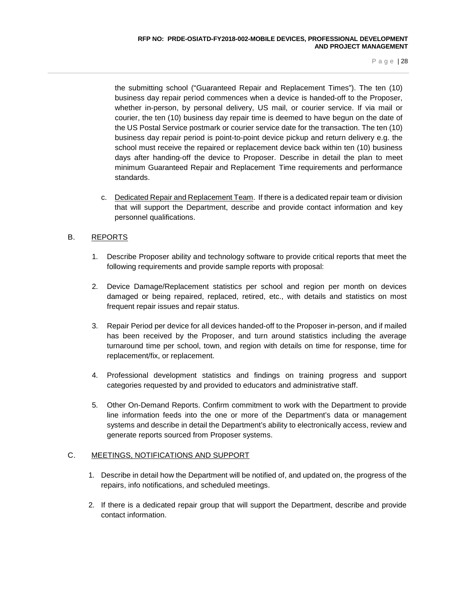the submitting school ("Guaranteed Repair and Replacement Times"). The ten (10) business day repair period commences when a device is handed-off to the Proposer, whether in-person, by personal delivery, US mail, or courier service. If via mail or courier, the ten (10) business day repair time is deemed to have begun on the date of the US Postal Service postmark or courier service date for the transaction. The ten (10) business day repair period is point-to-point device pickup and return delivery e.g. the school must receive the repaired or replacement device back within ten (10) business days after handing-off the device to Proposer. Describe in detail the plan to meet minimum Guaranteed Repair and Replacement Time requirements and performance standards.

c. Dedicated Repair and Replacement Team. If there is a dedicated repair team or division that will support the Department, describe and provide contact information and key personnel qualifications.

### B. REPORTS

- 1. Describe Proposer ability and technology software to provide critical reports that meet the following requirements and provide sample reports with proposal:
- 2. Device Damage/Replacement statistics per school and region per month on devices damaged or being repaired, replaced, retired, etc., with details and statistics on most frequent repair issues and repair status.
- 3. Repair Period per device for all devices handed-off to the Proposer in-person, and if mailed has been received by the Proposer, and turn around statistics including the average turnaround time per school, town, and region with details on time for response, time for replacement/fix, or replacement.
- 4. Professional development statistics and findings on training progress and support categories requested by and provided to educators and administrative staff.
- 5. Other On-Demand Reports. Confirm commitment to work with the Department to provide line information feeds into the one or more of the Department's data or management systems and describe in detail the Department's ability to electronically access, review and generate reports sourced from Proposer systems.

### C. MEETINGS, NOTIFICATIONS AND SUPPORT

- 1. Describe in detail how the Department will be notified of, and updated on, the progress of the repairs, info notifications, and scheduled meetings.
- 2. If there is a dedicated repair group that will support the Department, describe and provide contact information.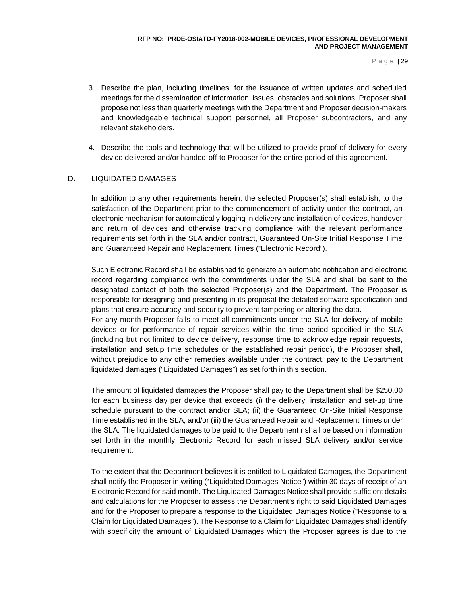- 3. Describe the plan, including timelines, for the issuance of written updates and scheduled meetings for the dissemination of information, issues, obstacles and solutions. Proposer shall propose not less than quarterly meetings with the Department and Proposer decision-makers and knowledgeable technical support personnel, all Proposer subcontractors, and any relevant stakeholders.
- 4. Describe the tools and technology that will be utilized to provide proof of delivery for every device delivered and/or handed-off to Proposer for the entire period of this agreement.

### D. LIQUIDATED DAMAGES

In addition to any other requirements herein, the selected Proposer(s) shall establish, to the satisfaction of the Department prior to the commencement of activity under the contract, an electronic mechanism for automatically logging in delivery and installation of devices, handover and return of devices and otherwise tracking compliance with the relevant performance requirements set forth in the SLA and/or contract, Guaranteed On-Site Initial Response Time and Guaranteed Repair and Replacement Times ("Electronic Record").

Such Electronic Record shall be established to generate an automatic notification and electronic record regarding compliance with the commitments under the SLA and shall be sent to the designated contact of both the selected Proposer(s) and the Department. The Proposer is responsible for designing and presenting in its proposal the detailed software specification and plans that ensure accuracy and security to prevent tampering or altering the data. For any month Proposer fails to meet all commitments under the SLA for delivery of mobile devices or for performance of repair services within the time period specified in the SLA (including but not limited to device delivery, response time to acknowledge repair requests, installation and setup time schedules or the established repair period), the Proposer shall, without prejudice to any other remedies available under the contract, pay to the Department liquidated damages ("Liquidated Damages") as set forth in this section.

The amount of liquidated damages the Proposer shall pay to the Department shall be \$250.00 for each business day per device that exceeds (i) the delivery, installation and set-up time schedule pursuant to the contract and/or SLA; (ii) the Guaranteed On-Site Initial Response Time established in the SLA; and/or (iii) the Guaranteed Repair and Replacement Times under the SLA. The liquidated damages to be paid to the Department r shall be based on information set forth in the monthly Electronic Record for each missed SLA delivery and/or service requirement.

To the extent that the Department believes it is entitled to Liquidated Damages, the Department shall notify the Proposer in writing ("Liquidated Damages Notice") within 30 days of receipt of an Electronic Record for said month. The Liquidated Damages Notice shall provide sufficient details and calculations for the Proposer to assess the Department's right to said Liquidated Damages and for the Proposer to prepare a response to the Liquidated Damages Notice ("Response to a Claim for Liquidated Damages"). The Response to a Claim for Liquidated Damages shall identify with specificity the amount of Liquidated Damages which the Proposer agrees is due to the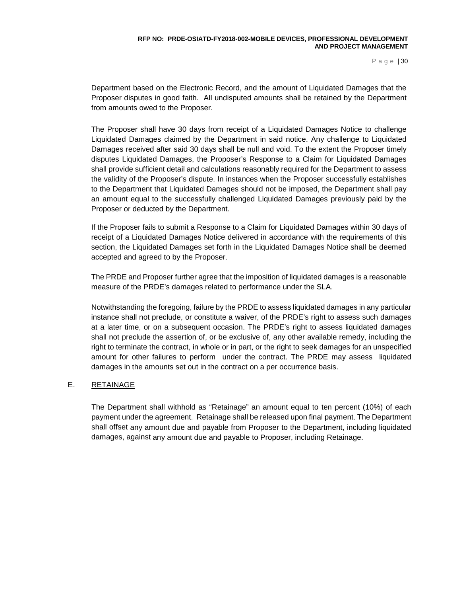Department based on the Electronic Record, and the amount of Liquidated Damages that the Proposer disputes in good faith. All undisputed amounts shall be retained by the Department from amounts owed to the Proposer.

The Proposer shall have 30 days from receipt of a Liquidated Damages Notice to challenge Liquidated Damages claimed by the Department in said notice. Any challenge to Liquidated Damages received after said 30 days shall be null and void. To the extent the Proposer timely disputes Liquidated Damages, the Proposer's Response to a Claim for Liquidated Damages shall provide sufficient detail and calculations reasonably required for the Department to assess the validity of the Proposer's dispute. In instances when the Proposer successfully establishes to the Department that Liquidated Damages should not be imposed, the Department shall pay an amount equal to the successfully challenged Liquidated Damages previously paid by the Proposer or deducted by the Department.

If the Proposer fails to submit a Response to a Claim for Liquidated Damages within 30 days of receipt of a Liquidated Damages Notice delivered in accordance with the requirements of this section, the Liquidated Damages set forth in the Liquidated Damages Notice shall be deemed accepted and agreed to by the Proposer.

The PRDE and Proposer further agree that the imposition of liquidated damages is a reasonable measure of the PRDE's damages related to performance under the SLA.

Notwithstanding the foregoing, failure by the PRDE to assess liquidated damages in any particular instance shall not preclude, or constitute a waiver, of the PRDE's right to assess such damages at a later time, or on a subsequent occasion. The PRDE's right to assess liquidated damages shall not preclude the assertion of, or be exclusive of, any other available remedy, including the right to terminate the contract, in whole or in part, or the right to seek damages for an unspecified amount for other failures to perform under the contract. The PRDE may assess liquidated damages in the amounts set out in the contract on a per occurrence basis.

### E. RETAINAGE

The Department shall withhold as "Retainage" an amount equal to ten percent (10%) of each payment under the agreement. Retainage shall be released upon final payment. The Department shall offset any amount due and payable from Proposer to the Department, including liquidated damages, against any amount due and payable to Proposer, including Retainage.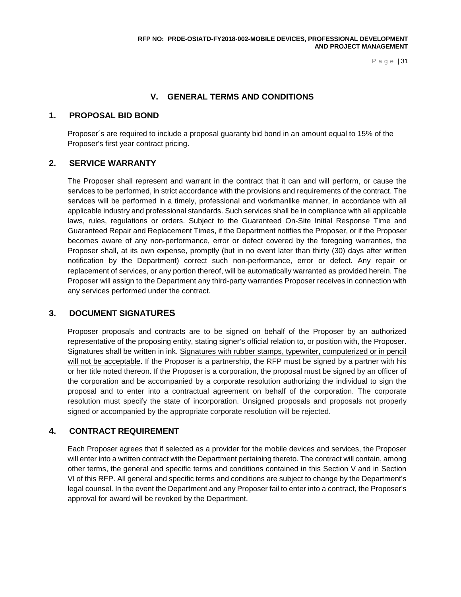# **V. GENERAL TERMS AND CONDITIONS**

### <span id="page-33-0"></span>**1. PROPOSAL BID BOND**

Proposer´s are required to include a proposal guaranty bid bond in an amount equal to 15% of the Proposer's first year contract pricing.

# **2. SERVICE WARRANTY**

The Proposer shall represent and warrant in the contract that it can and will perform, or cause the services to be performed, in strict accordance with the provisions and requirements of the contract. The services will be performed in a timely, professional and workmanlike manner, in accordance with all applicable industry and professional standards. Such services shall be in compliance with all applicable laws, rules, regulations or orders. Subject to the Guaranteed On-Site Initial Response Time and Guaranteed Repair and Replacement Times, if the Department notifies the Proposer, or if the Proposer becomes aware of any non-performance, error or defect covered by the foregoing warranties, the Proposer shall, at its own expense, promptly (but in no event later than thirty (30) days after written notification by the Department) correct such non-performance, error or defect. Any repair or replacement of services, or any portion thereof, will be automatically warranted as provided herein. The Proposer will assign to the Department any third-party warranties Proposer receives in connection with any services performed under the contract.

# **3. DOCUMENT SIGNATURES**

Proposer proposals and contracts are to be signed on behalf of the Proposer by an authorized representative of the proposing entity, stating signer's official relation to, or position with, the Proposer. Signatures shall be written in ink. Signatures with rubber stamps, typewriter, computerized or in pencil will not be acceptable. If the Proposer is a partnership, the RFP must be signed by a partner with his or her title noted thereon. If the Proposer is a corporation, the proposal must be signed by an officer of the corporation and be accompanied by a corporate resolution authorizing the individual to sign the proposal and to enter into a contractual agreement on behalf of the corporation. The corporate resolution must specify the state of incorporation. Unsigned proposals and proposals not properly signed or accompanied by the appropriate corporate resolution will be rejected.

# **4. CONTRACT REQUIREMENT**

Each Proposer agrees that if selected as a provider for the mobile devices and services, the Proposer will enter into a written contract with the Department pertaining thereto. The contract will contain, among other terms, the general and specific terms and conditions contained in this Section V and in Section VI of this RFP. All general and specific terms and conditions are subject to change by the Department's legal counsel. In the event the Department and any Proposer fail to enter into a contract, the Proposer's approval for award will be revoked by the Department.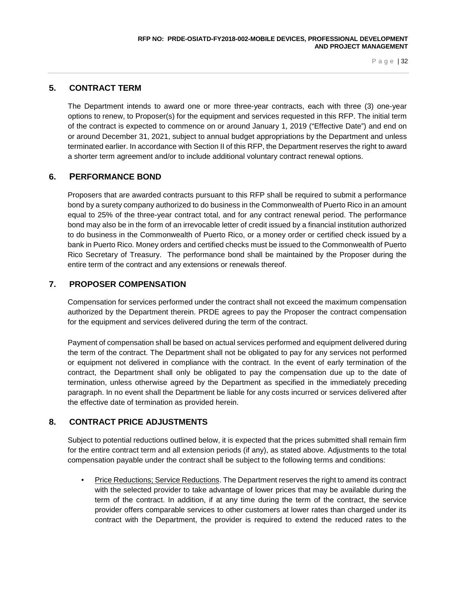# **5. CONTRACT TERM**

The Department intends to award one or more three-year contracts, each with three (3) one-year options to renew, to Proposer(s) for the equipment and services requested in this RFP. The initial term of the contract is expected to commence on or around January 1, 2019 ("Effective Date") and end on or around December 31, 2021, subject to annual budget appropriations by the Department and unless terminated earlier. In accordance with Section II of this RFP, the Department reserves the right to award a shorter term agreement and/or to include additional voluntary contract renewal options.

# **6. PERFORMANCE BOND**

Proposers that are awarded contracts pursuant to this RFP shall be required to submit a performance bond by a surety company authorized to do business in the Commonwealth of Puerto Rico in an amount equal to 25% of the three-year contract total, and for any contract renewal period. The performance bond may also be in the form of an irrevocable letter of credit issued by a financial institution authorized to do business in the Commonwealth of Puerto Rico, or a money order or certified check issued by a bank in Puerto Rico. Money orders and certified checks must be issued to the Commonwealth of Puerto Rico Secretary of Treasury. The performance bond shall be maintained by the Proposer during the entire term of the contract and any extensions or renewals thereof.

# **7. PROPOSER COMPENSATION**

Compensation for services performed under the contract shall not exceed the maximum compensation authorized by the Department therein. PRDE agrees to pay the Proposer the contract compensation for the equipment and services delivered during the term of the contract.

Payment of compensation shall be based on actual services performed and equipment delivered during the term of the contract. The Department shall not be obligated to pay for any services not performed or equipment not delivered in compliance with the contract. In the event of early termination of the contract, the Department shall only be obligated to pay the compensation due up to the date of termination, unless otherwise agreed by the Department as specified in the immediately preceding paragraph. In no event shall the Department be liable for any costs incurred or services delivered after the effective date of termination as provided herein.

# **8. CONTRACT PRICE ADJUSTMENTS**

Subject to potential reductions outlined below, it is expected that the prices submitted shall remain firm for the entire contract term and all extension periods (if any), as stated above. Adjustments to the total compensation payable under the contract shall be subject to the following terms and conditions:

• Price Reductions; Service Reductions. The Department reserves the right to amend its contract with the selected provider to take advantage of lower prices that may be available during the term of the contract. In addition, if at any time during the term of the contract, the service provider offers comparable services to other customers at lower rates than charged under its contract with the Department, the provider is required to extend the reduced rates to the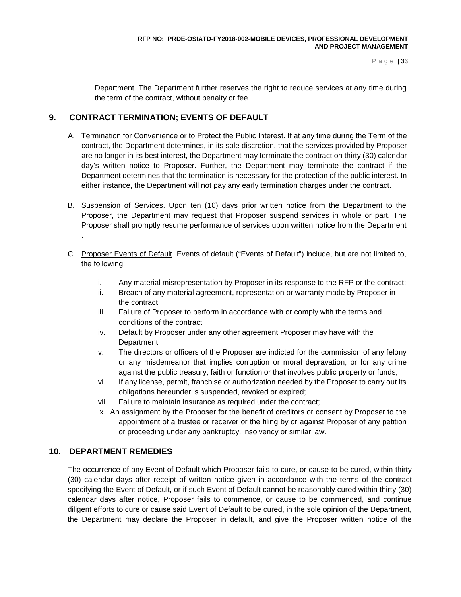Department. The Department further reserves the right to reduce services at any time during the term of the contract, without penalty or fee.

# **9. CONTRACT TERMINATION; EVENTS OF DEFAULT**

- A. Termination for Convenience or to Protect the Public Interest. If at any time during the Term of the contract, the Department determines, in its sole discretion, that the services provided by Proposer are no longer in its best interest, the Department may terminate the contract on thirty (30) calendar day's written notice to Proposer. Further, the Department may terminate the contract if the Department determines that the termination is necessary for the protection of the public interest. In either instance, the Department will not pay any early termination charges under the contract.
- B. Suspension of Services. Upon ten (10) days prior written notice from the Department to the Proposer, the Department may request that Proposer suspend services in whole or part. The Proposer shall promptly resume performance of services upon written notice from the Department .
- C. Proposer Events of Default. Events of default ("Events of Default") include, but are not limited to, the following:
	- i. Any material misrepresentation by Proposer in its response to the RFP or the contract;
	- ii. Breach of any material agreement, representation or warranty made by Proposer in the contract;
	- iii. Failure of Proposer to perform in accordance with or comply with the terms and conditions of the contract
	- iv. Default by Proposer under any other agreement Proposer may have with the Department;
	- v. The directors or officers of the Proposer are indicted for the commission of any felony or any misdemeanor that implies corruption or moral depravation, or for any crime against the public treasury, faith or function or that involves public property or funds;
	- vi. If any license, permit, franchise or authorization needed by the Proposer to carry out its obligations hereunder is suspended, revoked or expired;
	- vii. Failure to maintain insurance as required under the contract;
	- ix. An assignment by the Proposer for the benefit of creditors or consent by Proposer to the appointment of a trustee or receiver or the filing by or against Proposer of any petition or proceeding under any bankruptcy, insolvency or similar law.

# **10. DEPARTMENT REMEDIES**

The occurrence of any Event of Default which Proposer fails to cure, or cause to be cured, within thirty (30) calendar days after receipt of written notice given in accordance with the terms of the contract specifying the Event of Default, or if such Event of Default cannot be reasonably cured within thirty (30) calendar days after notice, Proposer fails to commence, or cause to be commenced, and continue diligent efforts to cure or cause said Event of Default to be cured, in the sole opinion of the Department, the Department may declare the Proposer in default, and give the Proposer written notice of the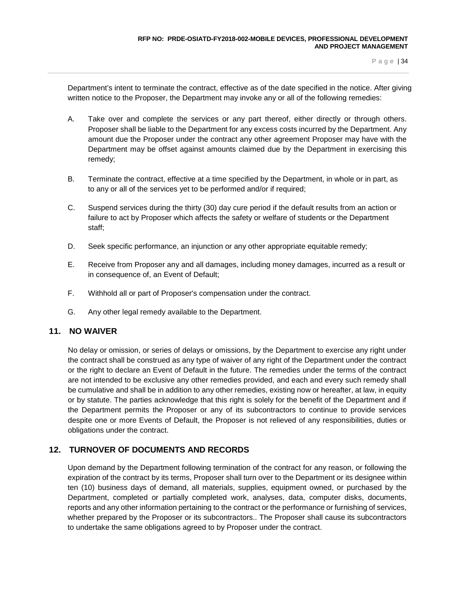Department's intent to terminate the contract, effective as of the date specified in the notice. After giving written notice to the Proposer, the Department may invoke any or all of the following remedies:

- A. Take over and complete the services or any part thereof, either directly or through others. Proposer shall be liable to the Department for any excess costs incurred by the Department. Any amount due the Proposer under the contract any other agreement Proposer may have with the Department may be offset against amounts claimed due by the Department in exercising this remedy;
- B. Terminate the contract, effective at a time specified by the Department, in whole or in part, as to any or all of the services yet to be performed and/or if required;
- C. Suspend services during the thirty (30) day cure period if the default results from an action or failure to act by Proposer which affects the safety or welfare of students or the Department staff;
- D. Seek specific performance, an injunction or any other appropriate equitable remedy;
- E. Receive from Proposer any and all damages, including money damages, incurred as a result or in consequence of, an Event of Default;
- F. Withhold all or part of Proposer's compensation under the contract.
- G. Any other legal remedy available to the Department.

#### **11. NO WAIVER**

No delay or omission, or series of delays or omissions, by the Department to exercise any right under the contract shall be construed as any type of waiver of any right of the Department under the contract or the right to declare an Event of Default in the future. The remedies under the terms of the contract are not intended to be exclusive any other remedies provided, and each and every such remedy shall be cumulative and shall be in addition to any other remedies, existing now or hereafter, at law, in equity or by statute. The parties acknowledge that this right is solely for the benefit of the Department and if the Department permits the Proposer or any of its subcontractors to continue to provide services despite one or more Events of Default, the Proposer is not relieved of any responsibilities, duties or obligations under the contract.

## **12. TURNOVER OF DOCUMENTS AND RECORDS**

Upon demand by the Department following termination of the contract for any reason, or following the expiration of the contract by its terms, Proposer shall turn over to the Department or its designee within ten (10) business days of demand, all materials, supplies, equipment owned, or purchased by the Department, completed or partially completed work, analyses, data, computer disks, documents, reports and any other information pertaining to the contract or the performance or furnishing of services, whether prepared by the Proposer or its subcontractors.. The Proposer shall cause its subcontractors to undertake the same obligations agreed to by Proposer under the contract.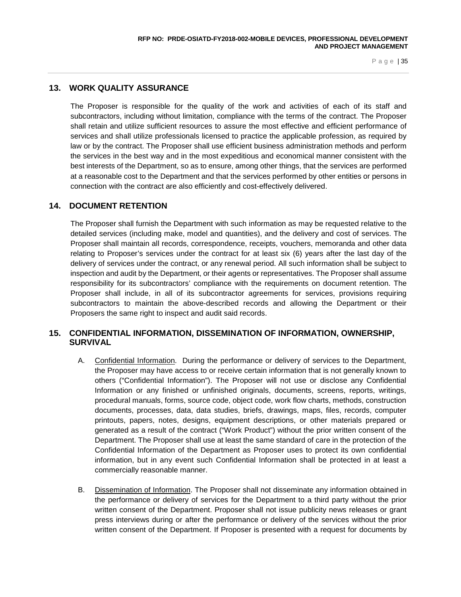# **13. WORK QUALITY ASSURANCE**

The Proposer is responsible for the quality of the work and activities of each of its staff and subcontractors, including without limitation, compliance with the terms of the contract. The Proposer shall retain and utilize sufficient resources to assure the most effective and efficient performance of services and shall utilize professionals licensed to practice the applicable profession, as required by law or by the contract. The Proposer shall use efficient business administration methods and perform the services in the best way and in the most expeditious and economical manner consistent with the best interests of the Department, so as to ensure, among other things, that the services are performed at a reasonable cost to the Department and that the services performed by other entities or persons in connection with the contract are also efficiently and cost-effectively delivered.

## **14. DOCUMENT RETENTION**

The Proposer shall furnish the Department with such information as may be requested relative to the detailed services (including make, model and quantities), and the delivery and cost of services. The Proposer shall maintain all records, correspondence, receipts, vouchers, memoranda and other data relating to Proposer's services under the contract for at least six (6) years after the last day of the delivery of services under the contract, or any renewal period. All such information shall be subject to inspection and audit by the Department, or their agents or representatives. The Proposer shall assume responsibility for its subcontractors' compliance with the requirements on document retention. The Proposer shall include, in all of its subcontractor agreements for services, provisions requiring subcontractors to maintain the above-described records and allowing the Department or their Proposers the same right to inspect and audit said records.

# **15. CONFIDENTIAL INFORMATION, DISSEMINATION OF INFORMATION, OWNERSHIP, SURVIVAL**

- A. Confidential Information. During the performance or delivery of services to the Department, the Proposer may have access to or receive certain information that is not generally known to others ("Confidential Information"). The Proposer will not use or disclose any Confidential Information or any finished or unfinished originals, documents, screens, reports, writings, procedural manuals, forms, source code, object code, work flow charts, methods, construction documents, processes, data, data studies, briefs, drawings, maps, files, records, computer printouts, papers, notes, designs, equipment descriptions, or other materials prepared or generated as a result of the contract ("Work Product") without the prior written consent of the Department. The Proposer shall use at least the same standard of care in the protection of the Confidential Information of the Department as Proposer uses to protect its own confidential information, but in any event such Confidential Information shall be protected in at least a commercially reasonable manner.
- B. Dissemination of Information. The Proposer shall not disseminate any information obtained in the performance or delivery of services for the Department to a third party without the prior written consent of the Department. Proposer shall not issue publicity news releases or grant press interviews during or after the performance or delivery of the services without the prior written consent of the Department. If Proposer is presented with a request for documents by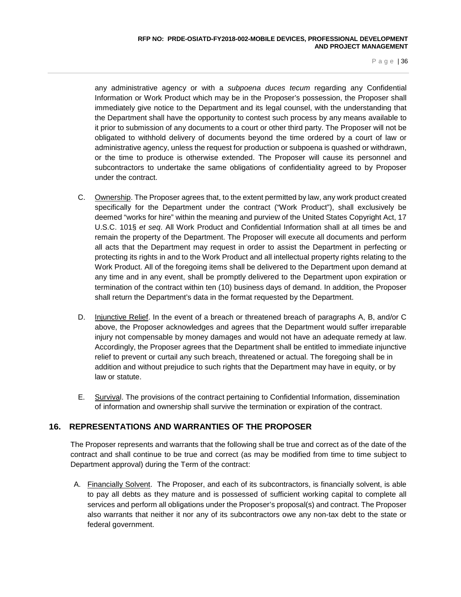any administrative agency or with a *subpoena duces tecum* regarding any Confidential Information or Work Product which may be in the Proposer's possession, the Proposer shall immediately give notice to the Department and its legal counsel, with the understanding that the Department shall have the opportunity to contest such process by any means available to it prior to submission of any documents to a court or other third party. The Proposer will not be obligated to withhold delivery of documents beyond the time ordered by a court of law or administrative agency, unless the request for production or subpoena is quashed or withdrawn, or the time to produce is otherwise extended. The Proposer will cause its personnel and subcontractors to undertake the same obligations of confidentiality agreed to by Proposer under the contract.

- C. Ownership. The Proposer agrees that, to the extent permitted by law, any work product created specifically for the Department under the contract ("Work Product"), shall exclusively be deemed "works for hire" within the meaning and purview of the United States Copyright Act, 17 U.S.C. 101§ *et seq*. All Work Product and Confidential Information shall at all times be and remain the property of the Department. The Proposer will execute all documents and perform all acts that the Department may request in order to assist the Department in perfecting or protecting its rights in and to the Work Product and all intellectual property rights relating to the Work Product. All of the foregoing items shall be delivered to the Department upon demand at any time and in any event, shall be promptly delivered to the Department upon expiration or termination of the contract within ten (10) business days of demand. In addition, the Proposer shall return the Department's data in the format requested by the Department.
- D. Injunctive Relief. In the event of a breach or threatened breach of paragraphs A, B, and/or C above, the Proposer acknowledges and agrees that the Department would suffer irreparable injury not compensable by money damages and would not have an adequate remedy at law. Accordingly, the Proposer agrees that the Department shall be entitled to immediate injunctive relief to prevent or curtail any such breach, threatened or actual. The foregoing shall be in addition and without prejudice to such rights that the Department may have in equity, or by law or statute.
- E. Survival. The provisions of the contract pertaining to Confidential Information, dissemination of information and ownership shall survive the termination or expiration of the contract.

# **16. REPRESENTATIONS AND WARRANTIES OF THE PROPOSER**

The Proposer represents and warrants that the following shall be true and correct as of the date of the contract and shall continue to be true and correct (as may be modified from time to time subject to Department approval) during the Term of the contract:

A. Financially Solvent. The Proposer, and each of its subcontractors, is financially solvent, is able to pay all debts as they mature and is possessed of sufficient working capital to complete all services and perform all obligations under the Proposer's proposal(s) and contract. The Proposer also warrants that neither it nor any of its subcontractors owe any non-tax debt to the state or federal government.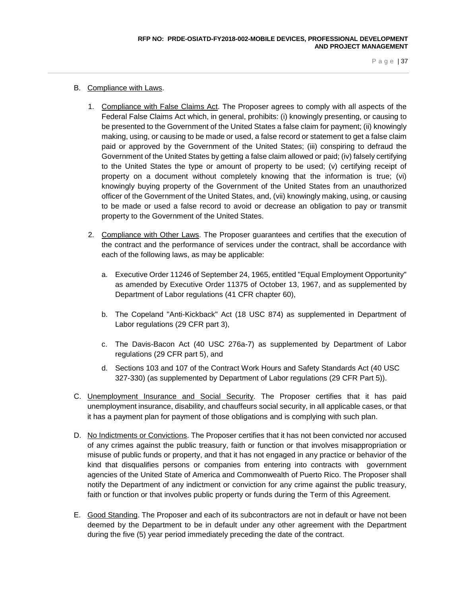- B. Compliance with Laws.
	- 1. Compliance with False Claims Act. The Proposer agrees to comply with all aspects of the Federal False Claims Act which, in general, prohibits: (i) knowingly presenting, or causing to be presented to the Government of the United States a false claim for payment; (ii) knowingly making, using, or causing to be made or used, a false record or statement to get a false claim paid or approved by the Government of the United States; (iii) conspiring to defraud the Government of the United States by getting a false claim allowed or paid; (iv) falsely certifying to the United States the type or amount of property to be used; (v) certifying receipt of property on a document without completely knowing that the information is true; (vi) knowingly buying property of the Government of the United States from an unauthorized officer of the Government of the United States, and, (vii) knowingly making, using, or causing to be made or used a false record to avoid or decrease an obligation to pay or transmit property to the Government of the United States.
	- 2. Compliance with Other Laws. The Proposer guarantees and certifies that the execution of the contract and the performance of services under the contract, shall be accordance with each of the following laws, as may be applicable:
		- a. Executive Order 11246 of September 24, 1965, entitled "Equal Employment Opportunity" as amended by Executive Order 11375 of October 13, 1967, and as supplemented by Department of Labor regulations (41 CFR chapter 60),
		- b. The Copeland "Anti-Kickback" Act (18 USC 874) as supplemented in Department of Labor regulations (29 CFR part 3),
		- c. The Davis-Bacon Act (40 USC 276a-7) as supplemented by Department of Labor regulations (29 CFR part 5), and
		- d. Sections 103 and 107 of the Contract Work Hours and Safety Standards Act (40 USC 327-330) (as supplemented by Department of Labor regulations (29 CFR Part 5)).
- C. Unemployment Insurance and Social Security. The Proposer certifies that it has paid unemployment insurance, disability, and chauffeurs social security, in all applicable cases, or that it has a payment plan for payment of those obligations and is complying with such plan.
- D. No Indictments or Convictions. The Proposer certifies that it has not been convicted nor accused of any crimes against the public treasury, faith or function or that involves misappropriation or misuse of public funds or property, and that it has not engaged in any practice or behavior of the kind that disqualifies persons or companies from entering into contracts with government agencies of the United State of America and Commonwealth of Puerto Rico. The Proposer shall notify the Department of any indictment or conviction for any crime against the public treasury, faith or function or that involves public property or funds during the Term of this Agreement.
- E. Good Standing. The Proposer and each of its subcontractors are not in default or have not been deemed by the Department to be in default under any other agreement with the Department during the five (5) year period immediately preceding the date of the contract.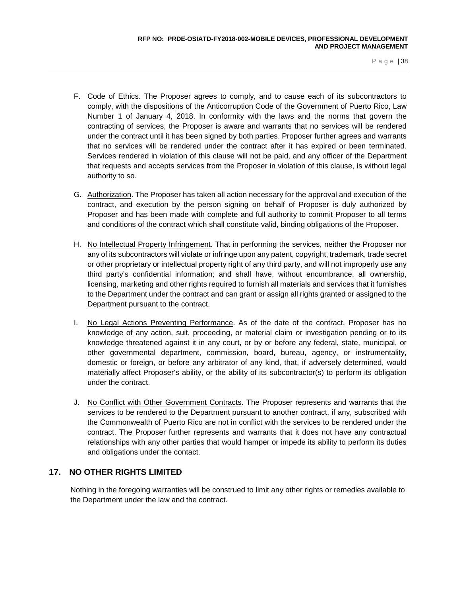- F. Code of Ethics. The Proposer agrees to comply, and to cause each of its subcontractors to comply, with the dispositions of the Anticorruption Code of the Government of Puerto Rico, Law Number 1 of January 4, 2018. In conformity with the laws and the norms that govern the contracting of services, the Proposer is aware and warrants that no services will be rendered under the contract until it has been signed by both parties. Proposer further agrees and warrants that no services will be rendered under the contract after it has expired or been terminated. Services rendered in violation of this clause will not be paid, and any officer of the Department that requests and accepts services from the Proposer in violation of this clause, is without legal authority to so.
- G. Authorization. The Proposer has taken all action necessary for the approval and execution of the contract, and execution by the person signing on behalf of Proposer is duly authorized by Proposer and has been made with complete and full authority to commit Proposer to all terms and conditions of the contract which shall constitute valid, binding obligations of the Proposer.
- H. No Intellectual Property Infringement. That in performing the services, neither the Proposer nor any of its subcontractors will violate or infringe upon any patent, copyright, trademark, trade secret or other proprietary or intellectual property right of any third party, and will not improperly use any third party's confidential information; and shall have, without encumbrance, all ownership, licensing, marketing and other rights required to furnish all materials and services that it furnishes to the Department under the contract and can grant or assign all rights granted or assigned to the Department pursuant to the contract.
- I. No Legal Actions Preventing Performance. As of the date of the contract, Proposer has no knowledge of any action, suit, proceeding, or material claim or investigation pending or to its knowledge threatened against it in any court, or by or before any federal, state, municipal, or other governmental department, commission, board, bureau, agency, or instrumentality, domestic or foreign, or before any arbitrator of any kind, that, if adversely determined, would materially affect Proposer's ability, or the ability of its subcontractor(s) to perform its obligation under the contract.
- J. No Conflict with Other Government Contracts. The Proposer represents and warrants that the services to be rendered to the Department pursuant to another contract, if any, subscribed with the Commonwealth of Puerto Rico are not in conflict with the services to be rendered under the contract. The Proposer further represents and warrants that it does not have any contractual relationships with any other parties that would hamper or impede its ability to perform its duties and obligations under the contact.

## **17. NO OTHER RIGHTS LIMITED**

Nothing in the foregoing warranties will be construed to limit any other rights or remedies available to the Department under the law and the contract.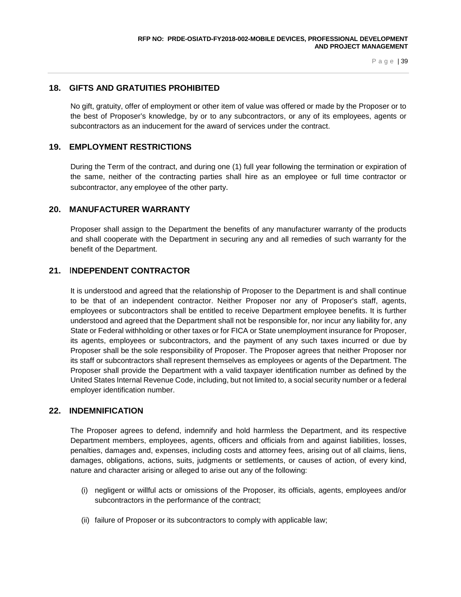## **18. GIFTS AND GRATUITIES PROHIBITED**

No gift, gratuity, offer of employment or other item of value was offered or made by the Proposer or to the best of Proposer's knowledge, by or to any subcontractors, or any of its employees, agents or subcontractors as an inducement for the award of services under the contract.

#### **19. EMPLOYMENT RESTRICTIONS**

During the Term of the contract, and during one (1) full year following the termination or expiration of the same, neither of the contracting parties shall hire as an employee or full time contractor or subcontractor, any employee of the other party.

## **20. MANUFACTURER WARRANTY**

Proposer shall assign to the Department the benefits of any manufacturer warranty of the products and shall cooperate with the Department in securing any and all remedies of such warranty for the benefit of the Department.

## **21.** I**NDEPENDENT CONTRACTOR**

It is understood and agreed that the relationship of Proposer to the Department is and shall continue to be that of an independent contractor. Neither Proposer nor any of Proposer's staff, agents, employees or subcontractors shall be entitled to receive Department employee benefits. It is further understood and agreed that the Department shall not be responsible for, nor incur any liability for, any State or Federal withholding or other taxes or for FICA or State unemployment insurance for Proposer, its agents, employees or subcontractors, and the payment of any such taxes incurred or due by Proposer shall be the sole responsibility of Proposer. The Proposer agrees that neither Proposer nor its staff or subcontractors shall represent themselves as employees or agents of the Department. The Proposer shall provide the Department with a valid taxpayer identification number as defined by the United States Internal Revenue Code, including, but not limited to, a social security number or a federal employer identification number.

### **22. INDEMNIFICATION**

The Proposer agrees to defend, indemnify and hold harmless the Department, and its respective Department members, employees, agents, officers and officials from and against liabilities, losses, penalties, damages and, expenses, including costs and attorney fees, arising out of all claims, liens, damages, obligations, actions, suits, judgments or settlements, or causes of action, of every kind, nature and character arising or alleged to arise out any of the following:

- (i) negligent or willful acts or omissions of the Proposer, its officials, agents, employees and/or subcontractors in the performance of the contract;
- (ii) failure of Proposer or its subcontractors to comply with applicable law;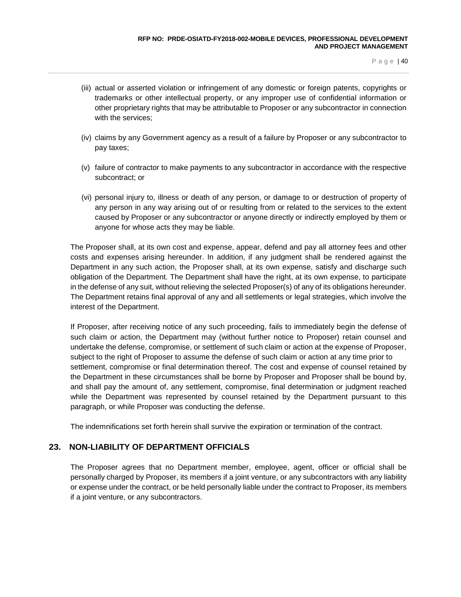- (iii) actual or asserted violation or infringement of any domestic or foreign patents, copyrights or trademarks or other intellectual property, or any improper use of confidential information or other proprietary rights that may be attributable to Proposer or any subcontractor in connection with the services;
- (iv) claims by any Government agency as a result of a failure by Proposer or any subcontractor to pay taxes;
- (v) failure of contractor to make payments to any subcontractor in accordance with the respective subcontract; or
- (vi) personal injury to, illness or death of any person, or damage to or destruction of property of any person in any way arising out of or resulting from or related to the services to the extent caused by Proposer or any subcontractor or anyone directly or indirectly employed by them or anyone for whose acts they may be liable.

The Proposer shall, at its own cost and expense, appear, defend and pay all attorney fees and other costs and expenses arising hereunder. In addition, if any judgment shall be rendered against the Department in any such action, the Proposer shall, at its own expense, satisfy and discharge such obligation of the Department. The Department shall have the right, at its own expense, to participate in the defense of any suit, without relieving the selected Proposer(s) of any of its obligations hereunder. The Department retains final approval of any and all settlements or legal strategies, which involve the interest of the Department.

If Proposer, after receiving notice of any such proceeding, fails to immediately begin the defense of such claim or action, the Department may (without further notice to Proposer) retain counsel and undertake the defense, compromise, or settlement of such claim or action at the expense of Proposer, subject to the right of Proposer to assume the defense of such claim or action at any time prior to settlement, compromise or final determination thereof. The cost and expense of counsel retained by the Department in these circumstances shall be borne by Proposer and Proposer shall be bound by, and shall pay the amount of, any settlement, compromise, final determination or judgment reached while the Department was represented by counsel retained by the Department pursuant to this paragraph, or while Proposer was conducting the defense.

The indemnifications set forth herein shall survive the expiration or termination of the contract.

# **23. NON-LIABILITY OF DEPARTMENT OFFICIALS**

The Proposer agrees that no Department member, employee, agent, officer or official shall be personally charged by Proposer, its members if a joint venture, or any subcontractors with any liability or expense under the contract, or be held personally liable under the contract to Proposer, its members if a joint venture, or any subcontractors.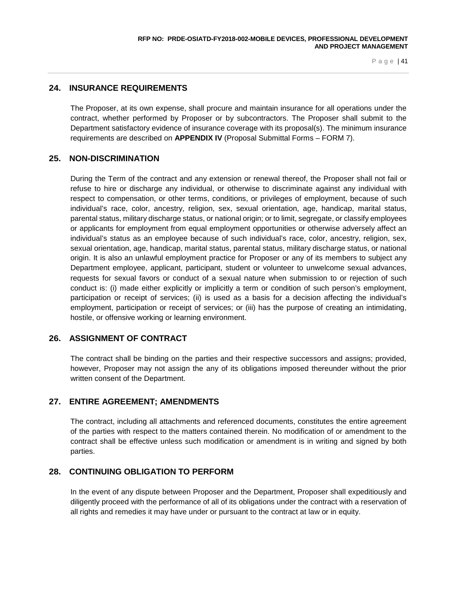## **24. INSURANCE REQUIREMENTS**

The Proposer, at its own expense, shall procure and maintain insurance for all operations under the contract, whether performed by Proposer or by subcontractors. The Proposer shall submit to the Department satisfactory evidence of insurance coverage with its proposal(s). The minimum insurance requirements are described on **APPENDIX IV** (Proposal Submittal Forms – FORM 7).

## **25. NON-DISCRIMINATION**

During the Term of the contract and any extension or renewal thereof, the Proposer shall not fail or refuse to hire or discharge any individual, or otherwise to discriminate against any individual with respect to compensation, or other terms, conditions, or privileges of employment, because of such individual's race, color, ancestry, religion, sex, sexual orientation, age, handicap, marital status, parental status, military discharge status, or national origin; or to limit, segregate, or classify employees or applicants for employment from equal employment opportunities or otherwise adversely affect an individual's status as an employee because of such individual's race, color, ancestry, religion, sex, sexual orientation, age, handicap, marital status, parental status, military discharge status, or national origin. It is also an unlawful employment practice for Proposer or any of its members to subject any Department employee, applicant, participant, student or volunteer to unwelcome sexual advances, requests for sexual favors or conduct of a sexual nature when submission to or rejection of such conduct is: (i) made either explicitly or implicitly a term or condition of such person's employment, participation or receipt of services; (ii) is used as a basis for a decision affecting the individual's employment, participation or receipt of services; or (iii) has the purpose of creating an intimidating, hostile, or offensive working or learning environment.

## **26. ASSIGNMENT OF CONTRACT**

The contract shall be binding on the parties and their respective successors and assigns; provided, however, Proposer may not assign the any of its obligations imposed thereunder without the prior written consent of the Department.

# **27. ENTIRE AGREEMENT; AMENDMENTS**

The contract, including all attachments and referenced documents, constitutes the entire agreement of the parties with respect to the matters contained therein. No modification of or amendment to the contract shall be effective unless such modification or amendment is in writing and signed by both parties.

## **28. CONTINUING OBLIGATION TO PERFORM**

In the event of any dispute between Proposer and the Department, Proposer shall expeditiously and diligently proceed with the performance of all of its obligations under the contract with a reservation of all rights and remedies it may have under or pursuant to the contract at law or in equity.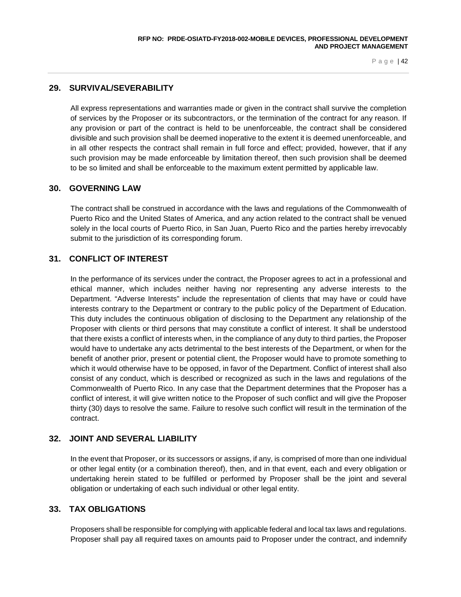# **29. SURVIVAL/SEVERABILITY**

All express representations and warranties made or given in the contract shall survive the completion of services by the Proposer or its subcontractors, or the termination of the contract for any reason. If any provision or part of the contract is held to be unenforceable, the contract shall be considered divisible and such provision shall be deemed inoperative to the extent it is deemed unenforceable, and in all other respects the contract shall remain in full force and effect; provided, however, that if any such provision may be made enforceable by limitation thereof, then such provision shall be deemed to be so limited and shall be enforceable to the maximum extent permitted by applicable law.

## **30. GOVERNING LAW**

The contract shall be construed in accordance with the laws and regulations of the Commonwealth of Puerto Rico and the United States of America, and any action related to the contract shall be venued solely in the local courts of Puerto Rico, in San Juan, Puerto Rico and the parties hereby irrevocably submit to the jurisdiction of its corresponding forum.

# **31. CONFLICT OF INTEREST**

In the performance of its services under the contract, the Proposer agrees to act in a professional and ethical manner, which includes neither having nor representing any adverse interests to the Department. "Adverse Interests" include the representation of clients that may have or could have interests contrary to the Department or contrary to the public policy of the Department of Education. This duty includes the continuous obligation of disclosing to the Department any relationship of the Proposer with clients or third persons that may constitute a conflict of interest. It shall be understood that there exists a conflict of interests when, in the compliance of any duty to third parties, the Proposer would have to undertake any acts detrimental to the best interests of the Department, or when for the benefit of another prior, present or potential client, the Proposer would have to promote something to which it would otherwise have to be opposed, in favor of the Department. Conflict of interest shall also consist of any conduct, which is described or recognized as such in the laws and regulations of the Commonwealth of Puerto Rico. In any case that the Department determines that the Proposer has a conflict of interest, it will give written notice to the Proposer of such conflict and will give the Proposer thirty (30) days to resolve the same. Failure to resolve such conflict will result in the termination of the contract.

## **32. JOINT AND SEVERAL LIABILITY**

In the event that Proposer, or its successors or assigns, if any, is comprised of more than one individual or other legal entity (or a combination thereof), then, and in that event, each and every obligation or undertaking herein stated to be fulfilled or performed by Proposer shall be the joint and several obligation or undertaking of each such individual or other legal entity.

# **33. TAX OBLIGATIONS**

Proposers shall be responsible for complying with applicable federal and local tax laws and regulations. Proposer shall pay all required taxes on amounts paid to Proposer under the contract, and indemnify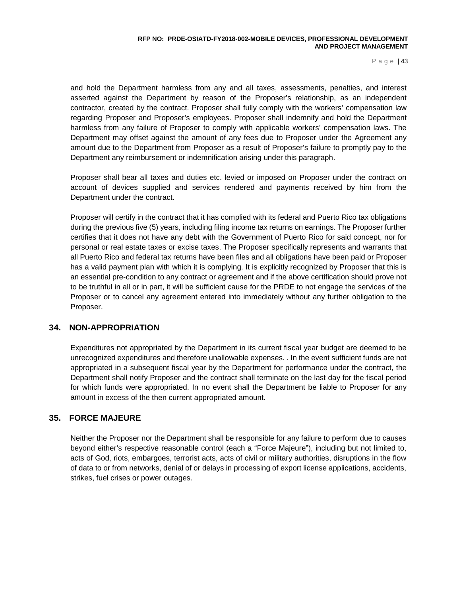and hold the Department harmless from any and all taxes, assessments, penalties, and interest asserted against the Department by reason of the Proposer's relationship, as an independent contractor, created by the contract. Proposer shall fully comply with the workers' compensation law regarding Proposer and Proposer's employees. Proposer shall indemnify and hold the Department harmless from any failure of Proposer to comply with applicable workers' compensation laws. The Department may offset against the amount of any fees due to Proposer under the Agreement any amount due to the Department from Proposer as a result of Proposer's failure to promptly pay to the Department any reimbursement or indemnification arising under this paragraph.

Proposer shall bear all taxes and duties etc. levied or imposed on Proposer under the contract on account of devices supplied and services rendered and payments received by him from the Department under the contract.

Proposer will certify in the contract that it has complied with its federal and Puerto Rico tax obligations during the previous five (5) years, including filing income tax returns on earnings. The Proposer further certifies that it does not have any debt with the Government of Puerto Rico for said concept, nor for personal or real estate taxes or excise taxes. The Proposer specifically represents and warrants that all Puerto Rico and federal tax returns have been files and all obligations have been paid or Proposer has a valid payment plan with which it is complying. It is explicitly recognized by Proposer that this is an essential pre-condition to any contract or agreement and if the above certification should prove not to be truthful in all or in part, it will be sufficient cause for the PRDE to not engage the services of the Proposer or to cancel any agreement entered into immediately without any further obligation to the Proposer.

## **34. NON-APPROPRIATION**

Expenditures not appropriated by the Department in its current fiscal year budget are deemed to be unrecognized expenditures and therefore unallowable expenses. . In the event sufficient funds are not appropriated in a subsequent fiscal year by the Department for performance under the contract, the Department shall notify Proposer and the contract shall terminate on the last day for the fiscal period for which funds were appropriated. In no event shall the Department be liable to Proposer for any amount in excess of the then current appropriated amount.

# **35. FORCE MAJEURE**

Neither the Proposer nor the Department shall be responsible for any failure to perform due to causes beyond either's respective reasonable control (each a "Force Majeure"), including but not limited to, acts of God, riots, embargoes, terrorist acts, acts of civil or military authorities, disruptions in the flow of data to or from networks, denial of or delays in processing of export license applications, accidents, strikes, fuel crises or power outages.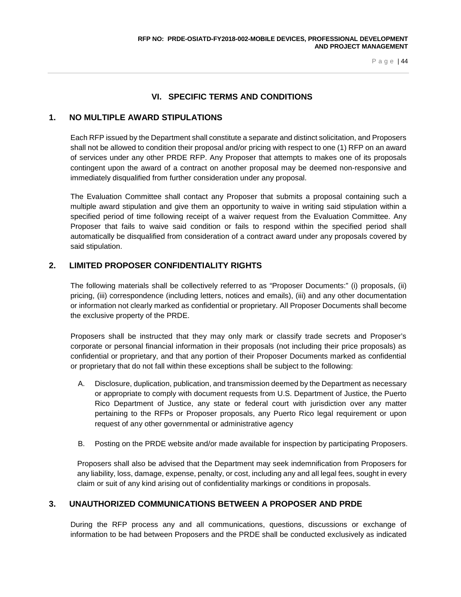# **VI. SPECIFIC TERMS AND CONDITIONS**

## **1. NO MULTIPLE AWARD STIPULATIONS**

Each RFP issued by the Department shall constitute a separate and distinct solicitation, and Proposers shall not be allowed to condition their proposal and/or pricing with respect to one (1) RFP on an award of services under any other PRDE RFP. Any Proposer that attempts to makes one of its proposals contingent upon the award of a contract on another proposal may be deemed non-responsive and immediately disqualified from further consideration under any proposal.

The Evaluation Committee shall contact any Proposer that submits a proposal containing such a multiple award stipulation and give them an opportunity to waive in writing said stipulation within a specified period of time following receipt of a waiver request from the Evaluation Committee. Any Proposer that fails to waive said condition or fails to respond within the specified period shall automatically be disqualified from consideration of a contract award under any proposals covered by said stipulation.

# **2. LIMITED PROPOSER CONFIDENTIALITY RIGHTS**

The following materials shall be collectively referred to as "Proposer Documents:" (i) proposals, (ii) pricing, (iii) correspondence (including letters, notices and emails), (iii) and any other documentation or information not clearly marked as confidential or proprietary. All Proposer Documents shall become the exclusive property of the PRDE.

Proposers shall be instructed that they may only mark or classify trade secrets and Proposer's corporate or personal financial information in their proposals (not including their price proposals) as confidential or proprietary, and that any portion of their Proposer Documents marked as confidential or proprietary that do not fall within these exceptions shall be subject to the following:

- A. Disclosure, duplication, publication, and transmission deemed by the Department as necessary or appropriate to comply with document requests from U.S. Department of Justice, the Puerto Rico Department of Justice, any state or federal court with jurisdiction over any matter pertaining to the RFPs or Proposer proposals, any Puerto Rico legal requirement or upon request of any other governmental or administrative agency
- B. Posting on the PRDE website and/or made available for inspection by participating Proposers.

Proposers shall also be advised that the Department may seek indemnification from Proposers for any liability, loss, damage, expense, penalty, or cost, including any and all legal fees, sought in every claim or suit of any kind arising out of confidentiality markings or conditions in proposals.

# **3. UNAUTHORIZED COMMUNICATIONS BETWEEN A PROPOSER AND PRDE**

During the RFP process any and all communications, questions, discussions or exchange of information to be had between Proposers and the PRDE shall be conducted exclusively as indicated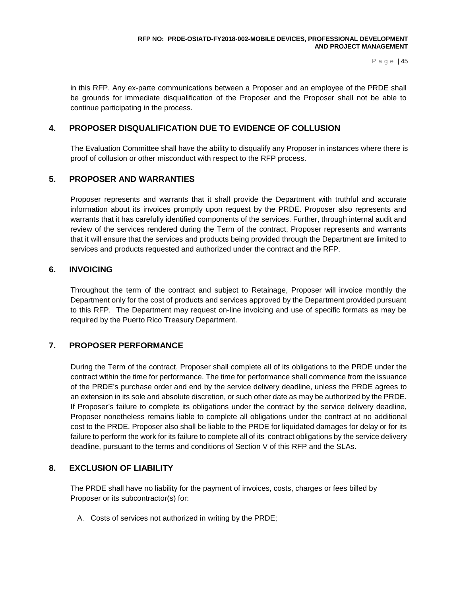in this RFP. Any ex-parte communications between a Proposer and an employee of the PRDE shall be grounds for immediate disqualification of the Proposer and the Proposer shall not be able to continue participating in the process.

# **4. PROPOSER DISQUALIFICATION DUE TO EVIDENCE OF COLLUSION**

The Evaluation Committee shall have the ability to disqualify any Proposer in instances where there is proof of collusion or other misconduct with respect to the RFP process.

## **5. PROPOSER AND WARRANTIES**

Proposer represents and warrants that it shall provide the Department with truthful and accurate information about its invoices promptly upon request by the PRDE. Proposer also represents and warrants that it has carefully identified components of the services. Further, through internal audit and review of the services rendered during the Term of the contract, Proposer represents and warrants that it will ensure that the services and products being provided through the Department are limited to services and products requested and authorized under the contract and the RFP.

## **6. INVOICING**

Throughout the term of the contract and subject to Retainage, Proposer will invoice monthly the Department only for the cost of products and services approved by the Department provided pursuant to this RFP. The Department may request on-line invoicing and use of specific formats as may be required by the Puerto Rico Treasury Department.

## **7. PROPOSER PERFORMANCE**

During the Term of the contract, Proposer shall complete all of its obligations to the PRDE under the contract within the time for performance. The time for performance shall commence from the issuance of the PRDE's purchase order and end by the service delivery deadline, unless the PRDE agrees to an extension in its sole and absolute discretion, or such other date as may be authorized by the PRDE. If Proposer's failure to complete its obligations under the contract by the service delivery deadline, Proposer nonetheless remains liable to complete all obligations under the contract at no additional cost to the PRDE. Proposer also shall be liable to the PRDE for liquidated damages for delay or for its failure to perform the work for its failure to complete all of its contract obligations by the service delivery deadline, pursuant to the terms and conditions of Section V of this RFP and the SLAs.

## **8. EXCLUSION OF LIABILITY**

The PRDE shall have no liability for the payment of invoices, costs, charges or fees billed by Proposer or its subcontractor(s) for:

A. Costs of services not authorized in writing by the PRDE;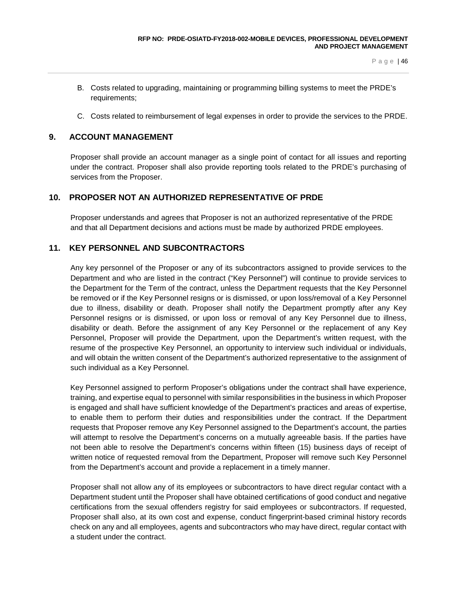- B. Costs related to upgrading, maintaining or programming billing systems to meet the PRDE's requirements;
- C. Costs related to reimbursement of legal expenses in order to provide the services to the PRDE.

# **9. ACCOUNT MANAGEMENT**

Proposer shall provide an account manager as a single point of contact for all issues and reporting under the contract. Proposer shall also provide reporting tools related to the PRDE's purchasing of services from the Proposer.

## **10. PROPOSER NOT AN AUTHORIZED REPRESENTATIVE OF PRDE**

Proposer understands and agrees that Proposer is not an authorized representative of the PRDE and that all Department decisions and actions must be made by authorized PRDE employees.

## **11. KEY PERSONNEL AND SUBCONTRACTORS**

Any key personnel of the Proposer or any of its subcontractors assigned to provide services to the Department and who are listed in the contract ("Key Personnel") will continue to provide services to the Department for the Term of the contract, unless the Department requests that the Key Personnel be removed or if the Key Personnel resigns or is dismissed, or upon loss/removal of a Key Personnel due to illness, disability or death. Proposer shall notify the Department promptly after any Key Personnel resigns or is dismissed, or upon loss or removal of any Key Personnel due to illness, disability or death. Before the assignment of any Key Personnel or the replacement of any Key Personnel, Proposer will provide the Department, upon the Department's written request, with the resume of the prospective Key Personnel, an opportunity to interview such individual or individuals, and will obtain the written consent of the Department's authorized representative to the assignment of such individual as a Key Personnel.

Key Personnel assigned to perform Proposer's obligations under the contract shall have experience, training, and expertise equal to personnel with similar responsibilities in the business in which Proposer is engaged and shall have sufficient knowledge of the Department's practices and areas of expertise, to enable them to perform their duties and responsibilities under the contract. If the Department requests that Proposer remove any Key Personnel assigned to the Department's account, the parties will attempt to resolve the Department's concerns on a mutually agreeable basis. If the parties have not been able to resolve the Department's concerns within fifteen (15) business days of receipt of written notice of requested removal from the Department, Proposer will remove such Key Personnel from the Department's account and provide a replacement in a timely manner.

Proposer shall not allow any of its employees or subcontractors to have direct regular contact with a Department student until the Proposer shall have obtained certifications of good conduct and negative certifications from the sexual offenders registry for said employees or subcontractors. If requested, Proposer shall also, at its own cost and expense, conduct fingerprint-based criminal history records check on any and all employees, agents and subcontractors who may have direct, regular contact with a student under the contract.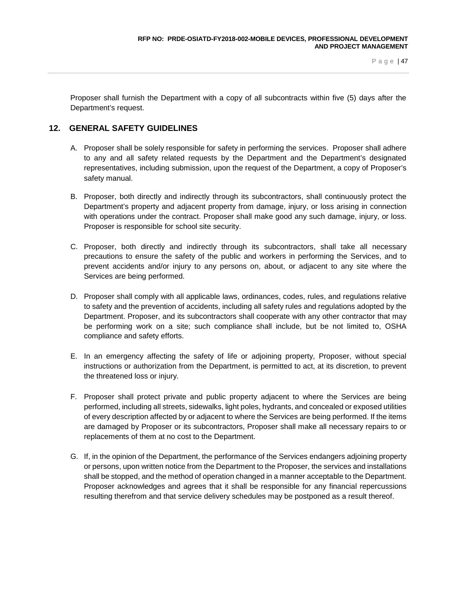Proposer shall furnish the Department with a copy of all subcontracts within five (5) days after the Department's request.

## **12. GENERAL SAFETY GUIDELINES**

- A. Proposer shall be solely responsible for safety in performing the services. Proposer shall adhere to any and all safety related requests by the Department and the Department's designated representatives, including submission, upon the request of the Department, a copy of Proposer's safety manual.
- B. Proposer, both directly and indirectly through its subcontractors, shall continuously protect the Department's property and adjacent property from damage, injury, or loss arising in connection with operations under the contract. Proposer shall make good any such damage, injury, or loss. Proposer is responsible for school site security.
- C. Proposer, both directly and indirectly through its subcontractors, shall take all necessary precautions to ensure the safety of the public and workers in performing the Services, and to prevent accidents and/or injury to any persons on, about, or adjacent to any site where the Services are being performed.
- D. Proposer shall comply with all applicable laws, ordinances, codes, rules, and regulations relative to safety and the prevention of accidents, including all safety rules and regulations adopted by the Department. Proposer, and its subcontractors shall cooperate with any other contractor that may be performing work on a site; such compliance shall include, but be not limited to, OSHA compliance and safety efforts.
- E. In an emergency affecting the safety of life or adjoining property, Proposer, without special instructions or authorization from the Department, is permitted to act, at its discretion, to prevent the threatened loss or injury.
- F. Proposer shall protect private and public property adjacent to where the Services are being performed, including all streets, sidewalks, light poles, hydrants, and concealed or exposed utilities of every description affected by or adjacent to where the Services are being performed. If the items are damaged by Proposer or its subcontractors, Proposer shall make all necessary repairs to or replacements of them at no cost to the Department.
- G. If, in the opinion of the Department, the performance of the Services endangers adjoining property or persons, upon written notice from the Department to the Proposer, the services and installations shall be stopped, and the method of operation changed in a manner acceptable to the Department. Proposer acknowledges and agrees that it shall be responsible for any financial repercussions resulting therefrom and that service delivery schedules may be postponed as a result thereof.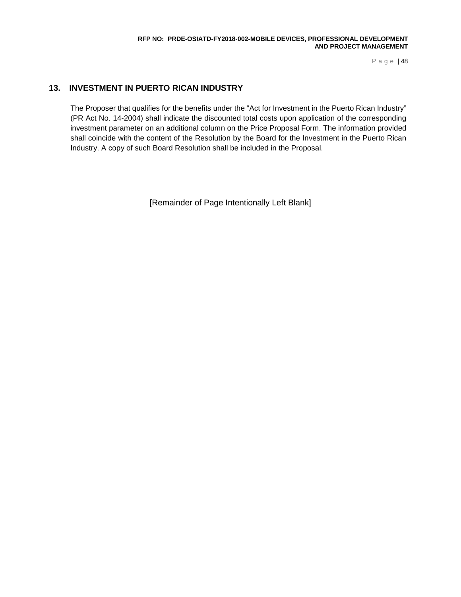# **13. INVESTMENT IN PUERTO RICAN INDUSTRY**

The Proposer that qualifies for the benefits under the "Act for Investment in the Puerto Rican Industry" (PR Act No. 14-2004) shall indicate the discounted total costs upon application of the corresponding investment parameter on an additional column on the Price Proposal Form. The information provided shall coincide with the content of the Resolution by the Board for the Investment in the Puerto Rican Industry. A copy of such Board Resolution shall be included in the Proposal.

[Remainder of Page Intentionally Left Blank]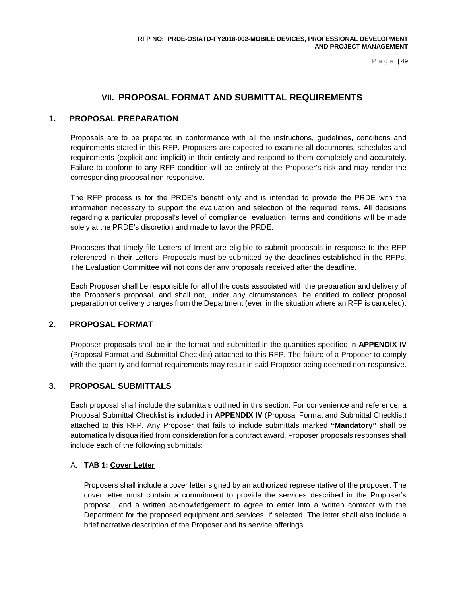# **VII. PROPOSAL FORMAT AND SUBMITTAL REQUIREMENTS**

## **1. PROPOSAL PREPARATION**

Proposals are to be prepared in conformance with all the instructions, guidelines, conditions and requirements stated in this RFP. Proposers are expected to examine all documents, schedules and requirements (explicit and implicit) in their entirety and respond to them completely and accurately. Failure to conform to any RFP condition will be entirely at the Proposer's risk and may render the corresponding proposal non-responsive.

The RFP process is for the PRDE's benefit only and is intended to provide the PRDE with the information necessary to support the evaluation and selection of the required items. All decisions regarding a particular proposal's level of compliance, evaluation, terms and conditions will be made solely at the PRDE's discretion and made to favor the PRDE.

Proposers that timely file Letters of Intent are eligible to submit proposals in response to the RFP referenced in their Letters. Proposals must be submitted by the deadlines established in the RFPs. The Evaluation Committee will not consider any proposals received after the deadline.

Each Proposer shall be responsible for all of the costs associated with the preparation and delivery of the Proposer's proposal, and shall not, under any circumstances, be entitled to collect proposal preparation or delivery charges from the Department (even in the situation where an RFP is canceled).

#### **2. PROPOSAL FORMAT**

Proposer proposals shall be in the format and submitted in the quantities specified in **APPENDIX IV** (Proposal Format and Submittal Checklist) attached to this RFP. The failure of a Proposer to comply with the quantity and format requirements may result in said Proposer being deemed non-responsive.

## **3. PROPOSAL SUBMITTALS**

Each proposal shall include the submittals outlined in this section. For convenience and reference, a Proposal Submittal Checklist is included in **APPENDIX IV** (Proposal Format and Submittal Checklist) attached to this RFP. Any Proposer that fails to include submittals marked **"Mandatory"** shall be automatically disqualified from consideration for a contract award. Proposer proposals responses shall include each of the following submittals:

#### A. **TAB 1: Cover Letter**

Proposers shall include a cover letter signed by an authorized representative of the proposer. The cover letter must contain a commitment to provide the services described in the Proposer's proposal, and a written acknowledgement to agree to enter into a written contract with the Department for the proposed equipment and services, if selected. The letter shall also include a brief narrative description of the Proposer and its service offerings.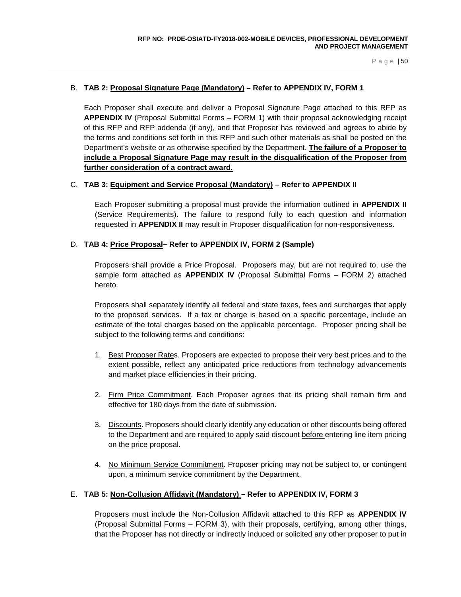#### B. **TAB 2: Proposal Signature Page (Mandatory) – Refer to APPENDIX IV, FORM 1**

Each Proposer shall execute and deliver a Proposal Signature Page attached to this RFP as **APPENDIX IV** (Proposal Submittal Forms – FORM 1) with their proposal acknowledging receipt of this RFP and RFP addenda (if any), and that Proposer has reviewed and agrees to abide by the terms and conditions set forth in this RFP and such other materials as shall be posted on the Department's website or as otherwise specified by the Department. **The failure of a Proposer to include a Proposal Signature Page may result in the disqualification of the Proposer from further consideration of a contract award.**

#### C. **TAB 3: Equipment and Service Proposal (Mandatory) – Refer to APPENDIX II**

Each Proposer submitting a proposal must provide the information outlined in **APPENDIX II** (Service Requirements)**.** The failure to respond fully to each question and information requested in **APPENDIX II** may result in Proposer disqualification for non-responsiveness.

#### D. **TAB 4: Price Proposal– Refer to APPENDIX IV, FORM 2 (Sample)**

Proposers shall provide a Price Proposal. Proposers may, but are not required to, use the sample form attached as **APPENDIX IV** (Proposal Submittal Forms – FORM 2) attached hereto.

Proposers shall separately identify all federal and state taxes, fees and surcharges that apply to the proposed services. If a tax or charge is based on a specific percentage, include an estimate of the total charges based on the applicable percentage. Proposer pricing shall be subject to the following terms and conditions:

- 1. Best Proposer Rates. Proposers are expected to propose their very best prices and to the extent possible, reflect any anticipated price reductions from technology advancements and market place efficiencies in their pricing.
- 2. Firm Price Commitment. Each Proposer agrees that its pricing shall remain firm and effective for 180 days from the date of submission.
- 3. Discounts. Proposers should clearly identify any education or other discounts being offered to the Department and are required to apply said discount before entering line item pricing on the price proposal.
- 4. No Minimum Service Commitment. Proposer pricing may not be subject to, or contingent upon, a minimum service commitment by the Department.

#### E. **TAB 5: Non-Collusion Affidavit (Mandatory) – Refer to APPENDIX IV, FORM 3**

Proposers must include the Non-Collusion Affidavit attached to this RFP as **APPENDIX IV** (Proposal Submittal Forms – FORM 3), with their proposals, certifying, among other things, that the Proposer has not directly or indirectly induced or solicited any other proposer to put in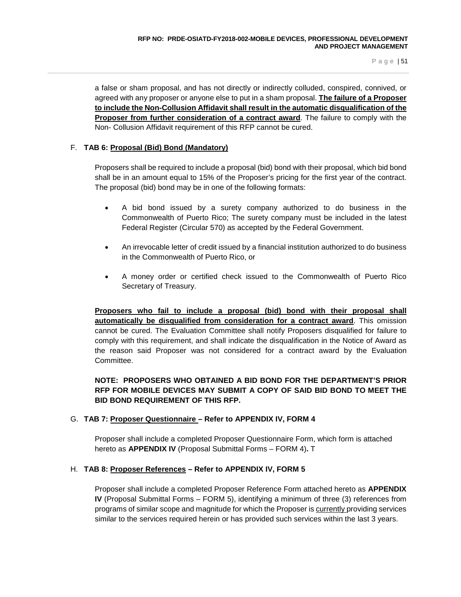a false or sham proposal, and has not directly or indirectly colluded, conspired, connived, or agreed with any proposer or anyone else to put in a sham proposal. **The failure of a Proposer to include the Non-Collusion Affidavit shall result in the automatic disqualification of the Proposer from further consideration of a contract award**. The failure to comply with the Non- Collusion Affidavit requirement of this RFP cannot be cured.

## F. **TAB 6: Proposal (Bid) Bond (Mandatory)**

Proposers shall be required to include a proposal (bid) bond with their proposal, which bid bond shall be in an amount equal to 15% of the Proposer's pricing for the first year of the contract. The proposal (bid) bond may be in one of the following formats:

- A bid bond issued by a surety company authorized to do business in the Commonwealth of Puerto Rico; The surety company must be included in the latest Federal Register (Circular 570) as accepted by the Federal Government.
- An irrevocable letter of credit issued by a financial institution authorized to do business in the Commonwealth of Puerto Rico, or
- A money order or certified check issued to the Commonwealth of Puerto Rico Secretary of Treasury.

**Proposers who fail to include a proposal (bid) bond with their proposal shall automatically be disqualified from consideration for a contract award**. This omission cannot be cured. The Evaluation Committee shall notify Proposers disqualified for failure to comply with this requirement, and shall indicate the disqualification in the Notice of Award as the reason said Proposer was not considered for a contract award by the Evaluation Committee.

## **NOTE: PROPOSERS WHO OBTAINED A BID BOND FOR THE DEPARTMENT'S PRIOR RFP FOR MOBILE DEVICES MAY SUBMIT A COPY OF SAID BID BOND TO MEET THE BID BOND REQUIREMENT OF THIS RFP.**

## G. **TAB 7: Proposer Questionnaire – Refer to APPENDIX IV, FORM 4**

Proposer shall include a completed Proposer Questionnaire Form, which form is attached hereto as **APPENDIX IV** (Proposal Submittal Forms – FORM 4)**.** T

#### H. **TAB 8: Proposer References – Refer to APPENDIX IV, FORM 5**

Proposer shall include a completed Proposer Reference Form attached hereto as **APPENDIX IV** (Proposal Submittal Forms – FORM 5), identifying a minimum of three (3) references from programs of similar scope and magnitude for which the Proposer is currently providing services similar to the services required herein or has provided such services within the last 3 years.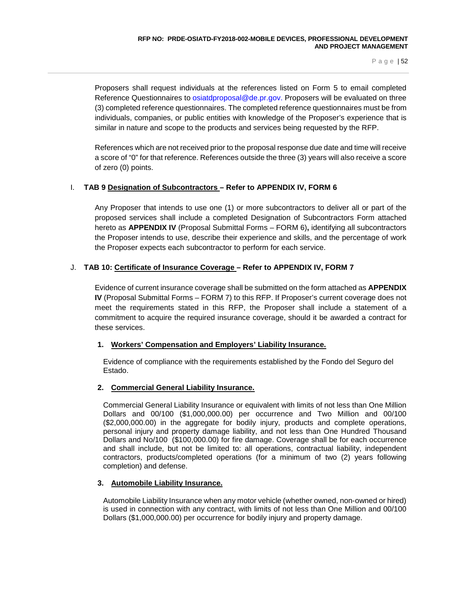Proposers shall request individuals at the references listed on Form 5 to email completed Reference Questionnaires to [osiatdproposal@de.pr.gov.](mailto:osiatdproposal@de.pr.gov) Proposers will be evaluated on three (3) completed reference questionnaires. The completed reference questionnaires must be from individuals, companies, or public entities with knowledge of the Proposer's experience that is similar in nature and scope to the products and services being requested by the RFP.

References which are not received prior to the proposal response due date and time will receive a score of "0" for that reference. References outside the three (3) years will also receive a score of zero (0) points.

## I. **TAB 9 Designation of Subcontractors – Refer to APPENDIX IV, FORM 6**

Any Proposer that intends to use one (1) or more subcontractors to deliver all or part of the proposed services shall include a completed Designation of Subcontractors Form attached hereto as **APPENDIX IV** (Proposal Submittal Forms – FORM 6)**,** identifying all subcontractors the Proposer intends to use, describe their experience and skills, and the percentage of work the Proposer expects each subcontractor to perform for each service.

## J. **TAB 10: Certificate of Insurance Coverage – Refer to APPENDIX IV, FORM 7**

Evidence of current insurance coverage shall be submitted on the form attached as **APPENDIX IV** (Proposal Submittal Forms – FORM 7) to this RFP. If Proposer's current coverage does not meet the requirements stated in this RFP, the Proposer shall include a statement of a commitment to acquire the required insurance coverage, should it be awarded a contract for these services.

## **1. Workers' Compensation and Employers' Liability Insurance.**

Evidence of compliance with the requirements established by the Fondo del Seguro del Estado.

## **2. Commercial General Liability Insurance.**

Commercial General Liability Insurance or equivalent with limits of not less than One Million Dollars and 00/100 (\$1,000,000.00) per occurrence and Two Million and 00/100 (\$2,000,000.00) in the aggregate for bodily injury, products and complete operations, personal injury and property damage liability, and not less than One Hundred Thousand Dollars and No/100 (\$100,000.00) for fire damage. Coverage shall be for each occurrence and shall include, but not be limited to: all operations, contractual liability, independent contractors, products/completed operations (for a minimum of two (2) years following completion) and defense.

## **3. Automobile Liability Insurance.**

Automobile Liability Insurance when any motor vehicle (whether owned, non-owned or hired) is used in connection with any contract, with limits of not less than One Million and 00/100 Dollars (\$1,000,000.00) per occurrence for bodily injury and property damage.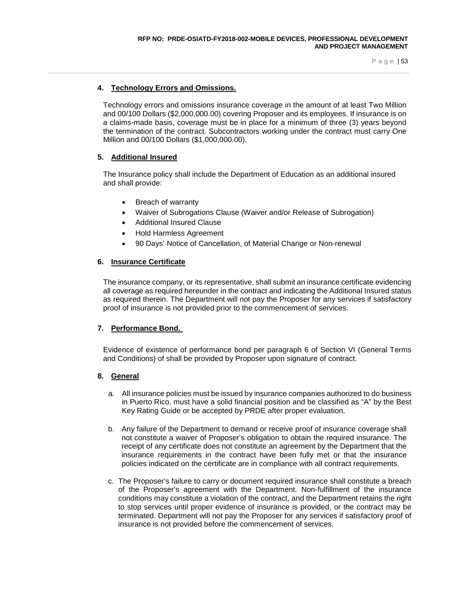#### **4. Technology Errors and Omissions.**

Technology errors and omissions insurance coverage in the amount of at least Two Million and 00/100 Dollars (\$2,000,000.00) covering Proposer and its employees. If insurance is on a claims-made basis, coverage must be in place for a minimum of three (3) years beyond the termination of the contract. Subcontractors working under the contract must carry One Million and 00/100 Dollars (\$1,000,000.00).

#### **5. Additional Insured**

The Insurance policy shall include the Department of Education as an additional insured and shall provide:

- Breach of warranty
- Waiver of Subrogations Clause (Waiver and/or Release of Subrogation)
- Additional Insured Clause
- Hold Harmless Agreement
- 90 Days' Notice of Cancellation, of Material Change or Non-renewal

#### **6. Insurance Certificate**

The insurance company, or its representative, shall submit an insurance certificate evidencing all coverage as required hereunder in the contract and indicating the Additional Insured status as required therein. The Department will not pay the Proposer for any services if satisfactory proof of insurance is not provided prior to the commencement of services.

#### **7. Performance Bond.**

Evidence of existence of performance bond per paragraph 6 of Section VI (General Terms and Conditions) of shall be provided by Proposer upon signature of contract.

#### **8. General**

- a. All insurance policies must be issued by insurance companies authorized to do business in Puerto Rico, must have a solid financial position and be classified as "A" by the Best Key Rating Guide or be accepted by PRDE after proper evaluation.
- b. Any failure of the Department to demand or receive proof of insurance coverage shall not constitute a waiver of Proposer's obligation to obtain the required insurance. The receipt of any certificate does not constitute an agreement by the Department that the insurance requirements in the contract have been fully met or that the insurance policies indicated on the certificate are in compliance with all contract requirements.
- c. The Proposer's failure to carry or document required insurance shall constitute a breach of the Proposer's agreement with the Department. Non-fulfillment of the insurance conditions may constitute a violation of the contract, and the Department retains the right to stop services until proper evidence of insurance is provided, or the contract may be terminated. Department will not pay the Proposer for any services if satisfactory proof of insurance is not provided before the commencement of services.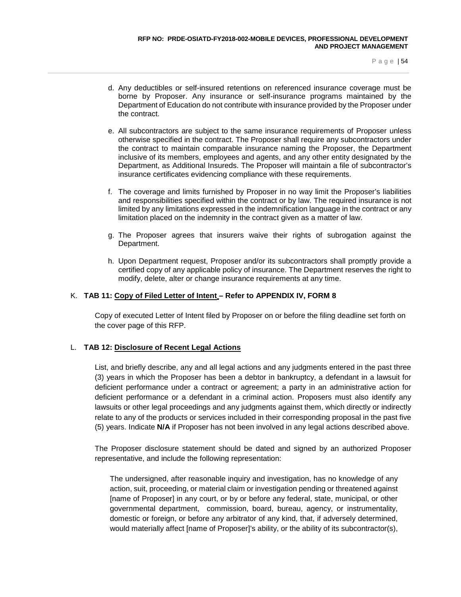- d. Any deductibles or self-insured retentions on referenced insurance coverage must be borne by Proposer. Any insurance or self-insurance programs maintained by the Department of Education do not contribute with insurance provided by the Proposer under the contract.
- e. All subcontractors are subject to the same insurance requirements of Proposer unless otherwise specified in the contract. The Proposer shall require any subcontractors under the contract to maintain comparable insurance naming the Proposer, the Department inclusive of its members, employees and agents, and any other entity designated by the Department, as Additional Insureds. The Proposer will maintain a file of subcontractor's insurance certificates evidencing compliance with these requirements.
- f. The coverage and limits furnished by Proposer in no way limit the Proposer's liabilities and responsibilities specified within the contract or by law. The required insurance is not limited by any limitations expressed in the indemnification language in the contract or any limitation placed on the indemnity in the contract given as a matter of law.
- g. The Proposer agrees that insurers waive their rights of subrogation against the Department.
- h. Upon Department request, Proposer and/or its subcontractors shall promptly provide a certified copy of any applicable policy of insurance. The Department reserves the right to modify, delete, alter or change insurance requirements at any time.

#### K. **TAB 11: Copy of Filed Letter of Intent – Refer to APPENDIX IV, FORM 8**

Copy of executed Letter of Intent filed by Proposer on or before the filing deadline set forth on the cover page of this RFP.

## L. **TAB 12: Disclosure of Recent Legal Actions**

List, and briefly describe, any and all legal actions and any judgments entered in the past three (3) years in which the Proposer has been a debtor in bankruptcy, a defendant in a lawsuit for deficient performance under a contract or agreement; a party in an administrative action for deficient performance or a defendant in a criminal action. Proposers must also identify any lawsuits or other legal proceedings and any judgments against them, which directly or indirectly relate to any of the products or services included in their corresponding proposal in the past five (5) years. Indicate **N/A** if Proposer has not been involved in any legal actions described above.

The Proposer disclosure statement should be dated and signed by an authorized Proposer representative, and include the following representation:

The undersigned, after reasonable inquiry and investigation, has no knowledge of any action, suit, proceeding, or material claim or investigation pending or threatened against [name of Proposer] in any court, or by or before any federal, state, municipal, or other governmental department, commission, board, bureau, agency, or instrumentality, domestic or foreign, or before any arbitrator of any kind, that, if adversely determined, would materially affect [name of Proposer]'s ability, or the ability of its subcontractor(s),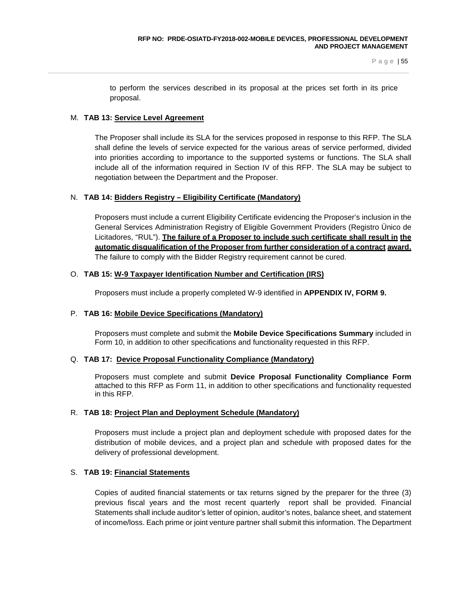to perform the services described in its proposal at the prices set forth in its price proposal.

#### M. **TAB 13: Service Level Agreement**

The Proposer shall include its SLA for the services proposed in response to this RFP. The SLA shall define the levels of service expected for the various areas of service performed, divided into priorities according to importance to the supported systems or functions. The SLA shall include all of the information required in Section IV of this RFP. The SLA may be subject to negotiation between the Department and the Proposer.

#### N. **TAB 14: Bidders Registry – Eligibility Certificate (Mandatory)**

Proposers must include a current Eligibility Certificate evidencing the Proposer's inclusion in the General Services Administration Registry of Eligible Government Providers (Registro Ünico de Licitadores, "RUL"). **The failure of a Proposer to include such certificate shall result in the automatic disqualification of the Proposer from further consideration of a contract award.**  The failure to comply with the Bidder Registry requirement cannot be cured.

#### O. **TAB 15: W-9 Taxpayer Identification Number and Certification (IRS)**

Proposers must include a properly completed W-9 identified in **APPENDIX IV, FORM 9.**

## P. **TAB 16: Mobile Device Specifications (Mandatory)**

Proposers must complete and submit the **Mobile Device Specifications Summary** included in Form 10, in addition to other specifications and functionality requested in this RFP.

#### Q. **TAB 17: Device Proposal Functionality Compliance (Mandatory)**

Proposers must complete and submit **Device Proposal Functionality Compliance Form**  attached to this RFP as Form 11, in addition to other specifications and functionality requested in this RFP.

#### R. **TAB 18: Project Plan and Deployment Schedule (Mandatory)**

Proposers must include a project plan and deployment schedule with proposed dates for the distribution of mobile devices, and a project plan and schedule with proposed dates for the delivery of professional development.

## S. **TAB 19: Financial Statements**

Copies of audited financial statements or tax returns signed by the preparer for the three (3) previous fiscal years and the most recent quarterly report shall be provided. Financial Statements shall include auditor's letter of opinion, auditor's notes, balance sheet, and statement of income/loss. Each prime or joint venture partner shall submit this information. The Department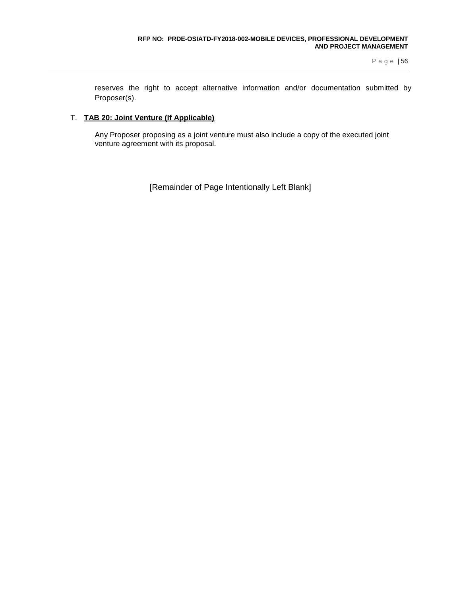reserves the right to accept alternative information and/or documentation submitted by Proposer(s).

#### T. **TAB 20: Joint Venture (If Applicable)**

Any Proposer proposing as a joint venture must also include a copy of the executed joint venture agreement with its proposal.

[Remainder of Page Intentionally Left Blank]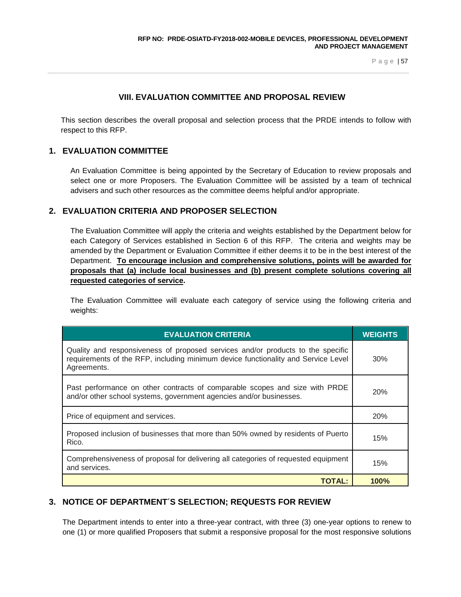## **VIII. EVALUATION COMMITTEE AND PROPOSAL REVIEW**

This section describes the overall proposal and selection process that the PRDE intends to follow with respect to this RFP.

## **1. EVALUATION COMMITTEE**

An Evaluation Committee is being appointed by the Secretary of Education to review proposals and select one or more Proposers. The Evaluation Committee will be assisted by a team of technical advisers and such other resources as the committee deems helpful and/or appropriate.

## **2. EVALUATION CRITERIA AND PROPOSER SELECTION**

The Evaluation Committee will apply the criteria and weights established by the Department below for each Category of Services established in Section 6 of this RFP. The criteria and weights may be amended by the Department or Evaluation Committee if either deems it to be in the best interest of the Department. **To encourage inclusion and comprehensive solutions, points will be awarded for proposals that (a) include local businesses and (b) present complete solutions covering all requested categories of service.**

The Evaluation Committee will evaluate each category of service using the following criteria and weights:

| <b>EVALUATION CRITERIA</b>                                                                                                                                                          | <b>WEIGHTS</b> |
|-------------------------------------------------------------------------------------------------------------------------------------------------------------------------------------|----------------|
| Quality and responsiveness of proposed services and/or products to the specific<br>requirements of the RFP, including minimum device functionality and Service Level<br>Agreements. | 30%            |
| Past performance on other contracts of comparable scopes and size with PRDE<br>and/or other school systems, government agencies and/or businesses.                                  | 20%            |
| Price of equipment and services.                                                                                                                                                    | 20%            |
| Proposed inclusion of businesses that more than 50% owned by residents of Puerto<br>Rico.                                                                                           | 15%            |
| Comprehensiveness of proposal for delivering all categories of requested equipment<br>and services.                                                                                 | 15%            |
| TOTAL:                                                                                                                                                                              | 100%           |

## **3. NOTICE OF DEPARTMENT´S SELECTION; REQUESTS FOR REVIEW**

The Department intends to enter into a three-year contract, with three (3) one-year options to renew to one (1) or more qualified Proposers that submit a responsive proposal for the most responsive solutions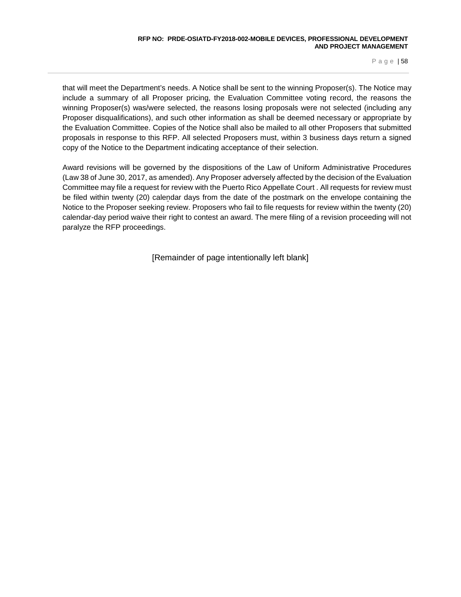that will meet the Department's needs. A Notice shall be sent to the winning Proposer(s). The Notice may include a summary of all Proposer pricing, the Evaluation Committee voting record, the reasons the winning Proposer(s) was/were selected, the reasons losing proposals were not selected (including any Proposer disqualifications), and such other information as shall be deemed necessary or appropriate by the Evaluation Committee. Copies of the Notice shall also be mailed to all other Proposers that submitted proposals in response to this RFP. All selected Proposers must, within 3 business days return a signed copy of the Notice to the Department indicating acceptance of their selection.

Award revisions will be governed by the dispositions of the Law of Uniform Administrative Procedures (Law 38 of June 30, 2017, as amended). Any Proposer adversely affected by the decision of the Evaluation Committee may file a request for review with the Puerto Rico Appellate Court . All requests for review must be filed within twenty (20) calendar days from the date of the postmark on the envelope containing the Notice to the Proposer seeking review. Proposers who fail to file requests for review within the twenty (20) calendar-day period waive their right to contest an award. The mere filing of a revision proceeding will not paralyze the RFP proceedings.

[Remainder of page intentionally left blank]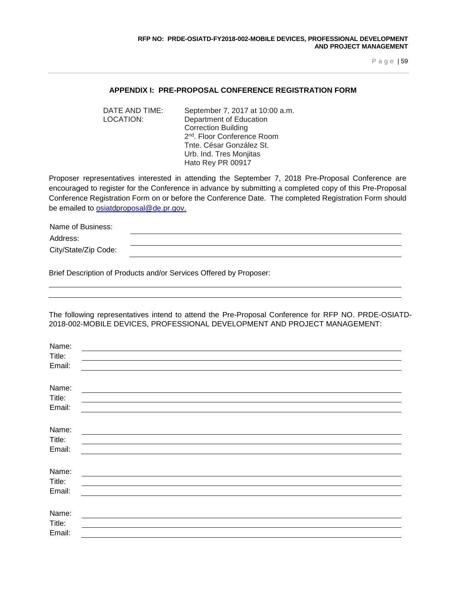#### **APPENDIX I: PRE-PROPOSAL CONFERENCE REGISTRATION FORM**

DATE AND TIME: September 7, 2017 at 10:00 a.m. LOCATION: Department of Education Correction Building 2nd. Floor Conference Room Tnte. César González St. Urb. Ind. Tres Monjitas Hato Rey PR 00917

Proposer representatives interested in attending the September 7, 2018 Pre-Proposal Conference are encouraged to register for the Conference in advance by submitting a completed copy of this Pre-Proposal Conference Registration Form on or before the Conference Date. The completed Registration Form should be emailed to [osiatdproposal@de.pr.gov.](mailto:osiatdproposal@de.pr.gov)

| Name of Business:    |  |
|----------------------|--|
| Address:             |  |
| City/State/Zip Code: |  |

Brief Description of Products and/or Services Offered by Proposer:

The following representatives intend to attend the Pre-Proposal Conference for RFP NO. PRDE-OSIATD-2018-002-MOBILE DEVICES, PROFESSIONAL DEVELOPMENT AND PROJECT MANAGEMENT:

| Name:  |  |
|--------|--|
| Title: |  |
| Email: |  |
|        |  |
| Name:  |  |
| Title: |  |
| Email: |  |
|        |  |
| Name:  |  |
| Title: |  |
| Email: |  |
|        |  |
| Name:  |  |
| Title: |  |
| Email: |  |
|        |  |
| Name:  |  |
| Title: |  |
| Email: |  |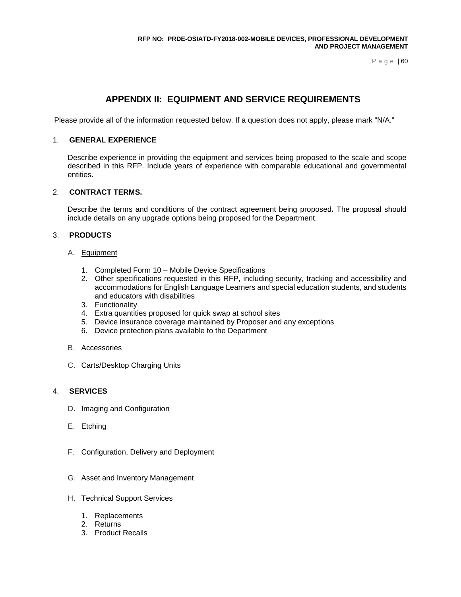# **APPENDIX II: EQUIPMENT AND SERVICE REQUIREMENTS**

Please provide all of the information requested below. If a question does not apply, please mark "N/A."

#### 1. **GENERAL EXPERIENCE**

Describe experience in providing the equipment and services being proposed to the scale and scope described in this RFP. Include years of experience with comparable educational and governmental entities.

#### 2. **CONTRACT TERMS.**

Describe the terms and conditions of the contract agreement being proposed**.** The proposal should include details on any upgrade options being proposed for the Department.

#### 3. **PRODUCTS**

- A. Equipment
	- 1. Completed Form 10 Mobile Device Specifications
	- 2. Other specifications requested in this RFP, including security, tracking and accessibility and accommodations for English Language Learners and special education students, and students and educators with disabilities
	- 3. Functionality
	- 4. Extra quantities proposed for quick swap at school sites
	- 5. Device insurance coverage maintained by Proposer and any exceptions
	- 6. Device protection plans available to the Department
- B. Accessories
- C. Carts/Desktop Charging Units

#### 4. **SERVICES**

- D. Imaging and Configuration
- E. Etching
- F. Configuration, Delivery and Deployment
- G. Asset and Inventory Management
- H. Technical Support Services
	- 1. Replacements
	- 2. Returns
	- 3. Product Recalls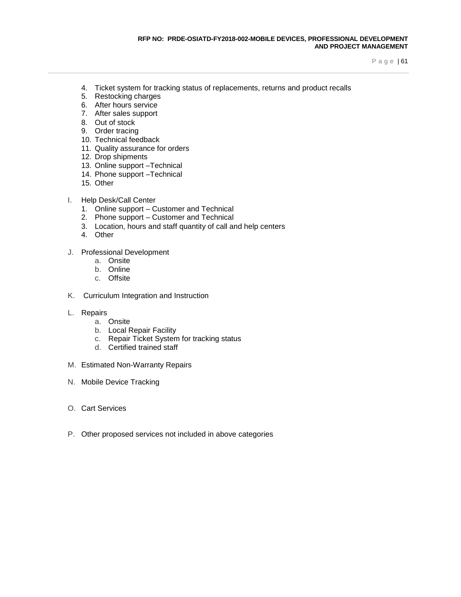- 4. Ticket system for tracking status of replacements, returns and product recalls
- 5. Restocking charges
- 6. After hours service
- 7. After sales support
- 8. Out of stock
- 9. Order tracing
- 10. Technical feedback
- 11. Quality assurance for orders
- 12. Drop shipments
- 13. Online support –Technical
- 14. Phone support –Technical
- 15. Other
- I. Help Desk/Call Center
	- 1. Online support Customer and Technical
	- 2. Phone support Customer and Technical
	- 3. Location, hours and staff quantity of call and help centers
	- 4. Other
- J. Professional Development
	- a. Onsite
	- b. Online
	- c. Offsite
- K. Curriculum Integration and Instruction
- L. Repairs
	- a. Onsite
	- b. Local Repair Facility
	- c. Repair Ticket System for tracking status
	- d. Certified trained staff
- M. Estimated Non-Warranty Repairs
- N. Mobile Device Tracking
- O. Cart Services
- P. Other proposed services not included in above categories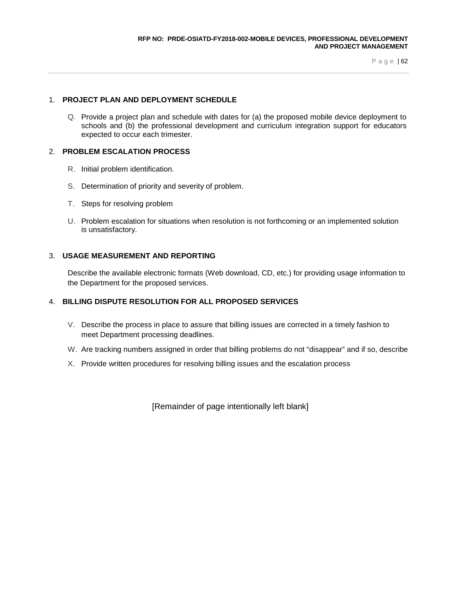#### 1. **PROJECT PLAN AND DEPLOYMENT SCHEDULE**

Q. Provide a project plan and schedule with dates for (a) the proposed mobile device deployment to schools and (b) the professional development and curriculum integration support for educators expected to occur each trimester.

#### 2. **PROBLEM ESCALATION PROCESS**

- R. Initial problem identification.
- S. Determination of priority and severity of problem.
- T. Steps for resolving problem
- U. Problem escalation for situations when resolution is not forthcoming or an implemented solution is unsatisfactory.

## 3. **USAGE MEASUREMENT AND REPORTING**

Describe the available electronic formats (Web download, CD, etc.) for providing usage information to the Department for the proposed services.

# 4. **BILLING DISPUTE RESOLUTION FOR ALL PROPOSED SERVICES**

- V. Describe the process in place to assure that billing issues are corrected in a timely fashion to meet Department processing deadlines.
- W. Are tracking numbers assigned in order that billing problems do not "disappear" and if so, describe
- X. Provide written procedures for resolving billing issues and the escalation process

[Remainder of page intentionally left blank]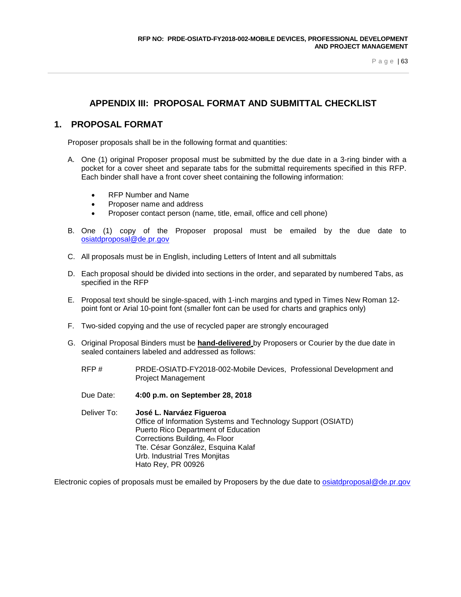# **APPENDIX III: PROPOSAL FORMAT AND SUBMITTAL CHECKLIST**

# **1. PROPOSAL FORMAT**

Proposer proposals shall be in the following format and quantities:

- A. One (1) original Proposer proposal must be submitted by the due date in a 3-ring binder with a pocket for a cover sheet and separate tabs for the submittal requirements specified in this RFP. Each binder shall have a front cover sheet containing the following information:
	- RFP Number and Name
	- Proposer name and address
	- Proposer contact person (name, title, email, office and cell phone)
- B. One (1) copy of the Proposer proposal must be emailed by the due date to [osiatdproposal@de.pr.gov](mailto:osiatdproposal@de.pr.gov)
- C. All proposals must be in English, including Letters of Intent and all submittals
- D. Each proposal should be divided into sections in the order, and separated by numbered Tabs, as specified in the RFP
- E. Proposal text should be single-spaced, with 1-inch margins and typed in Times New Roman 12 point font or Arial 10-point font (smaller font can be used for charts and graphics only)
- F. Two-sided copying and the use of recycled paper are strongly encouraged
- G. Original Proposal Binders must be **hand-delivered** by Proposers or Courier by the due date in sealed containers labeled and addressed as follows:
	- RFP # PRDE-OSIATD-FY2018-002-Mobile Devices, Professional Development and Project Management
	- Due Date: **4:00 p.m. on September 28, 2018**
	- Deliver To: **José L. Narváez Figueroa** Office of Information Systems and Technology Support (OSIATD) Puerto Rico Department of Education Corrections Building, 4th Floor Tte. César González, Esquina Kalaf Urb. Industrial Tres Monjitas Hato Rey, PR 00926

Electronic copies of proposals must be emailed by Proposers by the due date to [osiatdproposal@de.pr.gov](mailto:osiatdproposal@de.pr.gov)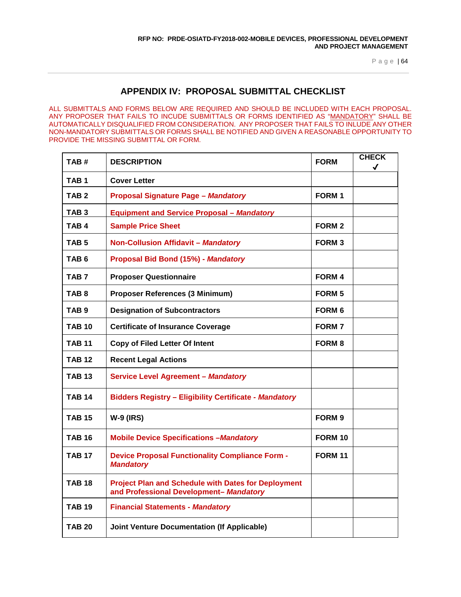# **APPENDIX IV: PROPOSAL SUBMITTAL CHECKLIST**

ALL SUBMITTALS AND FORMS BELOW ARE REQUIRED AND SHOULD BE INCLUDED WITH EACH PROPOSAL. ANY PROPOSER THAT FAILS TO INCUDE SUBMITTALS OR FORMS IDENTIFIED AS "MANDATORY" SHALL BE AUTOMATICALLY DISQUALIFIED FROM CONSIDERATION. ANY PROPOSER THAT FAILS TO INLUDE ANY OTHER NON-MANDATORY SUBMITTALS OR FORMS SHALL BE NOTIFIED AND GIVEN A REASONABLE OPPORTUNITY TO PROVIDE THE MISSING SUBMITTAL OR FORM.

| TAB#             | <b>DESCRIPTION</b>                                                                                    | <b>FORM</b>       | <b>CHECK</b><br>√ |
|------------------|-------------------------------------------------------------------------------------------------------|-------------------|-------------------|
| TAB 1            | <b>Cover Letter</b>                                                                                   |                   |                   |
| TAB <sub>2</sub> | <b>Proposal Signature Page - Mandatory</b>                                                            | FORM <sub>1</sub> |                   |
| TAB <sub>3</sub> | <b>Equipment and Service Proposal - Mandatory</b>                                                     |                   |                   |
| TAB 4            | <b>Sample Price Sheet</b>                                                                             | <b>FORM 2</b>     |                   |
| TAB 5            | <b>Non-Collusion Affidavit - Mandatory</b>                                                            | <b>FORM3</b>      |                   |
| TAB 6            | Proposal Bid Bond (15%) - Mandatory                                                                   |                   |                   |
| TAB <sub>7</sub> | <b>Proposer Questionnaire</b>                                                                         | <b>FORM 4</b>     |                   |
| TAB 8            | Proposer References (3 Minimum)                                                                       | <b>FORM 5</b>     |                   |
| TAB <sub>9</sub> | <b>Designation of Subcontractors</b>                                                                  | <b>FORM 6</b>     |                   |
| <b>TAB 10</b>    | <b>Certificate of Insurance Coverage</b>                                                              | <b>FORM 7</b>     |                   |
| TAB 11           | <b>Copy of Filed Letter Of Intent</b>                                                                 | <b>FORM 8</b>     |                   |
| <b>TAB 12</b>    | <b>Recent Legal Actions</b>                                                                           |                   |                   |
| <b>TAB 13</b>    | <b>Service Level Agreement - Mandatory</b>                                                            |                   |                   |
| <b>TAB 14</b>    | <b>Bidders Registry - Eligibility Certificate - Mandatory</b>                                         |                   |                   |
| <b>TAB 15</b>    | <b>W-9 (IRS)</b>                                                                                      | FORM <sub>9</sub> |                   |
| <b>TAB 16</b>    | <b>Mobile Device Specifications - Mandatory</b>                                                       | <b>FORM 10</b>    |                   |
| <b>TAB 17</b>    | <b>Device Proposal Functionality Compliance Form -</b><br><b>Mandatory</b>                            | <b>FORM 11</b>    |                   |
| <b>TAB 18</b>    | <b>Project Plan and Schedule with Dates for Deployment</b><br>and Professional Development- Mandatory |                   |                   |
| <b>TAB 19</b>    | <b>Financial Statements - Mandatory</b>                                                               |                   |                   |
| TAB 20           | <b>Joint Venture Documentation (If Applicable)</b>                                                    |                   |                   |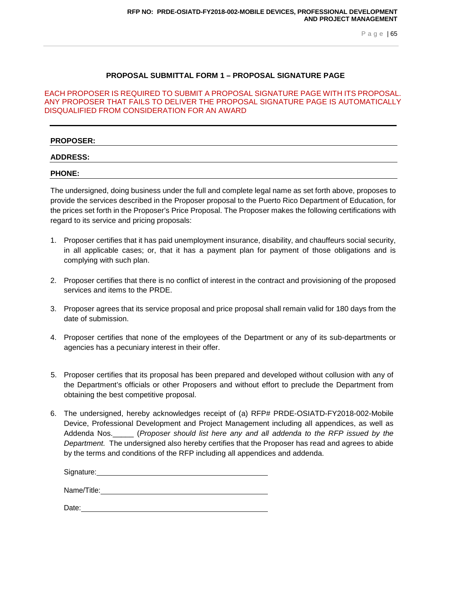## **PROPOSAL SUBMITTAL FORM 1 – PROPOSAL SIGNATURE PAGE**

#### EACH PROPOSER IS REQUIRED TO SUBMIT A PROPOSAL SIGNATURE PAGE WITH ITS PROPOSAL. ANY PROPOSER THAT FAILS TO DELIVER THE PROPOSAL SIGNATURE PAGE IS AUTOMATICALLY DISQUALIFIED FROM CONSIDERATION FOR AN AWARD

#### **PROPOSER:**

#### **ADDRESS:**

**PHONE:**

The undersigned, doing business under the full and complete legal name as set forth above, proposes to provide the services described in the Proposer proposal to the Puerto Rico Department of Education, for the prices set forth in the Proposer's Price Proposal. The Proposer makes the following certifications with regard to its service and pricing proposals:

- 1. Proposer certifies that it has paid unemployment insurance, disability, and chauffeurs social security, in all applicable cases; or, that it has a payment plan for payment of those obligations and is complying with such plan.
- 2. Proposer certifies that there is no conflict of interest in the contract and provisioning of the proposed services and items to the PRDE.
- 3. Proposer agrees that its service proposal and price proposal shall remain valid for 180 days from the date of submission.
- 4. Proposer certifies that none of the employees of the Department or any of its sub-departments or agencies has a pecuniary interest in their offer.
- 5. Proposer certifies that its proposal has been prepared and developed without collusion with any of the Department's officials or other Proposers and without effort to preclude the Department from obtaining the best competitive proposal.
- 6. The undersigned, hereby acknowledges receipt of (a) RFP# PRDE-OSIATD-FY2018-002-Mobile Device, Professional Development and Project Management including all appendices, as well as Addenda Nos.\_\_\_\_\_ (*Proposer should list here any and all addenda to the RFP issued by the Department.* The undersigned also hereby certifies that the Proposer has read and agrees to abide by the terms and conditions of the RFP including all appendices and addenda.

Signature:

Name/Title:

Date: when the contract of the contract of the contract of the contract of the contract of the contract of the contract of the contract of the contract of the contract of the contract of the contract of the contract of the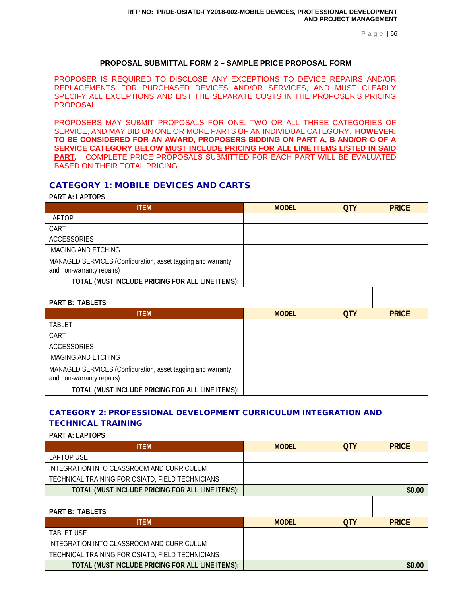# **PROPOSAL SUBMITTAL FORM 2 – SAMPLE PRICE PROPOSAL FORM**

PROPOSER IS REQUIRED TO DISCLOSE ANY EXCEPTIONS TO DEVICE REPAIRS AND/OR REPLACEMENTS FOR PURCHASED DEVICES AND/OR SERVICES, AND MUST CLEARLY SPECIFY ALL EXCEPTIONS AND LIST THE SEPARATE COSTS IN THE PROPOSER'S PRICING PROPOSAL

PROPOSERS MAY SUBMIT PROPOSALS FOR ONE, TWO OR ALL THREE CATEGORIES OF SERVICE, AND MAY BID ON ONE OR MORE PARTS OF AN INDIVIDUAL CATEGORY. **HOWEVER, TO BE CONSIDERED FOR AN AWARD, PROPOSERS BIDDING ON PART A, B AND/OR C OF A SERVICE CATEGORY BELOW MUST INCLUDE PRICING FOR ALL LINE ITEMS LISTED IN SAID PART.** COMPLETE PRICE PROPOSALS SUBMITTED FOR EACH PART WILL BE EVALUATED BASED ON THEIR TOTAL PRICING.

# CATEGORY 1: MOBILE DEVICES AND CARTS

## **PART A: LAPTOPS**

| <b>ITEM</b>                                                                              | <b>MODEL</b> | <b>QTY</b> | <b>PRICE</b> |
|------------------------------------------------------------------------------------------|--------------|------------|--------------|
| <b>LAPTOP</b>                                                                            |              |            |              |
| CART                                                                                     |              |            |              |
| <b>ACCESSORIES</b>                                                                       |              |            |              |
| <b>IMAGING AND ETCHING</b>                                                               |              |            |              |
| MANAGED SERVICES (Configuration, asset tagging and warranty<br>and non-warranty repairs) |              |            |              |
| TOTAL (MUST INCLUDE PRICING FOR ALL LINE ITEMS):                                         |              |            |              |
| <b>PART B: TABLETS</b>                                                                   |              |            |              |
| <b>ITEM</b>                                                                              | <b>MODEL</b> | <b>QTY</b> | <b>PRICE</b> |
| <b>TABLET</b>                                                                            |              |            |              |
| CART                                                                                     |              |            |              |
| <b>ACCESSORIES</b>                                                                       |              |            |              |
| <b>IMAGING AND ETCHING</b>                                                               |              |            |              |
| MANAGED SERVICES (Configuration, asset tagging and warranty<br>and non-warranty repairs) |              |            |              |
| TOTAL (MUST INCLUDE PRICING FOR ALL LINE ITEMS):                                         |              |            |              |

# CATEGORY 2: PROFESSIONAL DEVELOPMENT CURRICULUM INTEGRATION AND TECHNICAL TRAINING

**PART A: LAPTOPS**

| <b>TFM</b>                                       | <b>MODEL</b> | OTY | <b>PRICE</b> |
|--------------------------------------------------|--------------|-----|--------------|
| LAPTOP USE                                       |              |     |              |
| INTEGRATION INTO CLASSROOM AND CURRICULUM        |              |     |              |
| TECHNICAL TRAINING FOR OSIATD, FIELD TECHNICIANS |              |     |              |
| TOTAL (MUST INCLUDE PRICING FOR ALL LINE ITEMS): |              |     | \$0.00       |
|                                                  |              |     |              |

| <b>PART B: TABLETS</b>                           |              |            |              |
|--------------------------------------------------|--------------|------------|--------------|
| <b>ITFM</b>                                      | <b>MODEL</b> | <b>OTY</b> | <b>PRICE</b> |
| <b>TABLET USE</b>                                |              |            |              |
| INTEGRATION INTO CLASSROOM AND CURRICULUM        |              |            |              |
| TECHNICAL TRAINING FOR OSIATD, FIELD TECHNICIANS |              |            |              |
| TOTAL (MUST INCLUDE PRICING FOR ALL LINE ITEMS): |              |            | \$0.00       |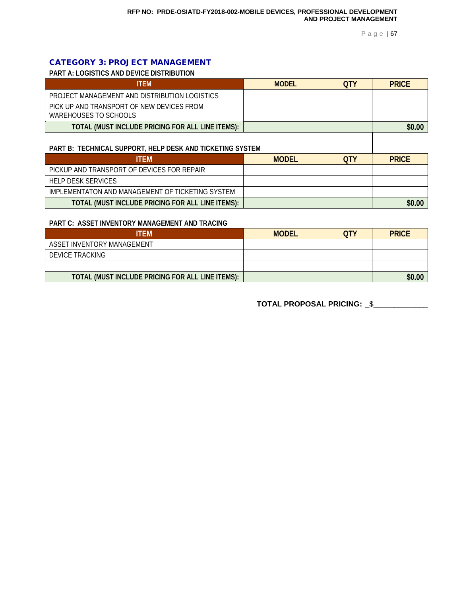# CATEGORY 3: PROJECT MANAGEMENT

**PART A: LOGISTICS AND DEVICE DISTRIBUTION**

| <b>ITFM</b>                                                        | <b>MODEL</b> | <b>OTY</b> | <b>PRICE</b> |
|--------------------------------------------------------------------|--------------|------------|--------------|
| PROJECT MANAGEMENT AND DISTRIBUTION LOGISTICS                      |              |            |              |
| PICK UP AND TRANSPORT OF NEW DEVICES FROM<br>WAREHOUSES TO SCHOOLS |              |            |              |
| TOTAL (MUST INCLUDE PRICING FOR ALL LINE ITEMS):                   |              |            | \$0.00       |

#### **PART B: TECHNICAL SUPPORT, HELP DESK AND TICKETING SYSTEM**

| <b>ITEM</b>                                      | <b>MODEL</b> | <b>OTY</b> | <b>PRICE</b> |
|--------------------------------------------------|--------------|------------|--------------|
| PICKUP AND TRANSPORT OF DEVICES FOR REPAIR       |              |            |              |
| HELP DESK SERVICES                               |              |            |              |
| IMPLEMENTATON AND MANAGEMENT OF TICKETING SYSTEM |              |            |              |
| TOTAL (MUST INCLUDE PRICING FOR ALL LINE ITEMS): |              |            | \$0.00       |

#### **PART C: ASSET INVENTORY MANAGEMENT AND TRACING**

| ITEM                                             | <b>MODEL</b> | OTY | <b>PRICE</b> |
|--------------------------------------------------|--------------|-----|--------------|
| ASSET INVENTORY MANAGEMENT                       |              |     |              |
| <b>DEVICE TRACKING</b>                           |              |     |              |
|                                                  |              |     |              |
| TOTAL (MUST INCLUDE PRICING FOR ALL LINE ITEMS): |              |     | \$0.00       |

**TOTAL PROPOSAL PRICING:** \_\$\_\_\_\_\_\_\_\_\_\_\_\_\_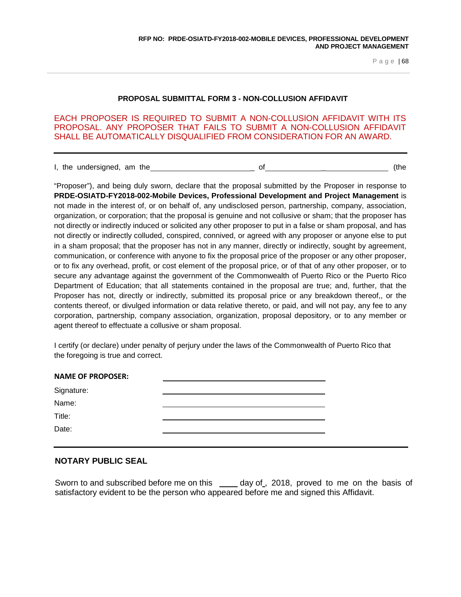#### **PROPOSAL SUBMITTAL FORM 3 - NON-COLLUSION AFFIDAVIT**

EACH PROPOSER IS REQUIRED TO SUBMIT A NON-COLLUSION AFFIDAVIT WITH ITS PROPOSAL. ANY PROPOSER THAT FAILS TO SUBMIT A NON-COLLUSION AFFIDAVIT SHALL BE AUTOMATICALLY DISQUALIFIED FROM CONSIDERATION FOR AN AWARD.

I, the undersigned, am the  $\overline{\phantom{a}}$  of  $\overline{\phantom{a}}$  of  $\overline{\phantom{a}}$  (the

"Proposer"), and being duly sworn, declare that the proposal submitted by the Proposer in response to **PRDE-OSIATD-FY2018-002-Mobile Devices, Professional Development and Project Management** is not made in the interest of, or on behalf of, any undisclosed person, partnership, company, association, organization, or corporation; that the proposal is genuine and not collusive or sham; that the proposer has not directly or indirectly induced or solicited any other proposer to put in a false or sham proposal, and has not directly or indirectly colluded, conspired, connived, or agreed with any proposer or anyone else to put in a sham proposal; that the proposer has not in any manner, directly or indirectly, sought by agreement, communication, or conference with anyone to fix the proposal price of the proposer or any other proposer, or to fix any overhead, profit, or cost element of the proposal price, or of that of any other proposer, or to secure any advantage against the government of the Commonwealth of Puerto Rico or the Puerto Rico Department of Education; that all statements contained in the proposal are true; and, further, that the Proposer has not, directly or indirectly, submitted its proposal price or any breakdown thereof,, or the contents thereof, or divulged information or data relative thereto, or paid, and will not pay, any fee to any corporation, partnership, company association, organization, proposal depository, or to any member or agent thereof to effectuate a collusive or sham proposal.

I certify (or declare) under penalty of perjury under the laws of the Commonwealth of Puerto Rico that the foregoing is true and correct.

| Signature: | <b>NAME OF PROPOSER:</b> |
|------------|--------------------------|
|            |                          |
|            | Name:                    |
| Title:     |                          |
| Date:      |                          |

## **NOTARY PUBLIC SEAL**

Sworn to and subscribed before me on this day of, 2018, proved to me on the basis of satisfactory evident to be the person who appeared before me and signed this Affidavit.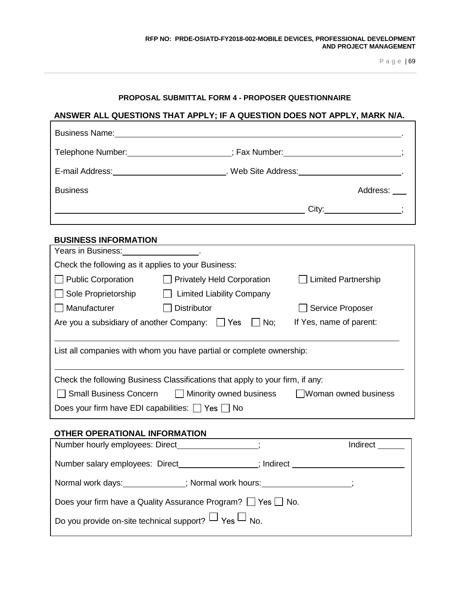# **PROPOSAL SUBMITTAL FORM 4 - PROPOSER QUESTIONNAIRE**

# **ANSWER ALL QUESTIONS THAT APPLY; IF A QUESTION DOES NOT APPLY, MARK N/A.**

 $\Gamma$ 

| <b>Business Name:</b>               |                                                                                                                                                                                                                               |
|-------------------------------------|-------------------------------------------------------------------------------------------------------------------------------------------------------------------------------------------------------------------------------|
| Telephone Number: Telephone Number: | ; Fax Number: The Contract of the Contract of the Contract of the Contract of the Contract of the Contract of the Contract of the Contract of the Contract of the Contract of the Contract of the Contract of the Contract of |
| E-mail Address: E-mail Address:     | . Web Site Address: Web Site Address:                                                                                                                                                                                         |
| <b>Business</b>                     | Address:                                                                                                                                                                                                                      |
|                                     | $City:$ $\qquad \qquad ;$                                                                                                                                                                                                     |
| <b>BUSINESS INFORMATION</b>         |                                                                                                                                                                                                                               |

| Years in Business:                                                            |                                   |                            |  |  |
|-------------------------------------------------------------------------------|-----------------------------------|----------------------------|--|--|
| Check the following as it applies to your Business:                           |                                   |                            |  |  |
| <b>Public Corporation</b>                                                     | <b>Privately Held Corporation</b> | <b>Limited Partnership</b> |  |  |
| Sole Proprietorship                                                           | <b>Limited Liability Company</b>  |                            |  |  |
| Manufacturer                                                                  | <b>Distributor</b>                | <b>Service Proposer</b>    |  |  |
| Are you a subsidiary of another Company:<br>No;<br><b>Yes</b>                 |                                   | If Yes, name of parent:    |  |  |
|                                                                               |                                   |                            |  |  |
| List all companies with whom you have partial or complete ownership:          |                                   |                            |  |  |
|                                                                               |                                   |                            |  |  |
| Check the following Business Classifications that apply to your firm, if any: |                                   |                            |  |  |
| <b>Small Business Concern</b>                                                 | $\Box$ Minority owned business    | Woman owned business       |  |  |
| Does your firm have EDI capabilities: Yes No                                  |                                   |                            |  |  |
|                                                                               |                                   |                            |  |  |
| OTHER OPERATIONAL INFORMATION                                                 |                                   |                            |  |  |
| Number hourly employees: Direct                                               |                                   | Indirect                   |  |  |

| $\alpha$ is a finite through $\alpha$ in provided. Direction of $\alpha$ |            | $\overline{\phantom{a}}$ |  |  |
|--------------------------------------------------------------------------|------------|--------------------------|--|--|
| Number salary employees: Direct                                          | ; Indirect |                          |  |  |
| Normal work days:                                                        |            |                          |  |  |
| Does your firm have a Quality Assurance Program? $\Box$ Yes $\Box$ No.   |            |                          |  |  |
| Do you provide on-site technical support? $\Box$ Yes $\Box$ No.          |            |                          |  |  |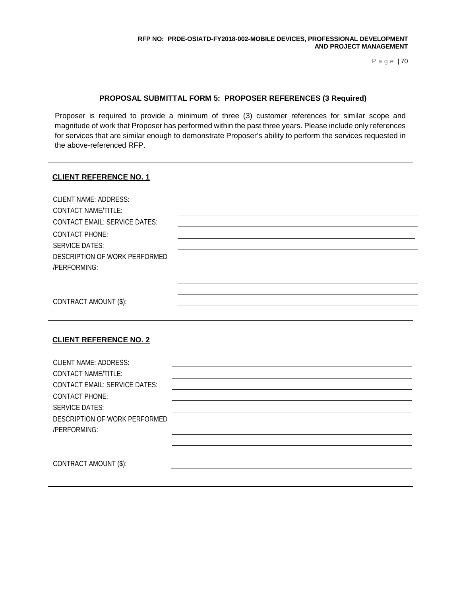### **PROPOSAL SUBMITTAL FORM 5: PROPOSER REFERENCES (3 Required)**

Proposer is required to provide a minimum of three (3) customer references for similar scope and magnitude of work that Proposer has performed within the past three years. Please include only references for services that are similar enough to demonstrate Proposer's ability to perform the services requested in the above-referenced RFP.

### **CLIENT REFERENCE NO. 1**

| <b>CLIENT NAME: ADDRESS:</b><br><b>CONTACT NAME/TITLE:</b> |  |
|------------------------------------------------------------|--|
| <b>CONTACT EMAIL: SERVICE DATES:</b>                       |  |
| <b>CONTACT PHONE:</b><br><b>SERVICE DATES:</b>             |  |
| DESCRIPTION OF WORK PERFORMED<br>/PERFORMING:              |  |
|                                                            |  |
| CONTRACT AMOUNT (\$):                                      |  |

# **CLIENT REFERENCE NO. 2**

| <b>CLIENT NAME: ADDRESS:</b>         |  |
|--------------------------------------|--|
| CONTACT NAME/TITLE:                  |  |
| <b>CONTACT EMAIL: SERVICE DATES:</b> |  |
| <b>CONTACT PHONE:</b>                |  |
| <b>SERVICE DATES:</b>                |  |
| DESCRIPTION OF WORK PERFORMED        |  |
| /PERFORMING:                         |  |
|                                      |  |
|                                      |  |
| CONTRACT AMOUNT (\$):                |  |
|                                      |  |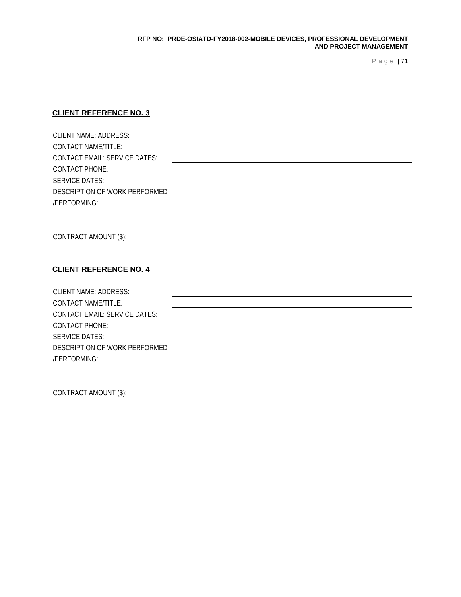# **CLIENT REFERENCE NO. 3**

| <b>CLIENT NAME: ADDRESS:</b>                  |  |
|-----------------------------------------------|--|
| <b>CONTACT NAME/TITLE:</b>                    |  |
| <b>CONTACT EMAIL: SERVICE DATES:</b>          |  |
| <b>CONTACT PHONE:</b>                         |  |
| <b>SERVICE DATES:</b>                         |  |
| DESCRIPTION OF WORK PERFORMED                 |  |
| /PERFORMING:                                  |  |
|                                               |  |
|                                               |  |
| CONTRACT AMOUNT (\$):                         |  |
|                                               |  |
|                                               |  |
| <b>CLIENT REFERENCE NO. 4</b>                 |  |
|                                               |  |
| <b>CLIENT NAME: ADDRESS:</b>                  |  |
| <b>CONTACT NAME/TITLE:</b>                    |  |
| <b>CONTACT EMAIL: SERVICE DATES:</b>          |  |
| <b>CONTACT PHONE:</b>                         |  |
| <b>SERVICE DATES:</b>                         |  |
| DESCRIPTION OF WORK PERFORMED<br>/PERFORMING: |  |
|                                               |  |
|                                               |  |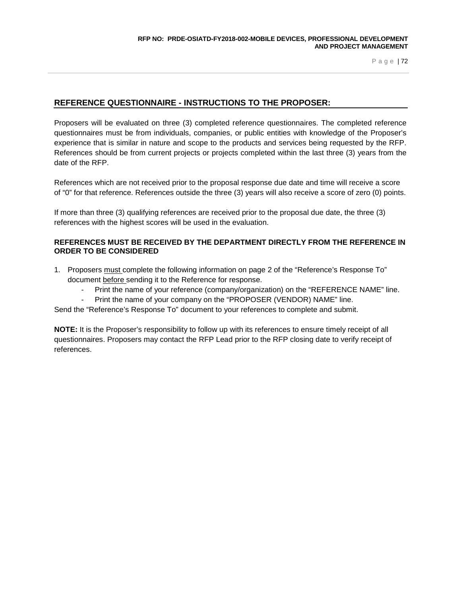# **REFERENCE QUESTIONNAIRE - INSTRUCTIONS TO THE PROPOSER:**

Proposers will be evaluated on three (3) completed reference questionnaires. The completed reference questionnaires must be from individuals, companies, or public entities with knowledge of the Proposer's experience that is similar in nature and scope to the products and services being requested by the RFP. References should be from current projects or projects completed within the last three (3) years from the date of the RFP.

References which are not received prior to the proposal response due date and time will receive a score of "0" for that reference. References outside the three (3) years will also receive a score of zero (0) points.

If more than three (3) qualifying references are received prior to the proposal due date, the three (3) references with the highest scores will be used in the evaluation.

### **REFERENCES MUST BE RECEIVED BY THE DEPARTMENT DIRECTLY FROM THE REFERENCE IN ORDER TO BE CONSIDERED**

- 1. Proposers must complete the following information on page 2 of the "Reference's Response To" document before sending it to the Reference for response.
	- Print the name of your reference (company/organization) on the "REFERENCE NAME" line.
	- Print the name of your company on the "PROPOSER (VENDOR) NAME" line.

Send the "Reference's Response To" document to your references to complete and submit.

**NOTE:** It is the Proposer's responsibility to follow up with its references to ensure timely receipt of all questionnaires. Proposers may contact the RFP Lead prior to the RFP closing date to verify receipt of references.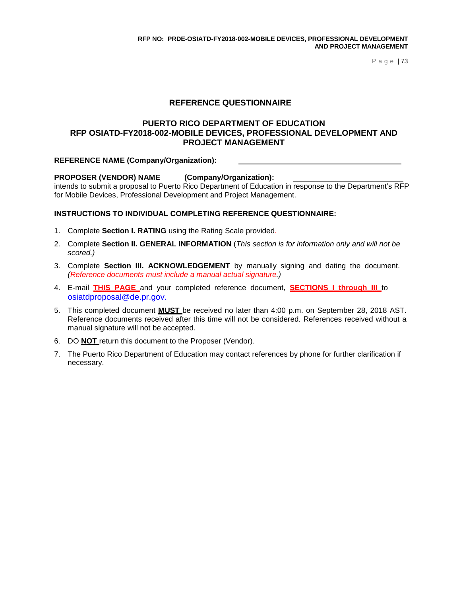# **REFERENCE QUESTIONNAIRE**

### **PUERTO RICO DEPARTMENT OF EDUCATION RFP OSIATD-FY2018-002-MOBILE DEVICES, PROFESSIONAL DEVELOPMENT AND PROJECT MANAGEMENT**

### **REFERENCE NAME (Company/Organization):**

# **PROPOSER (VENDOR) NAME (Company/Organization):**

intends to submit a proposal to Puerto Rico Department of Education in response to the Department's RFP for Mobile Devices, Professional Development and Project Management.

### **INSTRUCTIONS TO INDIVIDUAL COMPLETING REFERENCE QUESTIONNAIRE:**

- 1. Complete **Section I. RATING** using the Rating Scale provided.
- 2. Complete **Section II. GENERAL INFORMATION** (*This section is for information only and will not be scored.)*
- 3. Complete **Section III. ACKNOWLEDGEMENT** by manually signing and dating the document. *(Reference documents must include a manual actual signature.)*
- 4. E-mail **THIS PAGE** and your completed reference document, **SECTIONS I through III** to [osiatdproposal@de.pr.gov.](mailto:osiatdproposal@de.pr.gov)
- 5. This completed document **MUST** be received no later than 4:00 p.m. on September 28, 2018 AST. Reference documents received after this time will not be considered. References received without a manual signature will not be accepted.
- 6. DO **NOT** return this document to the Proposer (Vendor).
- 7. The Puerto Rico Department of Education may contact references by phone for further clarification if necessary.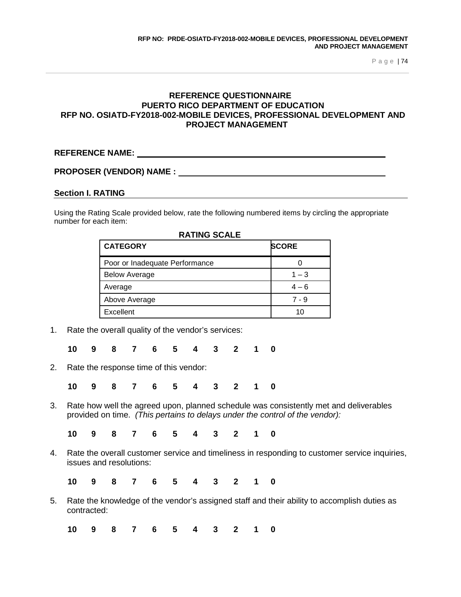# **REFERENCE QUESTIONNAIRE PUERTO RICO DEPARTMENT OF EDUCATION RFP NO. OSIATD-FY2018-002-MOBILE DEVICES, PROFESSIONAL DEVELOPMENT AND PROJECT MANAGEMENT**

# **REFERENCE NAME:**

### **PROPOSER (VENDOR) NAME :**

### **Section I. RATING**

Using the Rating Scale provided below, rate the following numbered items by circling the appropriate number for each item:

| <b>CATEGORY</b>                | <b>SCORE</b> |
|--------------------------------|--------------|
| Poor or Inadequate Performance |              |
| <b>Below Average</b>           | $1 - 3$      |
| Average                        | $4 - 6$      |
| Above Average                  | $7 - 9$      |
| Excellent                      | 10           |

1. Rate the overall quality of the vendor's services:

**10 9 8 7 6 5 4 3 2 1 0**

2. Rate the response time of this vendor:

**10 9 8 7 6 5 4 3 2 1 0**

3. Rate how well the agreed upon, planned schedule was consistently met and deliverables provided on time. *(This pertains to delays under the control of the vendor):*

**10 9 8 7 6 5 4 3 2 1 0**

4. Rate the overall customer service and timeliness in responding to customer service inquiries, issues and resolutions:

**10 9 8 7 6 5 4 3 2 1 0**

5. Rate the knowledge of the vendor's assigned staff and their ability to accomplish duties as contracted:

**10 9 8 7 6 5 4 3 2 1 0**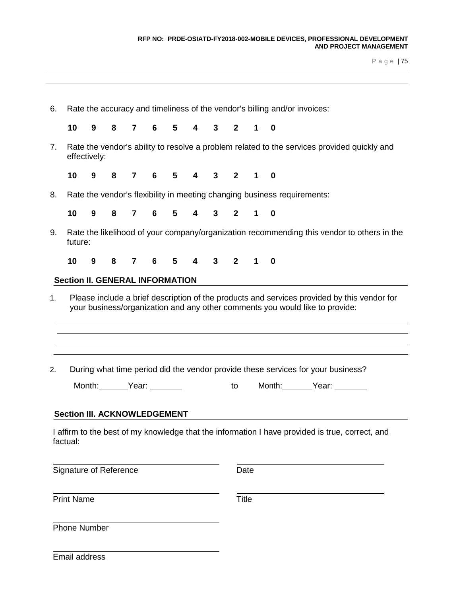#### **RFP NO: PRDE-OSIATD-FY2018-002-MOBILE DEVICES, PROFESSIONAL DEVELOPMENT AND PROJECT MANAGEMENT**

P a g e | 75

| 10                                     | 9            | 8 | $\mathbf{7}$   | 6     | 5 | $\overline{\mathbf{4}}$ | $\mathbf{3}$ | $2^{\circ}$   | $\mathbf 1$ | $\overline{\mathbf{0}}$                                                                         |  |
|----------------------------------------|--------------|---|----------------|-------|---|-------------------------|--------------|---------------|-------------|-------------------------------------------------------------------------------------------------|--|
|                                        |              |   |                |       |   |                         |              |               |             |                                                                                                 |  |
|                                        | effectively: |   |                |       |   |                         |              |               |             | Rate the vendor's ability to resolve a problem related to the services provided quickly and     |  |
| 10                                     | 9            | 8 | $7\phantom{.}$ | $6 -$ |   |                         |              | 5 4 3 2 1     |             | 0                                                                                               |  |
| 8.                                     |              |   |                |       |   |                         |              |               |             | Rate the vendor's flexibility in meeting changing business requirements:                        |  |
| 10                                     | 9            | 8 | 7              |       |   |                         |              | 6 5 4 3 2 1 0 |             |                                                                                                 |  |
| 9.<br>future:                          |              |   |                |       |   |                         |              |               |             | Rate the likelihood of your company/organization recommending this vendor to others in the      |  |
| 10                                     | 9            | 8 |                | 76    |   |                         |              | 5 4 3 2 1 0   |             |                                                                                                 |  |
| <b>Section II. GENERAL INFORMATION</b> |              |   |                |       |   |                         |              |               |             |                                                                                                 |  |
| 2.                                     |              |   |                |       |   |                         |              |               |             | During what time period did the vendor provide these services for your business?                |  |
|                                        | Month: Year: |   |                |       |   |                         |              |               |             | to Month: Year:                                                                                 |  |
| Section III. ACKNOWLEDGEMENT           |              |   |                |       |   |                         |              |               |             |                                                                                                 |  |
| factual:                               |              |   |                |       |   |                         |              |               |             | I affirm to the best of my knowledge that the information I have provided is true, correct, and |  |
| Signature of Reference                 |              |   |                |       |   |                         |              | Date          |             |                                                                                                 |  |
| <b>Print Name</b>                      |              |   |                |       |   |                         |              | <b>Title</b>  |             |                                                                                                 |  |
|                                        |              |   |                |       |   |                         |              |               |             |                                                                                                 |  |
| <b>Phone Number</b>                    |              |   |                |       |   |                         |              |               |             |                                                                                                 |  |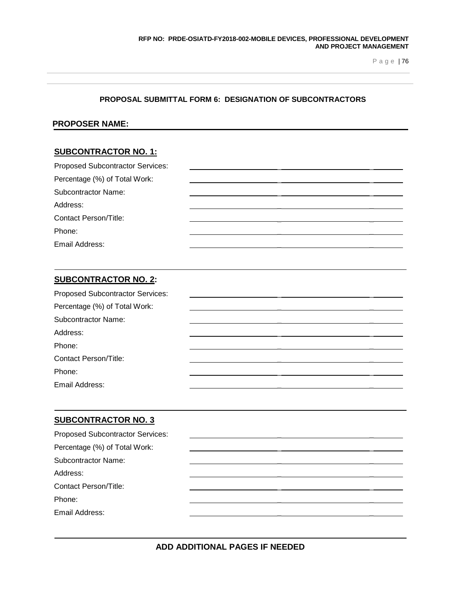### **PROPOSAL SUBMITTAL FORM 6: DESIGNATION OF SUBCONTRACTORS**

### **PROPOSER NAME:**

# **SUBCONTRACTOR NO. 1:**

| <b>Proposed Subcontractor Services:</b> |  |  |
|-----------------------------------------|--|--|
| Percentage (%) of Total Work:           |  |  |
| <b>Subcontractor Name:</b>              |  |  |
| Address:                                |  |  |
| <b>Contact Person/Title:</b>            |  |  |
| Phone:                                  |  |  |
| Email Address:                          |  |  |

# **SUBCONTRACTOR NO. 2:**

| <b>Proposed Subcontractor Services:</b> |  |  |
|-----------------------------------------|--|--|
| Percentage (%) of Total Work:           |  |  |
| <b>Subcontractor Name:</b>              |  |  |
| Address:                                |  |  |
| Phone:                                  |  |  |
| <b>Contact Person/Title:</b>            |  |  |
| Phone:                                  |  |  |
| Email Address:                          |  |  |

### **SUBCONTRACTOR NO. 3**

| <b>Proposed Subcontractor Services:</b> |  |  |
|-----------------------------------------|--|--|
| Percentage (%) of Total Work:           |  |  |
| <b>Subcontractor Name:</b>              |  |  |
| Address:                                |  |  |
| <b>Contact Person/Title:</b>            |  |  |
| Phone:                                  |  |  |
| Email Address:                          |  |  |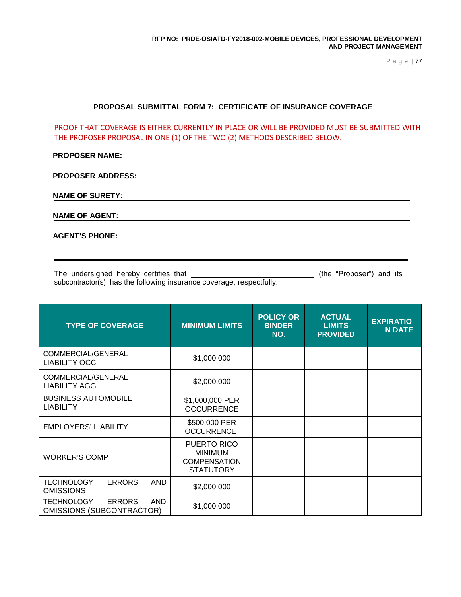### **PROPOSAL SUBMITTAL FORM 7: CERTIFICATE OF INSURANCE COVERAGE**

PROOF THAT COVERAGE IS EITHER CURRENTLY IN PLACE OR WILL BE PROVIDED MUST BE SUBMITTED WITH THE PROPOSER PROPOSAL IN ONE (1) OF THE TWO (2) METHODS DESCRIBED BELOW.

### **PROPOSER NAME:**

| <b>PROPOSER ADDRESS:</b> |  |
|--------------------------|--|
|--------------------------|--|

**NAME OF SURETY:**

**NAME OF AGENT:**

**AGENT'S PHONE:**

The undersigned hereby certifies that (the "Proposer") and its subcontractor(s) has the following insurance coverage, respectfully:

| <b>TYPE OF COVERAGE</b>                                                              | <b>MINIMUM LIMITS</b>                                                    | <b>POLICY OR</b><br><b>BINDER</b><br>NO. | <b>ACTUAL</b><br><b>LIMITS</b><br><b>PROVIDED</b> | <b>EXPIRATIO</b><br><b>N DATE</b> |
|--------------------------------------------------------------------------------------|--------------------------------------------------------------------------|------------------------------------------|---------------------------------------------------|-----------------------------------|
| COMMERCIAL/GENERAL<br><b>LIABILITY OCC</b>                                           | \$1,000,000                                                              |                                          |                                                   |                                   |
| COMMERCIAL/GENERAL<br><b>LIABILITY AGG</b>                                           | \$2,000,000                                                              |                                          |                                                   |                                   |
| <b>BUSINESS AUTOMOBILE</b><br><b>LIABILITY</b>                                       | \$1,000,000 PER<br><b>OCCURRENCE</b>                                     |                                          |                                                   |                                   |
| <b>EMPLOYERS' LIABILITY</b>                                                          | \$500,000 PER<br><b>OCCURRENCE</b>                                       |                                          |                                                   |                                   |
| <b>WORKER'S COMP</b>                                                                 | PUERTO RICO<br><b>MINIMUM</b><br><b>COMPENSATION</b><br><b>STATUTORY</b> |                                          |                                                   |                                   |
| <b>ERRORS</b><br><b>TECHNOLOGY</b><br><b>AND</b><br><b>OMISSIONS</b>                 | \$2,000,000                                                              |                                          |                                                   |                                   |
| <b>ERRORS</b><br><b>TECHNOLOGY</b><br><b>AND</b><br><b>OMISSIONS (SUBCONTRACTOR)</b> | \$1,000,000                                                              |                                          |                                                   |                                   |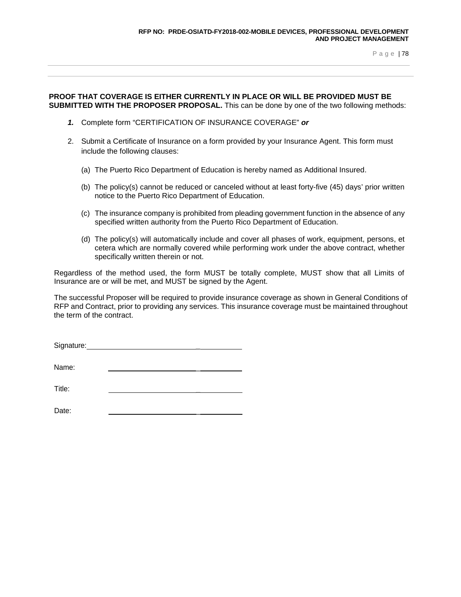### **PROOF THAT COVERAGE IS EITHER CURRENTLY IN PLACE OR WILL BE PROVIDED MUST BE SUBMITTED WITH THE PROPOSER PROPOSAL.** This can be done by one of the two following methods:

- *1.* Complete form "CERTIFICATION OF INSURANCE COVERAGE" *or*
- 2. Submit a Certificate of Insurance on a form provided by your Insurance Agent. This form must include the following clauses:
	- (a) The Puerto Rico Department of Education is hereby named as Additional Insured.
	- (b) The policy(s) cannot be reduced or canceled without at least forty-five (45) days' prior written notice to the Puerto Rico Department of Education.
	- (c) The insurance company is prohibited from pleading government function in the absence of any specified written authority from the Puerto Rico Department of Education.
	- (d) The policy(s) will automatically include and cover all phases of work, equipment, persons, et cetera which are normally covered while performing work under the above contract, whether specifically written therein or not.

Regardless of the method used, the form MUST be totally complete, MUST show that all Limits of Insurance are or will be met, and MUST be signed by the Agent.

The successful Proposer will be required to provide insurance coverage as shown in General Conditions of RFP and Contract, prior to providing any services. This insurance coverage must be maintained throughout the term of the contract.

| Signature: |  |  |
|------------|--|--|
|            |  |  |
| Name:      |  |  |

Title: <u>\_\_\_\_\_\_\_\_\_\_\_\_\_\_\_\_\_\_\_\_\_\_\_</u>\_\_

| Date: |  |
|-------|--|
|-------|--|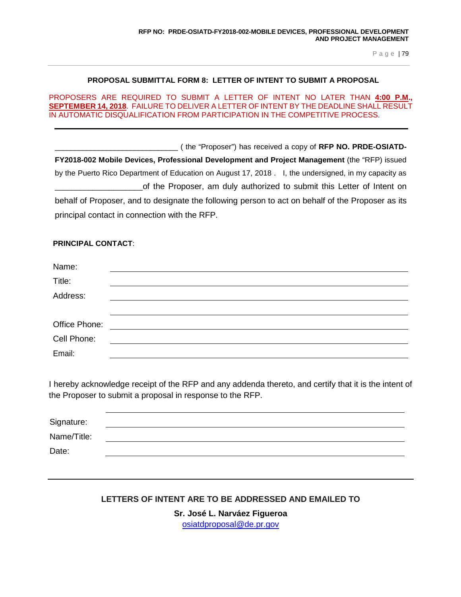### **PROPOSAL SUBMITTAL FORM 8: LETTER OF INTENT TO SUBMIT A PROPOSAL**

### PROPOSERS ARE REQUIRED TO SUBMIT A LETTER OF INTENT NO LATER THAN **4:00 P.M., SEPTEMBER 14, 2018**. FAILURE TO DELIVER A LETTER OF INTENT BY THE DEADLINE SHALL RESULT IN AUTOMATIC DISQUALIFICATION FROM PARTICIPATION IN THE COMPETITIVE PROCESS.

\_\_\_\_\_\_\_\_\_\_\_\_\_\_\_\_\_\_\_\_\_\_\_\_\_\_\_\_\_\_\_ ( the "Proposer") has received a copy of **RFP NO. PRDE-OSIATD-FY2018-002 Mobile Devices, Professional Development and Project Management** (the "RFP) issued by the Puerto Rico Department of Education on August 17, 2018 . I, the undersigned, in my capacity as of the Proposer, am duly authorized to submit this Letter of Intent on behalf of Proposer, and to designate the following person to act on behalf of the Proposer as its principal contact in connection with the RFP.

### **PRINCIPAL CONTACT**:

| Name:         |  |
|---------------|--|
| Title:        |  |
| Address:      |  |
|               |  |
| Office Phone: |  |
| Cell Phone:   |  |
| Email:        |  |

I hereby acknowledge receipt of the RFP and any addenda thereto, and certify that it is the intent of the Proposer to submit a proposal in response to the RFP.

| Signature:  |  |  |  |
|-------------|--|--|--|
| Name/Title: |  |  |  |
| Date:       |  |  |  |

# **LETTERS OF INTENT ARE TO BE ADDRESSED AND EMAILED TO**

**Sr. José L. Narváez Figueroa**

[osiatdproposal@de.pr.gov](mailto:osiatdproposal@de.pr.gov)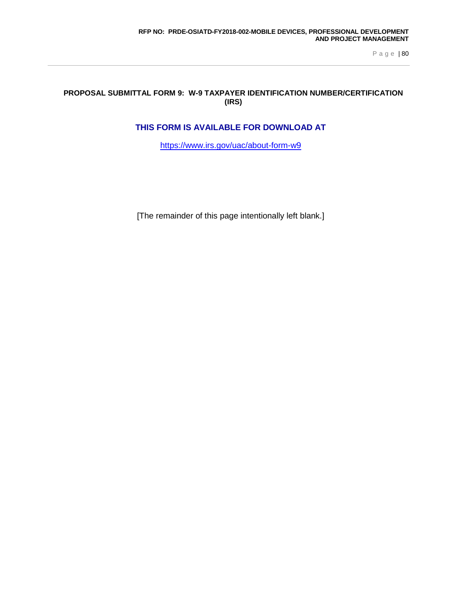# **PROPOSAL SUBMITTAL FORM 9: W-9 TAXPAYER IDENTIFICATION NUMBER/CERTIFICATION (IRS)**

# **THIS FORM IS AVAILABLE FOR DOWNLOAD AT**

<https://www.irs.gov/uac/about-form-w9>

[The remainder of this page intentionally left blank.]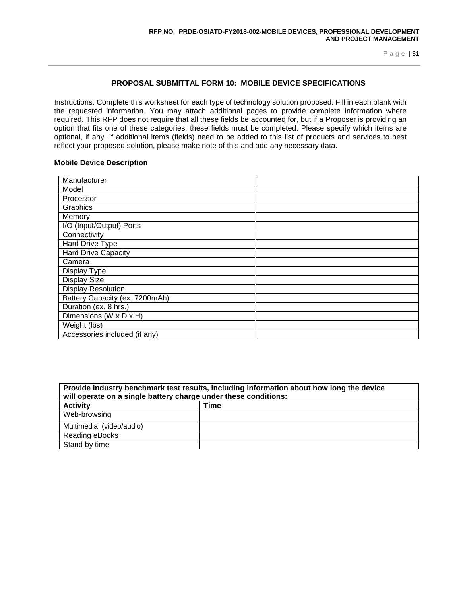# **PROPOSAL SUBMITTAL FORM 10: MOBILE DEVICE SPECIFICATIONS**

Instructions: Complete this worksheet for each type of technology solution proposed. Fill in each blank with the requested information. You may attach additional pages to provide complete information where required. This RFP does not require that all these fields be accounted for, but if a Proposer is providing an option that fits one of these categories, these fields must be completed. Please specify which items are optional, if any. If additional items (fields) need to be added to this list of products and services to best reflect your proposed solution, please make note of this and add any necessary data.

### **Mobile Device Description**

| Manufacturer                   |  |
|--------------------------------|--|
| Model                          |  |
| Processor                      |  |
| Graphics                       |  |
| Memory                         |  |
| I/O (Input/Output) Ports       |  |
| Connectivity                   |  |
| Hard Drive Type                |  |
| <b>Hard Drive Capacity</b>     |  |
| Camera                         |  |
| Display Type                   |  |
| <b>Display Size</b>            |  |
| <b>Display Resolution</b>      |  |
| Battery Capacity (ex. 7200mAh) |  |
| Duration (ex. 8 hrs.)          |  |
| Dimensions (W x D x H)         |  |
| Weight (lbs)                   |  |
| Accessories included (if any)  |  |

| Provide industry benchmark test results, including information about how long the device<br>will operate on a single battery charge under these conditions: |      |  |  |  |  |
|-------------------------------------------------------------------------------------------------------------------------------------------------------------|------|--|--|--|--|
| <b>Activity</b>                                                                                                                                             | Time |  |  |  |  |
| Web-browsing                                                                                                                                                |      |  |  |  |  |
| Multimedia (video/audio)                                                                                                                                    |      |  |  |  |  |
| Reading eBooks                                                                                                                                              |      |  |  |  |  |
| Stand by time                                                                                                                                               |      |  |  |  |  |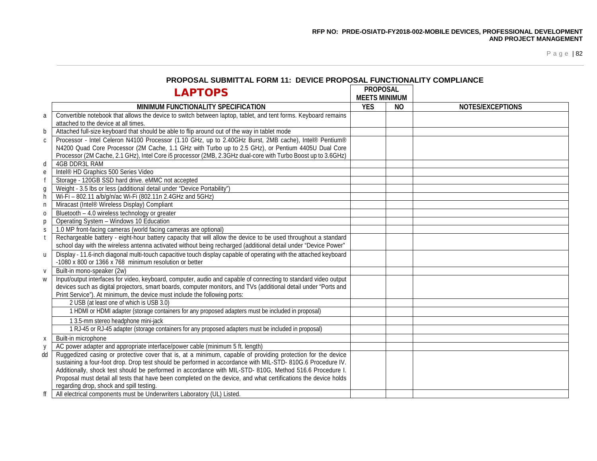|              | ו וויוסו טטאב טטטוווו ואב רטומו דו. פבזוטב רמט טטאב רטוזט וועומטט באט ווי<br><b>LAPTOPS</b>                                                                                                                                                                                                                                 | <b>PROPOSAL</b><br><b>MEETS MINIMUM</b> |           |                         |
|--------------|-----------------------------------------------------------------------------------------------------------------------------------------------------------------------------------------------------------------------------------------------------------------------------------------------------------------------------|-----------------------------------------|-----------|-------------------------|
|              | MINIMUM FUNCTIONALITY SPECIFICATION                                                                                                                                                                                                                                                                                         | <b>YES</b>                              | <b>NO</b> | <b>NOTES/EXCEPTIONS</b> |
| a            | Convertible notebook that allows the device to switch between laptop, tablet, and tent forms. Keyboard remains<br>attached to the device at all times.                                                                                                                                                                      |                                         |           |                         |
| b            | Attached full-size keyboard that should be able to flip around out of the way in tablet mode                                                                                                                                                                                                                                |                                         |           |                         |
| $\mathsf{C}$ | Processor - Intel Celeron N4100 Processor (1.10 GHz, up to 2.40GHz Burst, 2MB cache), Intel® Pentium®<br>N4200 Quad Core Processor (2M Cache, 1.1 GHz with Turbo up to 2.5 GHz), or Pentium 4405U Dual Core<br>Processor (2M Cache, 2.1 GHz), Intel Core i5 processor (2MB, 2.3GHz dual-core with Turbo Boost up to 3.6GHz) |                                         |           |                         |
| d            | <b>4GB DDR3L RAM</b>                                                                                                                                                                                                                                                                                                        |                                         |           |                         |
| e            | Intel <sup>®</sup> HD Graphics 500 Series Video                                                                                                                                                                                                                                                                             |                                         |           |                         |
|              | Storage - 120GB SSD hard drive. eMMC not accepted                                                                                                                                                                                                                                                                           |                                         |           |                         |
| g            | Weight - 3.5 lbs or less (additional detail under "Device Portability")                                                                                                                                                                                                                                                     |                                         |           |                         |
| h            | Wi-Fi - 802.11 a/b/g/n/ac Wi-Fi (802.11n 2.4GHz and 5GHz)                                                                                                                                                                                                                                                                   |                                         |           |                         |
| n            | Miracast (Intel® Wireless Display) Compliant                                                                                                                                                                                                                                                                                |                                         |           |                         |
| $\mathbf 0$  | Bluetooth - 4.0 wireless technology or greater                                                                                                                                                                                                                                                                              |                                         |           |                         |
| р            | Operating System - Windows 10 Education                                                                                                                                                                                                                                                                                     |                                         |           |                         |
| S            | 1.0 MP front-facing cameras (world facing cameras are optional)                                                                                                                                                                                                                                                             |                                         |           |                         |
| $\mathsf{t}$ | Rechargeable battery - eight-hour battery capacity that will allow the device to be used throughout a standard<br>school day with the wireless antenna activated without being recharged (additional detail under "Device Power"                                                                                            |                                         |           |                         |
| $\mathsf{u}$ | Display - 11.6-inch diagonal multi-touch capacitive touch display capable of operating with the attached keyboard<br>-1080 x 800 or 1366 x 768 minimum resolution or better                                                                                                                                                 |                                         |           |                         |
| $\mathsf{V}$ | Built-in mono-speaker (2w)                                                                                                                                                                                                                                                                                                  |                                         |           |                         |
| W            | Input/output interfaces for video, keyboard, computer, audio and capable of connecting to standard video output<br>devices such as digital projectors, smart boards, computer monitors, and TVs (additional detail under "Ports and<br>Print Service"). At minimum, the device must include the following ports:            |                                         |           |                         |
|              | 2 USB (at least one of which is USB 3.0)                                                                                                                                                                                                                                                                                    |                                         |           |                         |
|              | 1 HDMI or HDMI adapter (storage containers for any proposed adapters must be included in proposal)                                                                                                                                                                                                                          |                                         |           |                         |
|              | 1 3.5-mm stereo headphone mini-jack                                                                                                                                                                                                                                                                                         |                                         |           |                         |
|              | 1 RJ-45 or RJ-45 adapter (storage containers for any proposed adapters must be included in proposal)                                                                                                                                                                                                                        |                                         |           |                         |
| X            | Built-in microphone                                                                                                                                                                                                                                                                                                         |                                         |           |                         |
| y            | AC power adapter and appropriate interface/power cable (minimum 5 ft. length)                                                                                                                                                                                                                                               |                                         |           |                         |
| dd           | Ruggedized casing or protective cover that is, at a minimum, capable of providing protection for the device<br>sustaining a four-foot drop. Drop test should be performed in accordance with MIL-STD-810G.6 Procedure IV.                                                                                                   |                                         |           |                         |
|              | Additionally, shock test should be performed in accordance with MIL-STD-810G, Method 516.6 Procedure I.                                                                                                                                                                                                                     |                                         |           |                         |
|              | Proposal must detail all tests that have been completed on the device, and what certifications the device holds                                                                                                                                                                                                             |                                         |           |                         |
|              | regarding drop, shock and spill testing.                                                                                                                                                                                                                                                                                    |                                         |           |                         |
| ff           | All electrical components must be Underwriters Laboratory (UL) Listed.                                                                                                                                                                                                                                                      |                                         |           |                         |

### **PROPOSAL SUBMITTAL FORM 11: DEVICE PROPOSAL FUNCTIONALITY COMPLIANCE**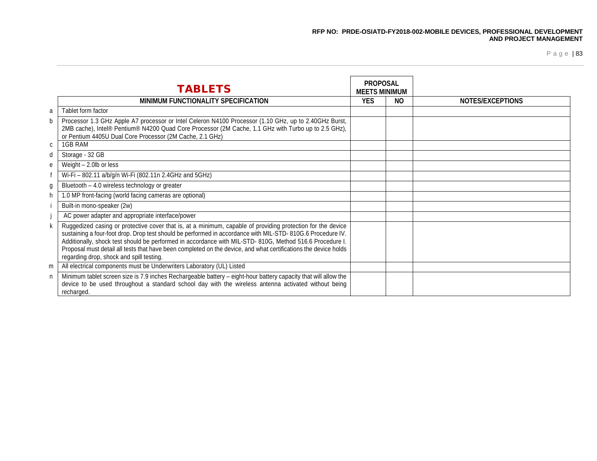|              | <b>TABLETS</b>                                                                                                                                                                                                                                                                                                                                                                                                                                                                                       | <b>PROPOSAL</b><br><b>MEETS MINIMUM</b> |     |                  |
|--------------|------------------------------------------------------------------------------------------------------------------------------------------------------------------------------------------------------------------------------------------------------------------------------------------------------------------------------------------------------------------------------------------------------------------------------------------------------------------------------------------------------|-----------------------------------------|-----|------------------|
|              | MINIMUM FUNCTIONALITY SPECIFICATION                                                                                                                                                                                                                                                                                                                                                                                                                                                                  | <b>YES</b>                              | NO. | NOTES/EXCEPTIONS |
| a            | Tablet form factor                                                                                                                                                                                                                                                                                                                                                                                                                                                                                   |                                         |     |                  |
| b            | Processor 1.3 GHz Apple A7 processor or Intel Celeron N4100 Processor (1.10 GHz, up to 2.40GHz Burst,<br>2MB cache), Intel® Pentium® N4200 Quad Core Processor (2M Cache, 1.1 GHz with Turbo up to 2.5 GHz),<br>or Pentium 4405U Dual Core Processor (2M Cache, 2.1 GHz)                                                                                                                                                                                                                             |                                         |     |                  |
| $\mathsf{C}$ | 1GB RAM                                                                                                                                                                                                                                                                                                                                                                                                                                                                                              |                                         |     |                  |
| d            | Storage - 32 GB                                                                                                                                                                                                                                                                                                                                                                                                                                                                                      |                                         |     |                  |
| e            | Weight - 2.0lb or less                                                                                                                                                                                                                                                                                                                                                                                                                                                                               |                                         |     |                  |
|              | Wi-Fi - 802.11 a/b/g/n Wi-Fi (802.11n 2.4GHz and 5GHz)                                                                                                                                                                                                                                                                                                                                                                                                                                               |                                         |     |                  |
| g            | Bluetooth - 4.0 wireless technology or greater                                                                                                                                                                                                                                                                                                                                                                                                                                                       |                                         |     |                  |
| h            | 1.0 MP front-facing (world facing cameras are optional)                                                                                                                                                                                                                                                                                                                                                                                                                                              |                                         |     |                  |
|              | Built-in mono-speaker (2w)                                                                                                                                                                                                                                                                                                                                                                                                                                                                           |                                         |     |                  |
|              | AC power adapter and appropriate interface/power                                                                                                                                                                                                                                                                                                                                                                                                                                                     |                                         |     |                  |
| k            | Ruggedized casing or protective cover that is, at a minimum, capable of providing protection for the device<br>sustaining a four-foot drop. Drop test should be performed in accordance with MIL-STD-810G.6 Procedure IV.<br>Additionally, shock test should be performed in accordance with MIL-STD- 810G, Method 516.6 Procedure I.<br>Proposal must detail all tests that have been completed on the device, and what certifications the device holds<br>regarding drop, shock and spill testing. |                                         |     |                  |
| m            | All electrical components must be Underwriters Laboratory (UL) Listed                                                                                                                                                                                                                                                                                                                                                                                                                                |                                         |     |                  |
| n            | Minimum tablet screen size is 7.9 inches Rechargeable battery - eight-hour battery capacity that will allow the<br>device to be used throughout a standard school day with the wireless antenna activated without being<br>recharged.                                                                                                                                                                                                                                                                |                                         |     |                  |